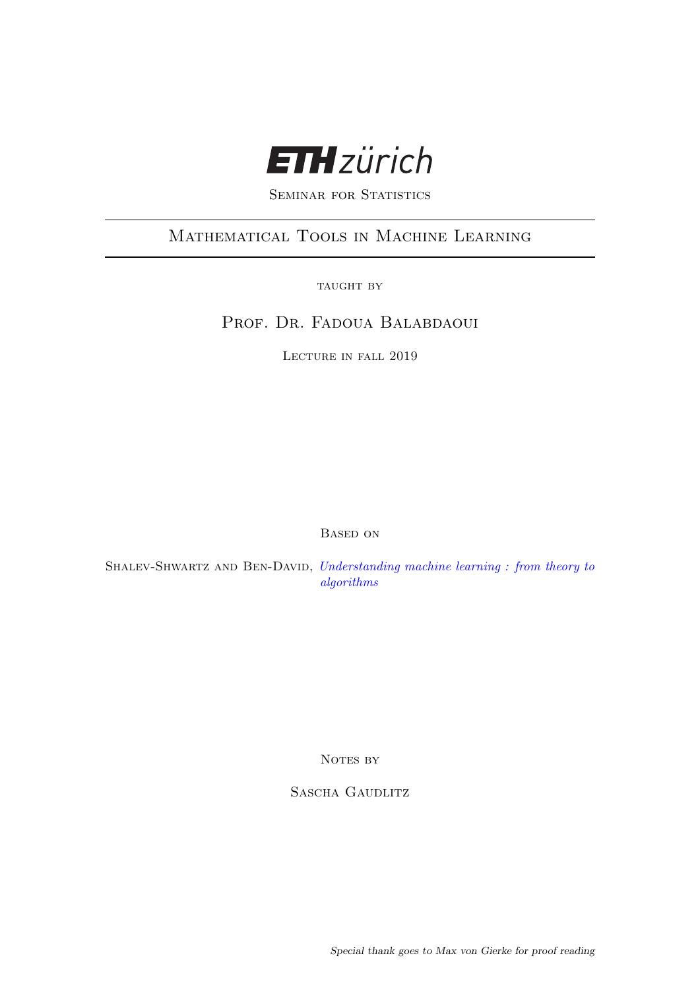

SEMINAR FOR STATISTICS

# Mathematical Tools in Machine Learning

TAUGHT BY

PROF. DR. FADOUA BALABDAOUI

Lecture in fall 2019

Based on

SHALEV-SHWARTZ AND BEN-DAVID, [Understanding machine learning : from theory to](#page-53-0) [algorithms](#page-53-0)

NOTES BY

SASCHA GAUDLITZ

Special thank goes to Max von Gierke for proof reading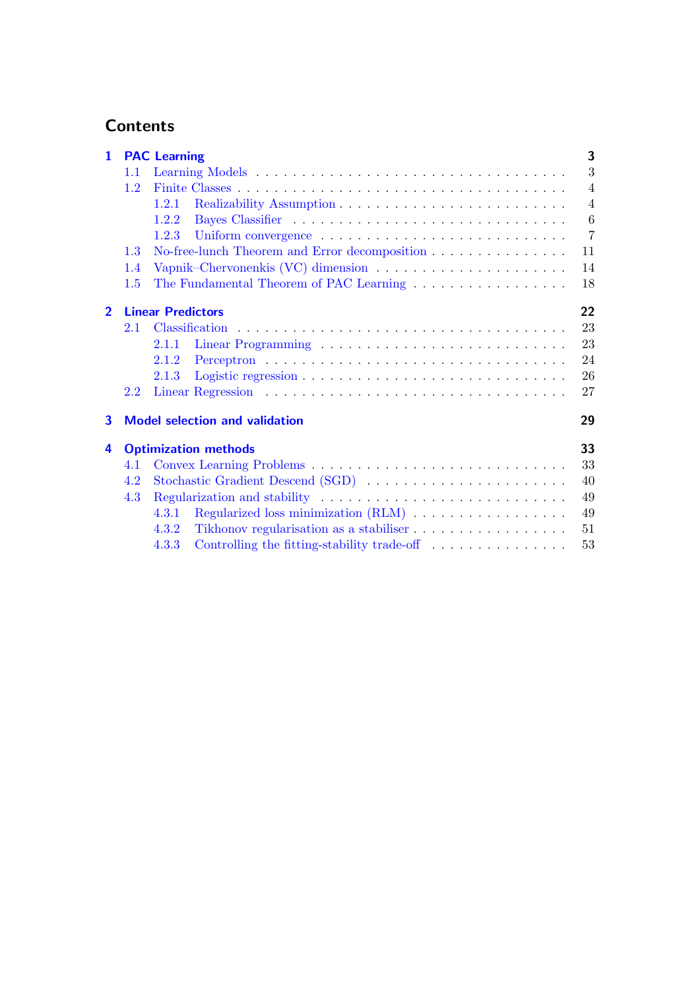# **Contents**

| $\mathbf{1}$   |     | <b>PAC Learning</b>                                                                | 3              |
|----------------|-----|------------------------------------------------------------------------------------|----------------|
|                | 1.1 |                                                                                    | 3              |
|                | 1.2 |                                                                                    | $\overline{4}$ |
|                |     | 1.2.1                                                                              | $\overline{4}$ |
|                |     | 1.2.2                                                                              | 6              |
|                |     | 1.2.3                                                                              | $\overline{7}$ |
|                | 1.3 | No-free-lunch Theorem and Error decomposition                                      | 11             |
|                | 1.4 | Vapnik–Chervonenkis (VC) dimension $\dots \dots \dots \dots \dots \dots \dots$     | 14             |
|                | 1.5 |                                                                                    | 18             |
| $\overline{2}$ |     | <b>Linear Predictors</b>                                                           | 22             |
|                | 2.1 |                                                                                    | 23             |
|                |     | 2.1.1                                                                              | 23             |
|                |     | 2.1.2                                                                              | 24             |
|                |     | 2.1.3                                                                              | 26             |
|                | 2.2 |                                                                                    | 27             |
| 3              |     | <b>Model selection and validation</b>                                              | 29             |
| 4              |     | <b>Optimization methods</b>                                                        | 33             |
|                | 4.1 |                                                                                    | 33             |
|                | 4.2 |                                                                                    | 40             |
|                | 4.3 |                                                                                    | 49             |
|                |     | 4.3.1                                                                              | 49             |
|                |     | 4.3.2                                                                              | 51             |
|                |     | Controlling the fitting-stability trade-off $\ldots \ldots \ldots \ldots$<br>4.3.3 | 53             |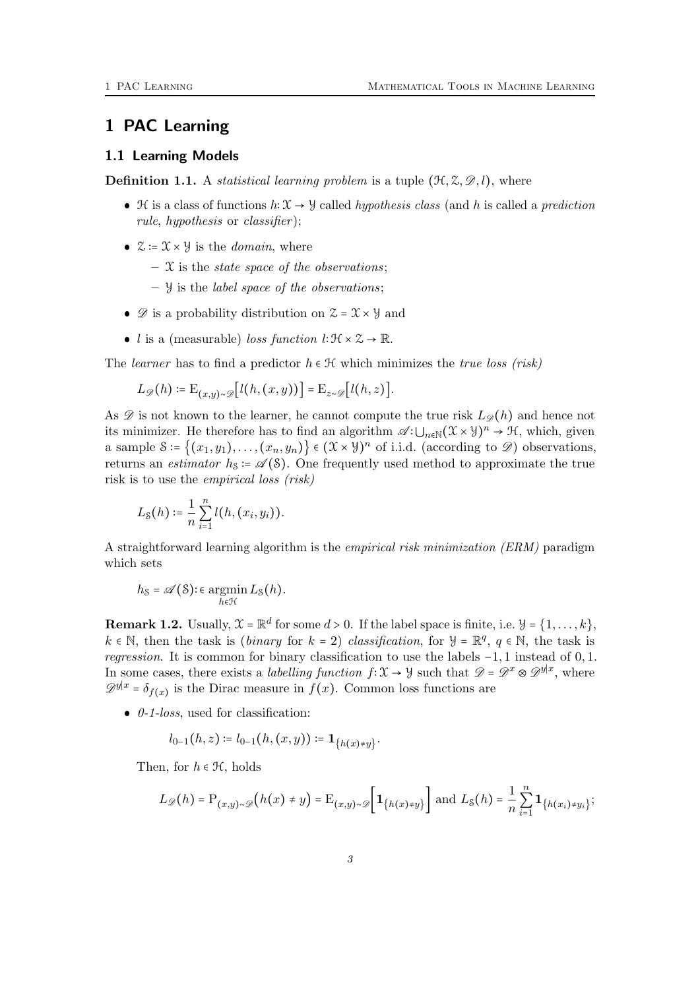# <span id="page-2-0"></span>1 PAC Learning

#### <span id="page-2-1"></span>1.1 Learning Models

**Definition 1.1.** A *statistical learning problem* is a tuple  $(\mathcal{H}, \mathcal{Z}, \mathcal{D}, l)$ , where

- $\bullet$  H is a class of functions  $h: \mathcal{X} \to \mathcal{Y}$  called *hypothesis class* (and h is called a *prediction* rule, hypothesis or classifier );
- $\mathcal{Z} := \mathcal{X} \times \mathcal{Y}$  is the *domain*, where
	- $\mathcal{X}$  is the *state space of the observations*;
	- $\forall$  is the label space of the observations;
- $\bullet$   $\mathcal D$  is a probability distribution on  $\mathcal Z = \mathcal X \times \mathcal Y$  and
- *l* is a (measurable) *loss function*  $l: \mathcal{H} \times \mathcal{Z} \rightarrow \mathbb{R}$ .

The learner has to find a predictor  $h \in \mathcal{H}$  which minimizes the true loss (risk)

$$
L_{\mathscr{D}}(h) \coloneqq \mathrm{E}_{(x,y)\sim\mathscr{D}}\bigl[l(h,(x,y))\bigr] = \mathrm{E}_{z\sim\mathscr{D}}\bigl[l(h,z)\bigr].
$$

As  $\mathscr D$  is not known to the learner, he cannot compute the true risk  $L_{\mathscr D}(h)$  and hence not its minimizer. He therefore has to find an algorithm  $\mathscr{A}:\bigcup_{n\in\mathbb{N}}(\mathfrak{X}\times\mathcal{Y})^n\to\mathfrak{H}$ , which, given a sample  $S = \{(x_1, y_1), \ldots, (x_n, y_n)\}\in (\mathfrak{X}\times \mathcal{Y})^n$  of i.i.d. (according to  $\mathscr{D}$ ) observations, returns an *estimator*  $h_s = \mathcal{A}(S)$ . One frequently used method to approximate the true risk is to use the empirical loss (risk)

$$
L_{\mathcal{S}}(h) \coloneqq \frac{1}{n} \sum_{i=1}^{n} l(h,(x_i,y_i)).
$$

A straightforward learning algorithm is the empirical risk minimization (ERM) paradigm which sets

$$
h_{\mathcal{S}} = \mathscr{A}(\mathcal{S}) : \epsilon \operatorname*{argmin}_{h \in \mathcal{H}} L_{\mathcal{S}}(h).
$$

**Remark 1.2.** Usually,  $\mathcal{X} = \mathbb{R}^d$  for some  $d > 0$ . If the label space is finite, i.e.  $\mathcal{Y} = \{1, \ldots, k\}$ ,  $k \in \mathbb{N}$ , then the task is (*binary* for  $k = 2$ ) *classification*, for  $\mathcal{Y} = \mathbb{R}^q$ ,  $q \in \mathbb{N}$ , the task is regression. It is common for binary classification to use the labels −1, 1 instead of 0, 1. In some cases, there exists a *labelling function*  $f: \mathcal{X} \to \mathcal{Y}$  such that  $\mathcal{D} = \mathcal{D}^x \otimes \mathcal{D}^{y|x}$ , where  $\mathscr{D}^{y|x} = \delta_{f(x)}$  is the Dirac measure in  $f(x)$ . Common loss functions are

 $\bullet$  0-1-loss, used for classification:

$$
l_{0-1}(h,z) \coloneqq l_{0-1}(h,(x,y)) \coloneqq \mathbf{1}_{\{h(x) \neq y\}}.
$$

Then, for  $h \in \mathcal{H}$ , holds

$$
L_{\mathscr{D}}(h) = \mathrm{P}_{(x,y)\sim\mathscr{D}}\big(h(x) \neq y\big) = \mathrm{E}_{(x,y)\sim\mathscr{D}}\bigg[\mathbf{1}_{\{h(x)\neq y\}}\bigg] \text{ and } L_{\mathcal{S}}(h) = \frac{1}{n}\sum_{i=1}^{n}\mathbf{1}_{\{h(x_i)\neq y_i\}};
$$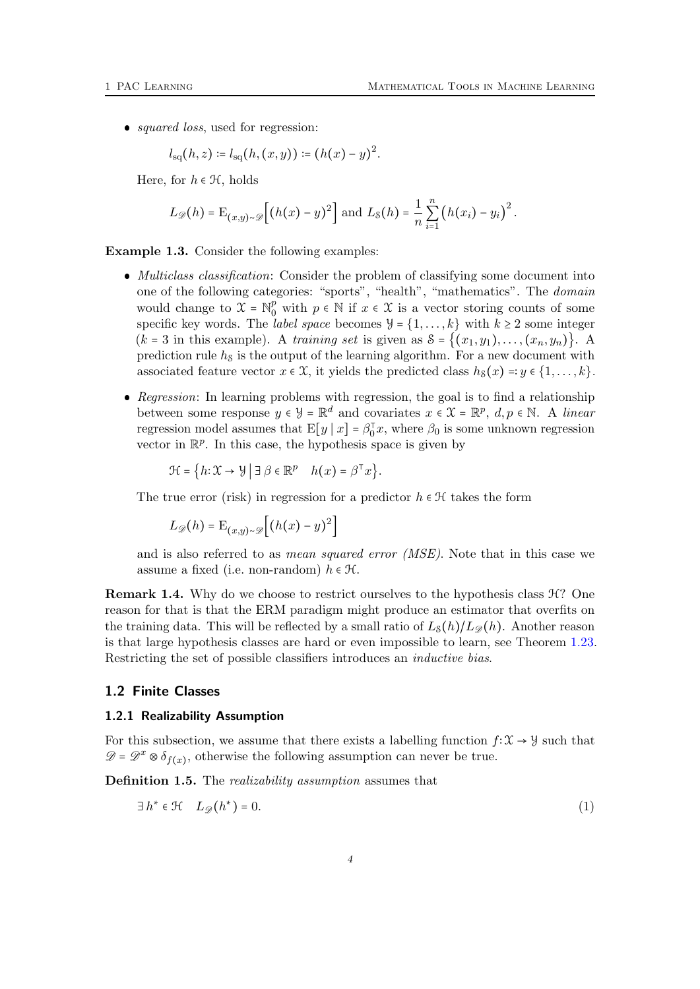• *squared loss*, used for regression:

$$
l_{\rm sq}(h, z) \coloneqq l_{\rm sq}(h, (x, y)) \coloneqq (h(x) - y)^2.
$$

Here, for  $h \in \mathcal{H}$ , holds

$$
L_{\mathscr{D}}(h) = \mathrm{E}_{(x,y)\sim\mathscr{D}}\Big[\big(h(x)-y\big)^2\Big] \text{ and } L_8(h) = \frac{1}{n}\sum_{i=1}^n \big(h(x_i)-y_i\big)^2.
$$

Example 1.3. Consider the following examples:

- Multiclass classification: Consider the problem of classifying some document into one of the following categories: "sports", "health", "mathematics". The domain would change to  $\mathcal{X} = \mathbb{N}_0^p$  with  $p \in \mathbb{N}$  if  $x \in \mathcal{X}$  is a vector storing counts of some specific key words. The *label space* becomes  $\mathcal{Y} = \{1, \ldots, k\}$  with  $k \geq 2$  some integer  $(k = 3$  in this example). A training set is given as  $S = \{(x_1, y_1), \ldots, (x_n, y_n)\}\.$  A prediction rule  $h<sub>S</sub>$  is the output of the learning algorithm. For a new document with associated feature vector  $x \in \mathcal{X}$ , it yields the predicted class  $h_{\mathcal{S}}(x) =: y \in \{1, \ldots, k\}.$
- Regression: In learning problems with regression, the goal is to find a relationship between some response  $y \in \mathcal{Y} = \mathbb{R}^d$  and covariates  $x \in \mathcal{X} = \mathbb{R}^p$ ,  $d, p \in \mathbb{N}$ . A linear regression model assumes that  $E[y | x] = \beta_0^T x$ , where  $\beta_0$  is some unknown regression vector in  $\mathbb{R}^p$ . In this case, the hypothesis space is given by

 $\mathcal{H} = \left\{ h : \mathcal{X} \to \mathcal{Y} \mid \exists \beta \in \mathbb{R}^p \mid h(x) = \beta^{\top} x \right\}.$ 

The true error (risk) in regression for a predictor  $h \in \mathcal{H}$  takes the form

 $L_{\mathscr{D}}(h) = \mathrm{E}_{(x,y)\sim \mathscr{D}}\left[ (h(x)-y)^2 \right]$ 

and is also referred to as *mean squared error (MSE)*. Note that in this case we assume a fixed (i.e. non-random)  $h \in \mathcal{H}$ .

**Remark 1.4.** Why do we choose to restrict ourselves to the hypothesis class  $\mathcal{H}$ ? One reason for that is that the ERM paradigm might produce an estimator that overfits on the training data. This will be reflected by a small ratio of  $L_{S}(h)/L_{\mathscr{D}}(h)$ . Another reason is that large hypothesis classes are hard or even impossible to learn, see Theorem [1.23.](#page-11-0) Restricting the set of possible classifiers introduces an inductive bias.

#### <span id="page-3-0"></span>1.2 Finite Classes

#### <span id="page-3-1"></span>1.2.1 Realizability Assumption

For this subsection, we assume that there exists a labelling function  $f: \mathcal{X} \to \mathcal{Y}$  such that  $\mathscr{D} = \mathscr{D}^x \otimes \delta_{f(x)}$ , otherwise the following assumption can never be true.

Definition 1.5. The *realizability assumption* assumes that

<span id="page-3-2"></span>
$$
\exists h^* \in \mathcal{H} \quad L_{\mathscr{D}}(h^*) = 0. \tag{1}
$$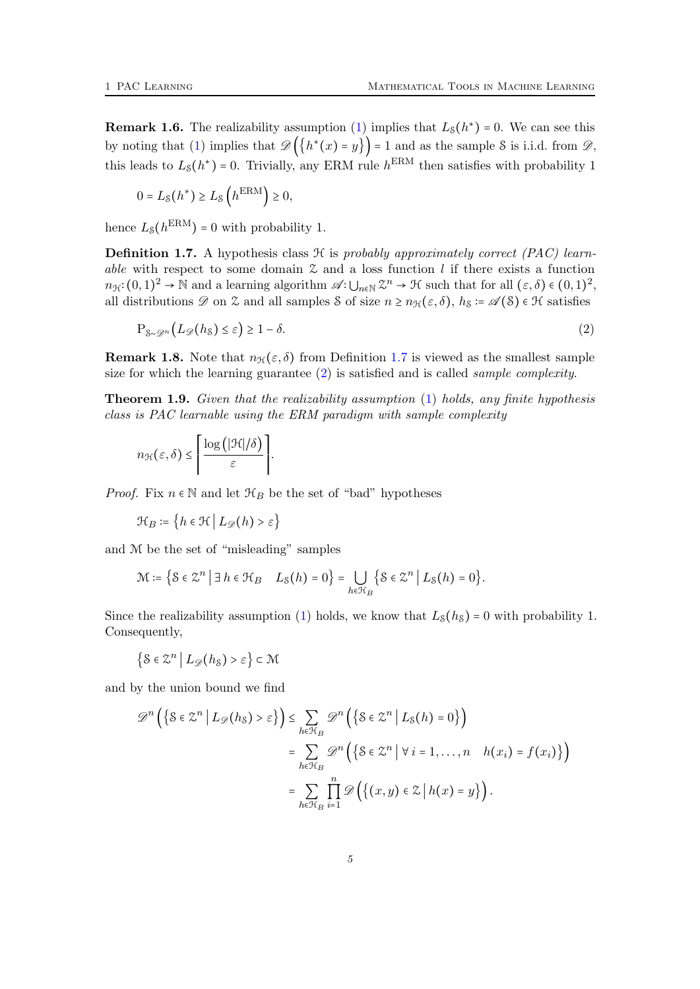<span id="page-4-4"></span>
$$
0 = L_{\mathcal{S}}(h^*) \ge L_{\mathcal{S}}\left(h^{\text{ERM}}\right) \ge 0,
$$

hence  $L_{\rm S}(h^{\rm ERM})=0$  with probability 1.

<span id="page-4-0"></span>**Definition 1.7.** A hypothesis class  $\mathcal{H}$  is probably approximately correct (PAC) learnable with respect to some domain  $\mathfrak X$  and a loss function l if there exists a function  $n_{\mathcal{H}}:(0,1)^2\to\mathbb{N}$  and a learning algorithm  $\mathscr{A}\colon\bigcup_{n\in\mathbb{N}}\mathbb{Z}^n\to\mathcal{H}$  such that for all  $(\varepsilon,\delta)\in(0,1)^2$ , all distributions  $\mathscr D$  on  $\mathscr Z$  and all samples S of size  $n \geq n_{\mathcal{H}}(\varepsilon, \delta)$ ,  $h_{\mathcal{S}} \coloneqq \mathscr A(\mathcal{S}) \in \mathcal{H}$  satisfies

<span id="page-4-1"></span>
$$
P_{\mathcal{S}\sim\mathcal{D}^n}(L_{\mathscr{D}}(h_{\mathcal{S}})\leq\varepsilon)\geq 1-\delta.
$$
\n<sup>(2)</sup>

<span id="page-4-2"></span>**Remark 1.8.** Note that  $n_{\mathcal{H}}(\varepsilon, \delta)$  from Definition [1.7](#page-4-0) is viewed as the smallest sample size for which the learning guarantee  $(2)$  is satisfied and is called *sample complexity*.

<span id="page-4-3"></span>Theorem 1.9. Given that the realizability assumption [\(1\)](#page-3-2) holds, any finite hypothesis class is PAC learnable using the ERM paradigm with sample complexity

$$
n_{\mathcal{H}}(\varepsilon,\delta) \leq \left\lceil \frac{\log\left(\left|\mathcal{H}\right|/\delta\right)}{\varepsilon}\right\rceil.
$$

*Proof.* Fix  $n \in \mathbb{N}$  and let  $\mathcal{H}_B$  be the set of "bad" hypotheses

$$
\mathcal{H}_B \coloneqq \left\{ h \in \mathcal{H} \mid L_{\mathscr{D}}(h) > \varepsilon \right\}
$$

and M be the set of "misleading" samples

$$
\mathcal{M} \coloneqq \big\{ \mathcal{S} \in \mathcal{Z}^n \; \big| \; \exists \, h \in \mathcal{H}_B \quad L_{\mathcal{S}}(h) = 0 \big\} = \bigcup_{h \in \mathcal{H}_B} \big\{ \mathcal{S} \in \mathcal{Z}^n \; \big| \; L_{\mathcal{S}}(h) = 0 \big\}.
$$

Since the realizability assumption [\(1\)](#page-3-2) holds, we know that  $L_S(h_S) = 0$  with probability 1. Consequently,

$$
\left\{\mathcal{S}\in\mathcal{Z}^n\,\middle|\, L_{\mathscr{D}}(h_{\mathcal{S}})>\varepsilon\right\}\subset\mathcal{M}
$$

and by the union bound we find

$$
\mathcal{D}^n\left(\left\{\mathcal{S}\in\mathcal{Z}^n \,\middle|\, L_{\mathcal{D}}(h_{\mathcal{S}}) > \varepsilon\right\}\right) \leq \sum_{h\in\mathcal{H}_B} \mathcal{D}^n\left(\left\{\mathcal{S}\in\mathcal{Z}^n \,\middle|\, L_{\mathcal{S}}(h)=0\right\}\right) \\
= \sum_{h\in\mathcal{H}_B} \mathcal{D}^n\left(\left\{\mathcal{S}\in\mathcal{Z}^n \,\middle|\, \forall\, i=1,\ldots,n \quad h(x_i)=f(x_i)\right\}\right) \\
= \sum_{h\in\mathcal{H}_B} \prod_{i=1}^n \mathcal{D}\left(\left\{(x,y)\in\mathcal{Z} \,\middle|\, h(x)=y\right\}\right).
$$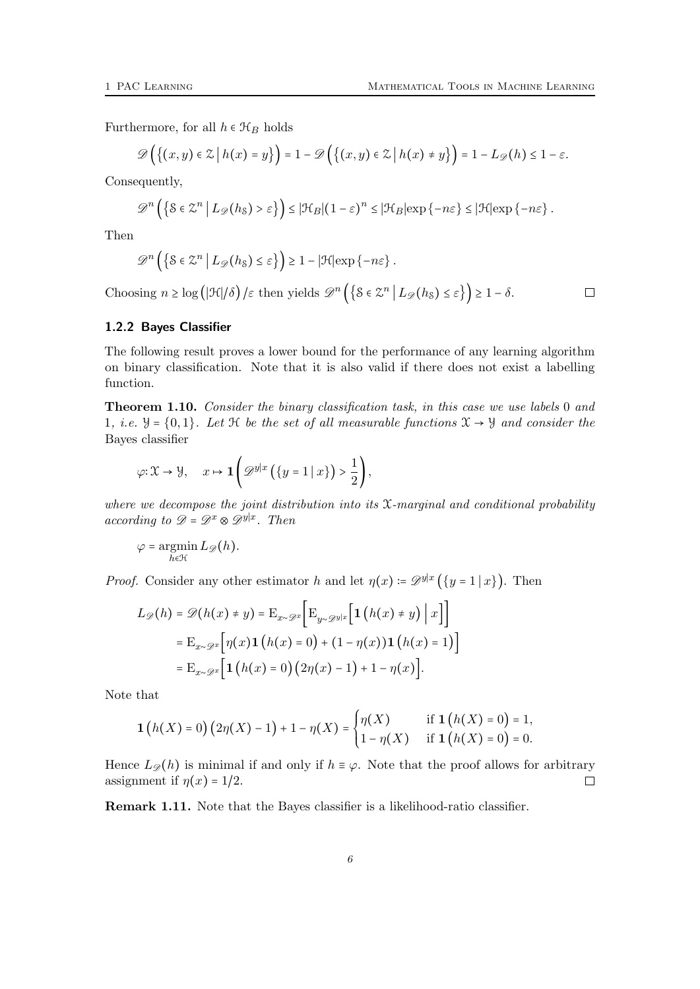Furthermore, for all  $h \in \mathcal{H}_B$  holds

$$
\mathscr{D}\Big(\big\{(x,y)\in\mathbb{Z}\,\big|\,h(x)=y\big\}\Big)=1-\mathscr{D}\Big(\big\{(x,y)\in\mathbb{Z}\,\big|\,h(x)\neq y\big\}\Big)=1-L_{\mathscr{D}}(h)\leq 1-\varepsilon.
$$

Consequently,

$$
\mathscr{D}^n\left(\left\{\mathcal{S}\in\mathbb{Z}^n\,\big|\,L_{\mathscr{D}}(h_{\mathcal{S}})>\varepsilon\right\}\right)\leq |\mathcal{H}_B|(1-\varepsilon)^n\leq |\mathcal{H}_B|\exp\left\{-n\varepsilon\right\}\leq |\mathcal{H}|\exp\left\{-n\varepsilon\right\}.
$$

Then

$$
\mathscr{D}^n\left(\left\{\mathcal{S}\in\mathcal{Z}^n\,\big|\,L_{\mathscr{D}}(h_{\mathcal{S}})\leq\varepsilon\right\}\right)\geq1-|\mathfrak{H}|\exp\left\{-n\varepsilon\right\}.
$$

Choosing  $n \geq \log(|\mathcal{H}|/\delta)/\varepsilon$  then yields  $\mathscr{D}^n\left(\{\mathcal{S} \in \mathbb{Z}^n \mid L_{\mathscr{D}}(h_{\mathcal{S}}) \leq \varepsilon\}\right) \geq 1 - \delta$ .

 $\Box$ 

### <span id="page-5-0"></span>1.2.2 Bayes Classifier

The following result proves a lower bound for the performance of any learning algorithm on binary classification. Note that it is also valid if there does not exist a labelling function.

Theorem 1.10. Consider the binary classification task, in this case we use labels 0 and 1, *i.e.*  $\mathcal{Y} = \{0, 1\}$ . Let  $\mathcal H$  be the set of all measurable functions  $\mathcal{X} \to \mathcal{Y}$  and consider the Bayes classifier

$$
\varphi \colon \mathfrak{X} \to \mathcal{Y}, \quad x \mapsto \mathbf{1}\left(\mathcal{D}^{y|x}\left(\left\{y=1 \mid x\right\}\right) > \frac{1}{2}\right),\right.
$$

where we decompose the joint distribution into its  $\mathfrak X$ -marginal and conditional probability according to  $\mathscr{D} = \mathscr{D}^x \otimes \mathscr{D}^{y|x}$ . Then

$$
\varphi = \operatorname*{argmin}_{h \in \mathcal{H}} L_{\mathscr{D}}(h).
$$

*Proof.* Consider any other estimator h and let  $\eta(x) = \mathscr{D}^{y|x}(\{y=1 | x\})$ . Then

$$
L_{\mathscr{D}}(h) = \mathscr{D}(h(x) \neq y) = \mathbf{E}_{x \sim \mathscr{D}^x} \Big[ \mathbf{E}_{y \sim \mathscr{D}^{y|x}} \Big[ \mathbf{1} \Big( h(x) \neq y \Big) \Big| \, x \Big] \Big]
$$
  
= 
$$
\mathbf{E}_{x \sim \mathscr{D}^x} \Big[ \eta(x) \mathbf{1} \Big( h(x) = 0 \Big) + (1 - \eta(x)) \mathbf{1} \Big( h(x) = 1 \Big) \Big]
$$
  
= 
$$
\mathbf{E}_{x \sim \mathscr{D}^x} \Big[ \mathbf{1} \Big( h(x) = 0 \Big) \Big( 2\eta(x) - 1 \Big) + 1 - \eta(x) \Big].
$$

Note that

$$
\mathbf{1}\left(h(X) = 0\right)\left(2\eta(X) - 1\right) + 1 - \eta(X) = \begin{cases} \eta(X) & \text{if } \mathbf{1}\left(h(X) = 0\right) = 1, \\ 1 - \eta(X) & \text{if } \mathbf{1}\left(h(X) = 0\right) = 0. \end{cases}
$$

Hence  $L_{\mathscr{D}}(h)$  is minimal if and only if  $h \equiv \varphi$ . Note that the proof allows for arbitrary assignment if  $\eta(x) = 1/2$ .  $\Box$ 

Remark 1.11. Note that the Bayes classifier is a likelihood-ratio classifier.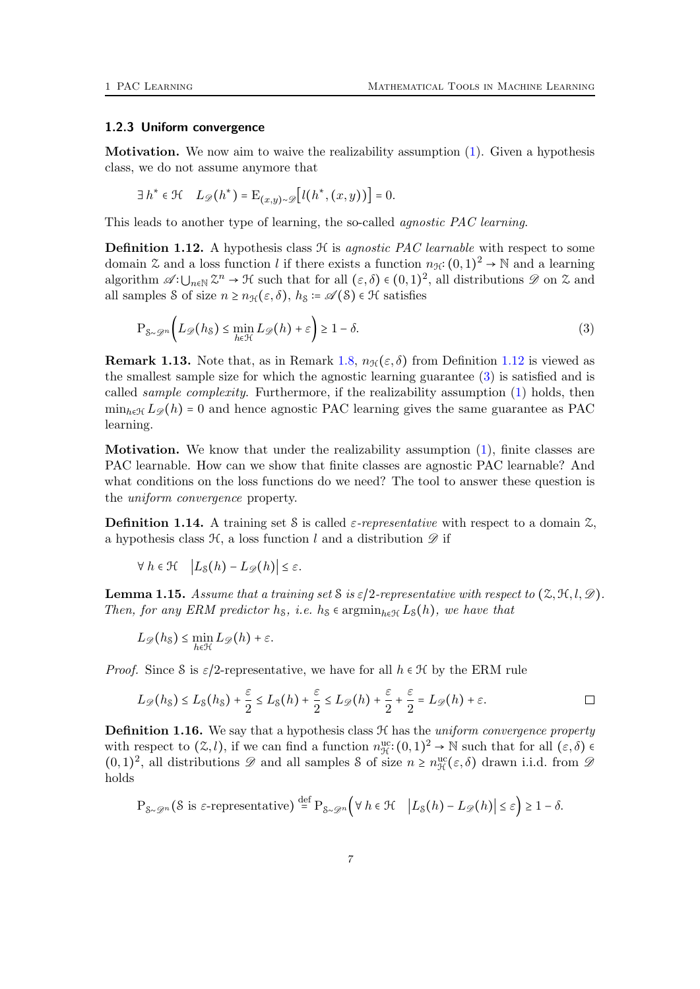#### <span id="page-6-0"></span>1.2.3 Uniform convergence

Motivation. We now aim to waive the realizability assumption [\(1\)](#page-3-2). Given a hypothesis class, we do not assume anymore that

$$
\exists h^* \in \mathcal{H} \quad L_{\mathscr{D}}(h^*) = \mathcal{E}_{(x,y)\sim \mathscr{D}}\big[l(h^*, (x,y))\big] = 0.
$$

This leads to another type of learning, the so-called *agnostic PAC learning*.

<span id="page-6-1"></span>**Definition 1.12.** A hypothesis class  $H$  is agnostic PAC learnable with respect to some domain  $\mathfrak X$  and a loss function l if there exists a function  $n_{\mathcal{H}}: (0,1)^2 \to \mathbb N$  and a learning algorithm  $\mathscr{A}:\bigcup_{n\in\mathbb{N}}\mathbb{Z}^n\to\mathcal{H}$  such that for all  $(\varepsilon,\delta)\in(0,1)^2$ , all distributions  $\mathscr{D}$  on  $\mathscr{Z}$  and all samples S of size  $n \geq n_{\mathcal{H}}(\varepsilon, \delta)$ ,  $h_{\mathcal{S}} \coloneq \mathcal{A}(\mathcal{S}) \in \mathcal{H}$  satisfies

<span id="page-6-2"></span>
$$
P_{\mathcal{S}\sim\mathcal{D}^n}\bigg(L_{\mathscr{D}}(h_{\mathcal{S}})\leq \min_{h\in\mathcal{H}}L_{\mathscr{D}}(h)+\varepsilon\bigg)\geq 1-\delta.
$$
\n(3)

**Remark 1.13.** Note that, as in Remark [1.8,](#page-4-2)  $n_{\mathcal{H}}(\varepsilon, \delta)$  from Definition [1.12](#page-6-1) is viewed as the smallest sample size for which the agnostic learning guarantee [\(3\)](#page-6-2) is satisfied and is called sample complexity. Furthermore, if the realizability assumption [\(1\)](#page-3-2) holds, then  $\min_{h \in \mathcal{H}} L_{\mathscr{D}}(h) = 0$  and hence agnostic PAC learning gives the same guarantee as PAC learning.

Motivation. We know that under the realizability assumption [\(1\)](#page-3-2), finite classes are PAC learnable. How can we show that finite classes are agnostic PAC learnable? And what conditions on the loss functions do we need? The tool to answer these question is the uniform convergence property.

**Definition 1.14.** A training set S is called  $\varepsilon$ -representative with respect to a domain  $\mathcal{Z}$ , a hypothesis class  $\mathcal{H}$ , a loss function l and a distribution  $\mathscr{D}$  if

$$
\forall h \in \mathcal{H} \quad \left| L_{\mathcal{S}}(h) - L_{\mathscr{D}}(h) \right| \leq \varepsilon.
$$

<span id="page-6-3"></span>**Lemma 1.15.** Assume that a training set S is  $\varepsilon/2$ -representative with respect to  $(\mathcal{Z}, \mathcal{H}, l, \mathcal{D})$ . Then, for any ERM predictor h<sub>S</sub>, i.e. h<sub>S</sub>  $\epsilon$  argmin<sub>h∈H</sub>  $L_S(h)$ , we have that

$$
L_{\mathscr{D}}(h_{\mathcal{S}}) \leq \min_{h \in \mathcal{H}} L_{\mathscr{D}}(h) + \varepsilon.
$$

*Proof.* Since S is  $\varepsilon/2$ -representative, we have for all  $h \in \mathcal{H}$  by the ERM rule

$$
L_{\mathscr{D}}(h_{\mathcal{S}}) \leq L_{\mathcal{S}}(h_{\mathcal{S}}) + \frac{\varepsilon}{2} \leq L_{\mathcal{S}}(h) + \frac{\varepsilon}{2} \leq L_{\mathscr{D}}(h) + \frac{\varepsilon}{2} + \frac{\varepsilon}{2} = L_{\mathscr{D}}(h) + \varepsilon.
$$

**Definition 1.16.** We say that a hypothesis class  $H$  has the *uniform convergence property* with respect to  $(\mathcal{Z}, l)$ , if we can find a function  $n_{\mathcal{H}}^{\text{uc}}: (0, 1)^2 \to \mathbb{N}$  such that for all  $(\varepsilon, \delta) \in$  $(0, 1)^2$ , all distributions  $\mathscr D$  and all samples S of size  $n \ge n_{\mathcal{H}}^{\text{uc}}(\varepsilon, \delta)$  drawn i.i.d. from  $\mathscr D$ holds

$$
\mathbf{P}_{\mathcal{S}\sim\mathcal{D}^n}(\mathcal{S} \text{ is } \varepsilon\text{-representative}) \stackrel{\text{def}}{=} \mathbf{P}_{\mathcal{S}\sim\mathcal{D}^n}\Big(\forall\ h\in\mathcal{H} \quad \left|L_{\mathcal{S}}(h)-L_{\mathcal{D}}(h)\right|\leq\varepsilon\Big) \geq 1-\delta.
$$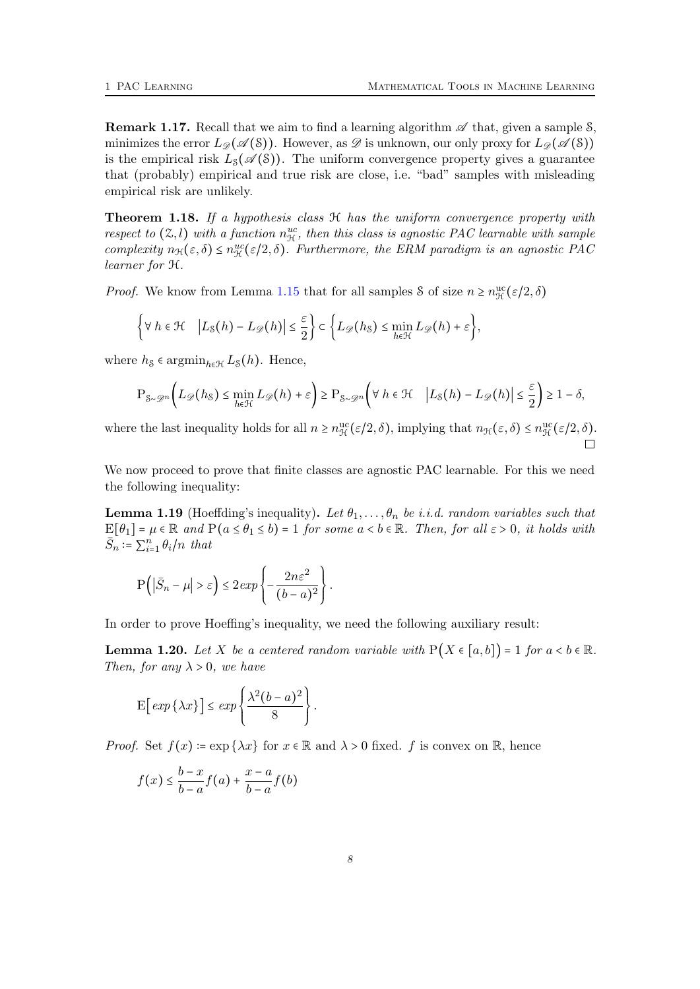**Remark 1.17.** Recall that we aim to find a learning algorithm  $\mathscr A$  that, given a sample S, minimizes the error  $L_{\mathscr{D}}(\mathscr{A}(\mathcal{S}))$ . However, as  $\mathscr{D}$  is unknown, our only proxy for  $L_{\mathscr{D}}(\mathscr{A}(\mathcal{S}))$ is the empirical risk  $L_{\mathcal{S}}(\mathscr{A}(\mathcal{S}))$ . The uniform convergence property gives a guarantee that (probably) empirical and true risk are close, i.e. "bad" samples with misleading empirical risk are unlikely.

<span id="page-7-2"></span>**Theorem 1.18.** If a hypothesis class  $H$  has the uniform convergence property with respect to  $(2, l)$  with a function  $n_{\mathcal{H}}^{uc}$ , then this class is agnostic PAC learnable with sample complexity  $n_{\mathcal{H}}(\varepsilon,\delta) \leq n_{\mathcal{H}}^{uc}(\varepsilon/2,\delta)$ . Furthermore, the ERM paradigm is an agnostic PAC learner for H.

*Proof.* We know from Lemma [1.15](#page-6-3) that for all samples  $\delta$  of size  $n \ge n_{\mathcal{H}}^{\text{uc}}(\varepsilon/2, \delta)$ 

$$
\left\{\forall\ h\in\mathcal{H}\quad \left|L_{\mathcal{S}}(h)-L_{\mathscr{D}}(h)\right|\leq\frac{\varepsilon}{2}\right\}\subset\left\{L_{\mathscr{D}}(h_{\mathcal{S}})\leq\min_{h\in\mathcal{H}}L_{\mathscr{D}}(h)+\varepsilon\right\},\right\}
$$

where  $h_{\mathcal{S}} \in \operatorname{argmin}_{h \in \mathcal{H}} L_{\mathcal{S}}(h)$ . Hence,

$$
\mathbf{P}_{\mathcal{S}\sim\mathcal{D}^n}\Big(L_{\mathscr{D}}(h_{\mathcal{S}})\leq \min_{h\in\mathcal{H}}L_{\mathscr{D}}(h)+\varepsilon\Big)\geq \mathbf{P}_{\mathcal{S}\sim\mathcal{D}^n}\Big(\forall\,h\in\mathcal{H}\quad \Big|L_{\mathcal{S}}(h)-L_{\mathscr{D}}(h)\Big|\leq \frac{\varepsilon}{2}\Big)\geq 1-\delta,
$$

where the last inequality holds for all  $n \ge n_{\mathcal{H}}^{\text{uc}}(\varepsilon/2, \delta)$ , implying that  $n_{\mathcal{H}}(\varepsilon, \delta) \le n_{\mathcal{H}}^{\text{uc}}(\varepsilon/2, \delta)$ .

We now proceed to prove that finite classes are agnostic PAC learnable. For this we need the following inequality:

<span id="page-7-0"></span>**Lemma 1.19** (Hoeffding's inequality). Let  $\theta_1, \ldots, \theta_n$  be i.i.d. random variables such that  $E[\theta_1] = \mu \in \mathbb{R}$  and  $P(a \leq \theta_1 \leq b) = 1$  for some  $a < b \in \mathbb{R}$ . Then, for all  $\varepsilon > 0$ , it holds with  $\overline{S}_n := \sum_{i=1}^n \theta_i / n$  that

$$
P(|\bar{S}_n - \mu| > \varepsilon) \leq 2 \exp\left\{-\frac{2n\varepsilon^2}{(b-a)^2}\right\}.
$$

In order to prove Hoeffing's inequality, we need the following auxiliary result:

<span id="page-7-1"></span>**Lemma 1.20.** Let X be a centered random variable with  $P(X \in [a, b]) = 1$  for  $a < b \in \mathbb{R}$ . Then, for any  $\lambda > 0$ , we have

$$
\mathbf{E}\Big[\exp\left\{\lambda x\right\}\Big] \leq \exp\left\{\frac{\lambda^2(b-a)^2}{8}\right\}.
$$

*Proof.* Set  $f(x) = \exp{\{\lambda x\}}$  for  $x \in \mathbb{R}$  and  $\lambda > 0$  fixed. f is convex on  $\mathbb{R}$ , hence

$$
f(x) \le \frac{b-x}{b-a} f(a) + \frac{x-a}{b-a} f(b)
$$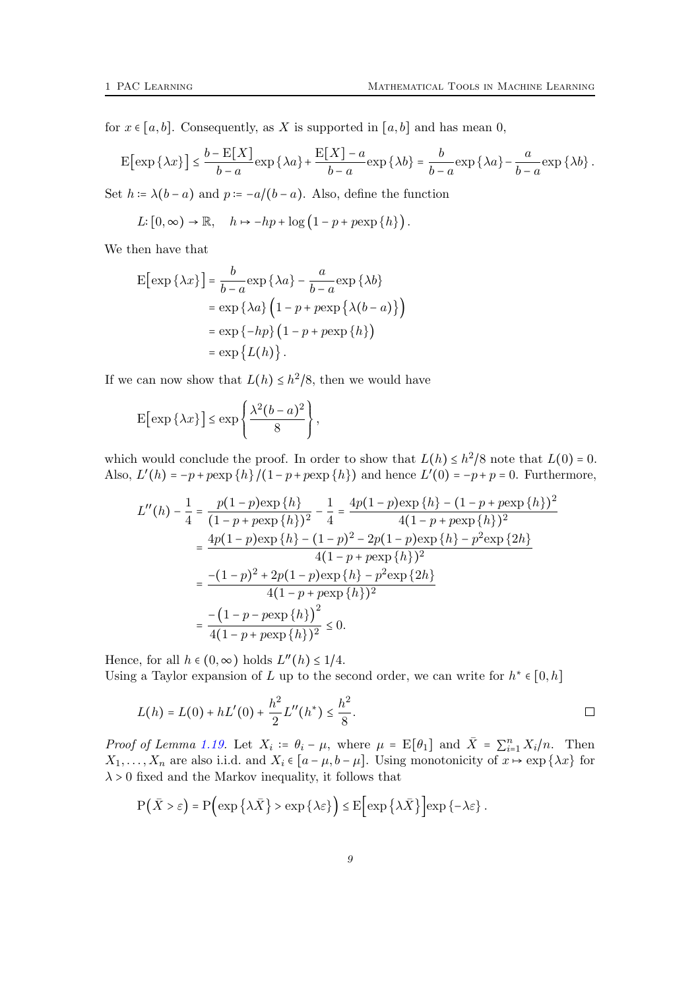for  $x \in [a, b]$ . Consequently, as X is supported in  $[a, b]$  and has mean 0,

$$
\mathbb{E}\big[\exp\left\{\lambda x\right\}\big] \leq \frac{b - \mathbb{E}[X]}{b - a}\exp\left\{\lambda a\right\} + \frac{\mathbb{E}[X] - a}{b - a}\exp\left\{\lambda b\right\} = \frac{b}{b - a}\exp\left\{\lambda a\right\} - \frac{a}{b - a}\exp\left\{\lambda b\right\}.
$$

Set  $h = \lambda(b - a)$  and  $p = -a/(b - a)$ . Also, define the function

$$
L: [0, \infty) \to \mathbb{R}, \quad h \mapsto -hp + \log (1 - p + p \exp \{h\}).
$$

We then have that

$$
E[\exp {\lambda x}] = \frac{b}{b-a} \exp {\lambda a} - \frac{a}{b-a} \exp {\lambda b}
$$
  
=  $\exp {\lambda a} \left(1 - p + p \exp {\lambda (b-a)}\right)$   
=  $\exp{-hp} \left(1 - p + p \exp{\{h\}}\right)$   
=  $\exp{L(h)}$ .

If we can now show that  $L(h) \leq h^2/8$ , then we would have

$$
\mathbf{E}\big[\exp\{\lambda x\}\big] \le \exp\left\{\frac{\lambda^2(b-a)^2}{8}\right\},\
$$

which would conclude the proof. In order to show that  $L(h) \leq h^2/8$  note that  $L(0) = 0$ . Also,  $L'(h) = -p + p \exp\{h\} / (1 - p + p \exp\{h\})$  and hence  $L'(0) = -p + p = 0$ . Furthermore,

$$
L''(h) - \frac{1}{4} = \frac{p(1-p)\exp\{h\}}{(1-p+p\exp\{h\})^2} - \frac{1}{4} = \frac{4p(1-p)\exp\{h\} - (1-p+p\exp\{h\})^2}{4(1-p+p\exp\{h\})^2}
$$

$$
= \frac{4p(1-p)\exp\{h\} - (1-p)^2 - 2p(1-p)\exp\{h\} - p^2\exp\{2h\}}{4(1-p+p\exp\{h\})^2}
$$

$$
= \frac{-(1-p)^2 + 2p(1-p)\exp\{h\} - p^2\exp\{2h\}}{4(1-p+p\exp\{h\})^2}
$$

$$
= \frac{-(1-p-p\exp\{h\})^2}{4(1-p+p\exp\{h\})^2} \le 0.
$$

Hence, for all  $h \in (0, \infty)$  holds  $L''(h) \leq 1/4$ . Using a Taylor expansion of L up to the second order, we can write for  $h^* \in [0, h]$ 

$$
L(h) = L(0) + hL'(0) + \frac{h^2}{2}L''(h^*) \leq \frac{h^2}{8}.
$$

*Proof of Lemma [1.19.](#page-7-0)* Let  $X_i := \theta_i - \mu$ , where  $\mu = \mathbb{E}[\theta_1]$  and  $\bar{X} = \sum_{i=1}^n X_i/n$ . Then  $X_1, \ldots, X_n$  are also i.i.d. and  $X_i \in [a - \mu, b - \mu]$ . Using monotonicity of  $x \mapsto \exp\{\lambda x\}$  for  $\lambda > 0$  fixed and the Markov inequality, it follows that

$$
P(\bar{X} > \varepsilon) = P\left(\exp\left\{\lambda \bar{X}\right\} > \exp\left\{\lambda \varepsilon\right\}\right) \leq E\left[\exp\left\{\lambda \bar{X}\right\}\right] \exp\left\{-\lambda \varepsilon\right\}.
$$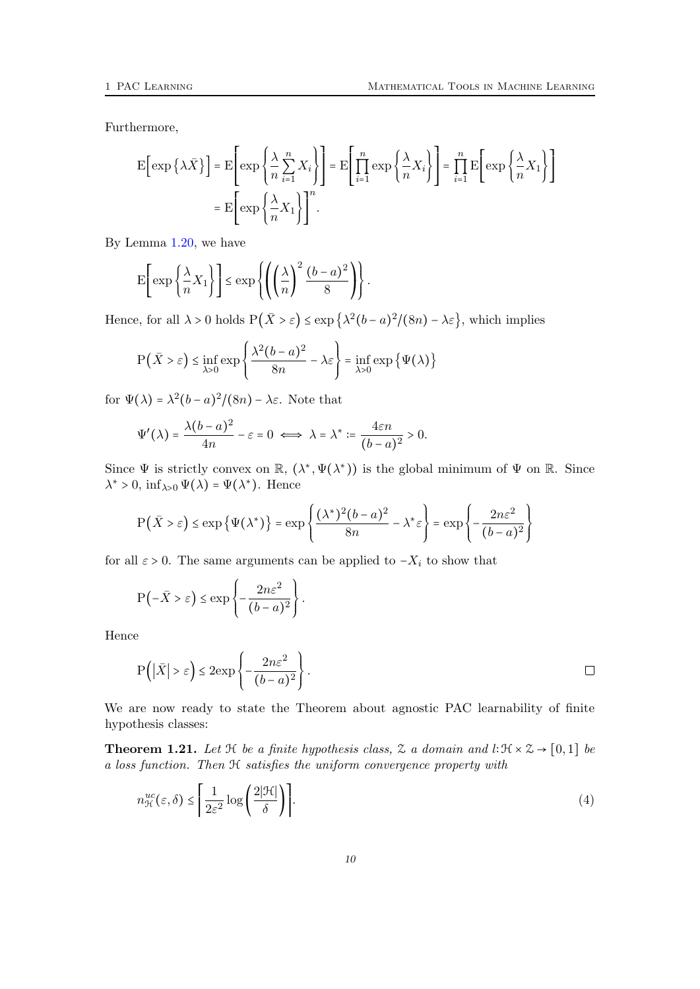Furthermore,

$$
\mathcal{E}\left[\exp\left\{\lambda \bar{X}\right\}\right] = \mathcal{E}\left[\exp\left\{\frac{\lambda}{n}\sum_{i=1}^{n}X_i\right\}\right] = \mathcal{E}\left[\prod_{i=1}^{n}\exp\left\{\frac{\lambda}{n}X_i\right\}\right] = \prod_{i=1}^{n}\mathcal{E}\left[\exp\left\{\frac{\lambda}{n}X_1\right\}\right]
$$

$$
= \mathcal{E}\left[\exp\left\{\frac{\lambda}{n}X_1\right\}\right]^n.
$$

By Lemma [1.20,](#page-7-1) we have

$$
\mathbf{E}\left[\exp\left\{\frac{\lambda}{n}X_1\right\}\right] \le \exp\left\{\left(\left(\frac{\lambda}{n}\right)^2\frac{(b-a)^2}{8}\right)\right\}.
$$

Hence, for all  $\lambda > 0$  holds  $P(\bar{X} > \varepsilon) \leq \exp\left\{\lambda^2(b-a)^2/(8n) - \lambda \varepsilon\right\}$ , which implies

$$
\mathbf{P}(\bar{X} > \varepsilon) \le \inf_{\lambda > 0} \exp\left\{ \frac{\lambda^2 (b - a)^2}{8n} - \lambda \varepsilon \right\} = \inf_{\lambda > 0} \exp\left\{ \Psi(\lambda) \right\}
$$

for  $\Psi(\lambda) = \lambda^2 (b-a)^2/(8n) - \lambda \varepsilon$ . Note that

$$
\Psi'(\lambda) = \frac{\lambda(b-a)^2}{4n} - \varepsilon = 0 \iff \lambda = \lambda^* := \frac{4\varepsilon n}{(b-a)^2} > 0.
$$

Since  $\Psi$  is strictly convex on  $\mathbb{R}$ ,  $(\lambda^*, \Psi(\lambda^*))$  is the global minimum of  $\Psi$  on  $\mathbb{R}$ . Since  $\lambda^* > 0$ ,  $\inf_{\lambda > 0} \Psi(\lambda) = \Psi(\lambda^*)$ . Hence

$$
P(\bar{X} > \varepsilon) \le \exp\left\{\Psi(\lambda^*)\right\} = \exp\left\{\frac{(\lambda^*)^2(b-a)^2}{8n} - \lambda^*\varepsilon\right\} = \exp\left\{-\frac{2n\varepsilon^2}{(b-a)^2}\right\}
$$

for all  $\varepsilon > 0$ . The same arguments can be applied to  $-X_i$  to show that

$$
P(-\bar{X} > \varepsilon) \le \exp\left\{-\frac{2n\varepsilon^2}{(b-a)^2}\right\}.
$$

Hence

$$
P(|\bar{X}| > \varepsilon) \le 2 \exp\left\{-\frac{2n\varepsilon^2}{(b-a)^2}\right\}.
$$

We are now ready to state the Theorem about agnostic PAC learnability of finite hypothesis classes:

<span id="page-9-1"></span>**Theorem 1.21.** Let  $\mathcal H$  be a finite hypothesis class,  $\mathcal Z$  a domain and l∶ $\mathcal H \times \mathcal Z \to [0,1]$  be a loss function. Then H satisfies the uniform convergence property with

<span id="page-9-0"></span>
$$
n_{\mathcal{H}}^{uc}(\varepsilon,\delta) \le \left[ \frac{1}{2\varepsilon^2} \log \left( \frac{2|\mathcal{H}|}{\delta} \right) \right].
$$
 (4)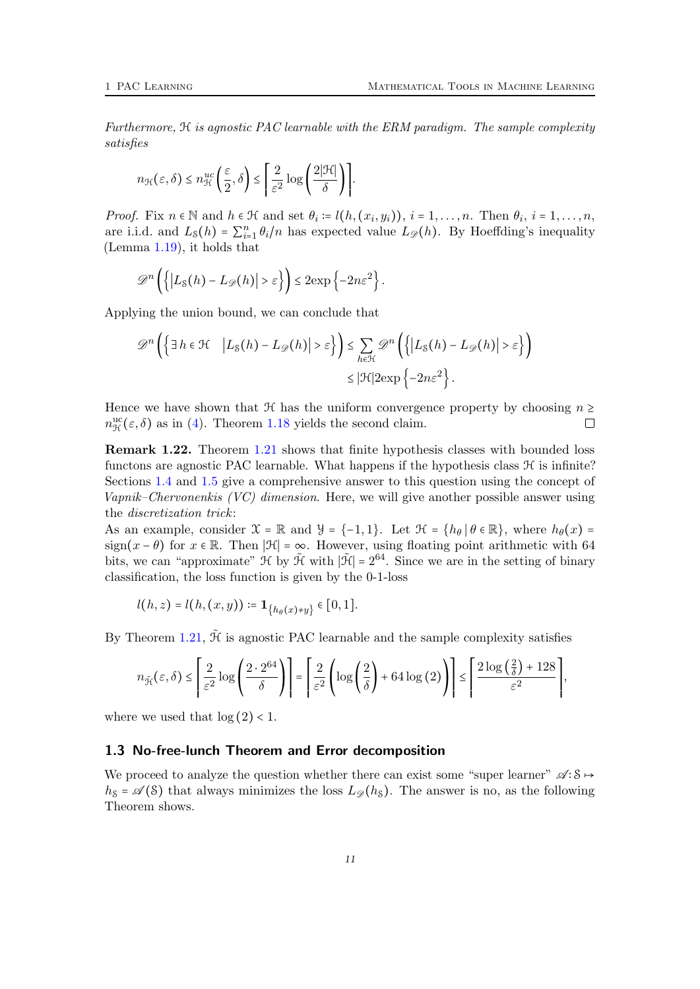Furthermore, H is agnostic PAC learnable with the ERM paradigm. The sample complexity satisfies

$$
n_{\mathcal{H}}(\varepsilon,\delta) \leq n_{\mathcal{H}}^{uc}\left(\frac{\varepsilon}{2},\delta\right) \leq \left[\frac{2}{\varepsilon^2}\log\left(\frac{2|\mathcal{H}|}{\delta}\right)\right].
$$

*Proof.* Fix  $n \in \mathbb{N}$  and  $h \in \mathcal{H}$  and set  $\theta_i := l(h, (x_i, y_i)), i = 1, \ldots, n$ . Then  $\theta_i, i = 1, \ldots, n$ , are i.i.d. and  $L_{\mathcal{S}}(h) = \sum_{i=1}^{n} \theta_i/n$  has expected value  $L_{\mathcal{D}}(h)$ . By Hoeffding's inequality (Lemma [1.19\)](#page-7-0), it holds that

$$
\mathscr{D}^n\left(\left\{|L_{\mathcal{S}}(h) - L_{\mathscr{D}}(h)| > \varepsilon\right\}\right) \leq 2 \exp\left\{-2n\varepsilon^2\right\}.
$$

Applying the union bound, we can conclude that

$$
\mathscr{D}^n\left(\left\{\exists h\in\mathcal{H}\quad \left|L_{\mathcal{S}}(h)-L_{\mathscr{D}}(h)\right|>\varepsilon\right\}\right)\leq \sum_{h\in\mathcal{H}}\mathscr{D}^n\left(\left\{\left|L_{\mathcal{S}}(h)-L_{\mathscr{D}}(h)\right|>\varepsilon\right\}\right)
$$

$$
\leq |\mathcal{H}|2\exp\left\{-2n\varepsilon^2\right\}.
$$

Hence we have shown that  $\mathcal H$  has the uniform convergence property by choosing  $n \geq$  $n_{\mathcal{H}}^{\text{uc}}(\varepsilon,\delta)$  as in [\(4\)](#page-9-0). Theorem [1.18](#page-7-2) yields the second claim.  $\Box$ 

Remark 1.22. Theorem [1.21](#page-9-1) shows that finite hypothesis classes with bounded loss functons are agnostic PAC learnable. What happens if the hypothesis class  $\mathcal H$  is infinite? Sections [1.4](#page-13-0) and [1.5](#page-17-0) give a comprehensive answer to this question using the concept of Vapnik–Chervonenkis (VC) dimension. Here, we will give another possible answer using the discretization trick:

As an example, consider  $\mathcal{X} = \mathbb{R}$  and  $\mathcal{Y} = \{-1, 1\}$ . Let  $\mathcal{H} = \{h_\theta | \theta \in \mathbb{R}\}$ , where  $h_\theta(x) =$ sign( $x - \theta$ ) for  $x \in \mathbb{R}$ . Then  $|\mathcal{H}| = \infty$ . However, using floating point arithmetic with 64 bits, we can "approximate"  $\mathcal{H}$  by  $\tilde{\mathcal{H}}$  with  $|\tilde{\mathcal{H}}| = 2^{64}$ . Since we are in the setting of binary classification, the loss function is given by the 0-1-loss

$$
l(h,z) = l(h,(x,y)) \coloneqq \mathbf{1}_{\{h_\theta(x) \neq y\}} \in [0,1].
$$

By Theorem [1.21,](#page-9-1)  $\tilde{\mathcal{H}}$  is agnostic PAC learnable and the sample complexity satisfies

$$
n_{\tilde{\mathcal{H}}}(\varepsilon,\delta) \leq \left\lceil \frac{2}{\varepsilon^2}\log\left(\frac{2\cdot 2^{64}}{\delta}\right) \right\rceil = \left\lceil \frac{2}{\varepsilon^2}\left(\log\left(\frac{2}{\delta}\right) + 64\log\left(2\right)\right) \right\rceil \leq \left\lceil \frac{2\log\left(\frac{2}{\delta}\right) + 128}{\varepsilon^2} \right\rceil,
$$

where we used that  $\log(2) < 1$ .

#### <span id="page-10-0"></span>1.3 No-free-lunch Theorem and Error decomposition

We proceed to analyze the question whether there can exist some "super learner"  $\mathscr{A} : S \mapsto$  $h_{\mathcal{S}} = \mathcal{A}(\mathcal{S})$  that always minimizes the loss  $L_{\mathcal{D}}(h_{\mathcal{S}})$ . The answer is no, as the following Theorem shows.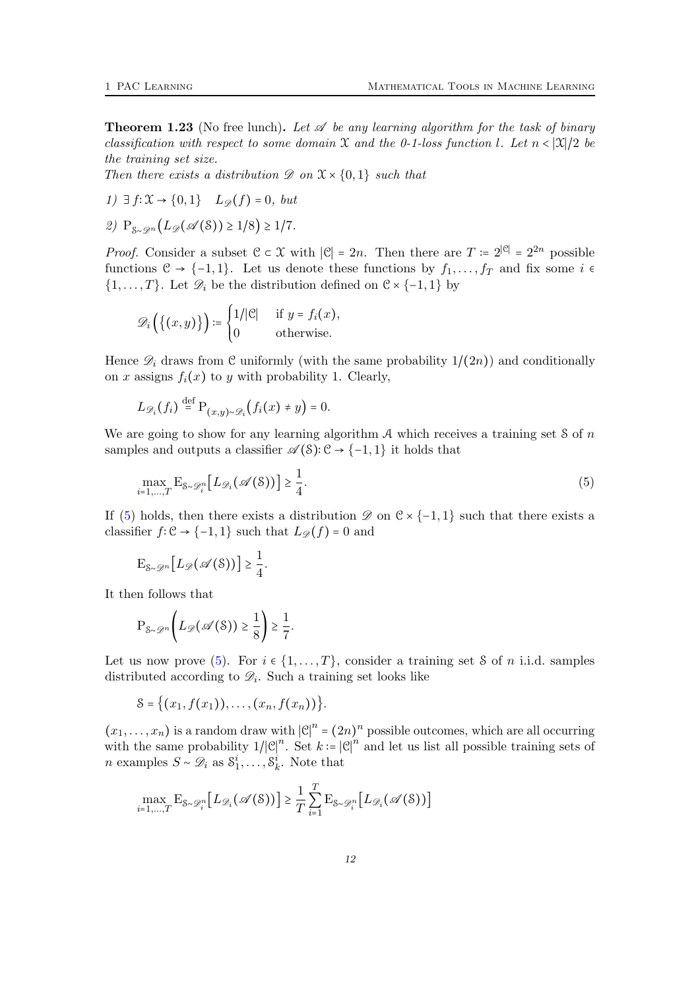<span id="page-11-0"></span>**Theorem 1.23** (No free lunch). Let  $\mathscr A$  be any learning algorithm for the task of binary classification with respect to some domain X and the 0-1-loss function l. Let  $n < |\mathfrak{X}|/2$  be the training set size.

Then there exists a distribution  $\mathscr{D}$  on  $\mathfrak{X} \times \{0,1\}$  such that

$$
1) \exists f \colon \mathfrak{X} \to \{0, 1\} \quad L_{\mathscr{D}}(f) = 0, \; but
$$

$$
\text{2) } P_{\mathcal{S}\sim\mathcal{D}^n}(L_{\mathscr{D}}(\mathscr{A}(S)) \geq 1/8) \geq 1/7.
$$

*Proof.* Consider a subset  $\mathcal{C} \subset \mathcal{X}$  with  $|\mathcal{C}| = 2n$ . Then there are  $T = 2^{|\mathcal{C}|} = 2^{2n}$  possible functions  $C \rightarrow \{-1, 1\}$ . Let us denote these functions by  $f_1, \ldots, f_T$  and fix some  $i \in$  $\{1, \ldots, T\}$ . Let  $\mathscr{D}_i$  be the distribution defined on  $\mathfrak{C} \times \{-1, 1\}$  by

$$
\mathscr{D}_i\left(\{(x,y)\}\right) \coloneqq \begin{cases} 1/|\mathcal{C}| & \text{if } y = f_i(x), \\ 0 & \text{otherwise.} \end{cases}
$$

Hence  $\mathscr{D}_i$  draws from C uniformly (with the same probability  $1/(2n)$ ) and conditionally on x assigns  $f_i(x)$  to y with probability 1. Clearly,

$$
L_{\mathscr{D}_i}(f_i) \stackrel{\text{def}}{=} \mathrm{P}_{(x,y)\sim \mathscr{D}_i}(f_i(x) \neq y) = 0.
$$

We are going to show for any learning algorithm  $A$  which receives a training set S of n samples and outputs a classifier  $\mathscr{A}(\mathcal{S})$ : C → {-1, 1} it holds that

<span id="page-11-1"></span>
$$
\max_{i=1,\dots,T} \mathcal{E}_{\mathcal{S}\sim\mathcal{D}_i^n} \big[ L_{\mathcal{D}_i}(\mathcal{A}(\mathcal{S})) \big] \ge \frac{1}{4}.\tag{5}
$$

If [\(5\)](#page-11-1) holds, then there exists a distribution  $\mathscr{D}$  on  $\mathscr{C} \times \{-1,1\}$  such that there exists a classifier  $f: \mathcal{C} \to \{-1, 1\}$  such that  $L_{\mathscr{D}}(f) = 0$  and

$$
\mathrm{E}_{\mathcal{S}\sim\mathcal{D}^n}\big[L_{\mathscr{D}}(\mathscr{A}(\mathcal{S}))\big]\geq \frac{1}{4}.
$$

It then follows that

$$
\mathrm{P}_{\mathcal{S}\sim\mathscr{D}^n}\bigg(L_{\mathscr{D}}(\mathscr{A}(\mathcal{S}))\geq \frac{1}{8}\bigg)\geq \frac{1}{7}.
$$

Let us now prove [\(5\)](#page-11-1). For  $i \in \{1, \ldots, T\}$ , consider a training set S of n i.i.d. samples distributed according to  $\mathscr{D}_i$ . Such a training set looks like

$$
S = \{(x_1, f(x_1)), \ldots, (x_n, f(x_n))\}.
$$

 $(x_1, \ldots, x_n)$  is a random draw with  $|\mathcal{C}|^n = (2n)^n$  possible outcomes, which are all occurring with the same probability  $1/|\mathcal{C}|^n$ . Set  $k = |\mathcal{C}|^n$  and let us list all possible training sets of *n* examples  $S \sim \mathcal{D}_i$  as  $S_1^i, \ldots, S_k^i$ . Note that

$$
\max_{i=1,\dots,T} \mathrm{E}_{\mathcal{S}\sim\mathcal{D}_i^n} \big[L_{\mathcal{D}_i}(\mathcal{A}(\mathcal{S}))\big] \ge \frac{1}{T} \sum_{i=1}^T \mathrm{E}_{\mathcal{S}\sim\mathcal{D}_i^n} \big[L_{\mathcal{D}_i}(\mathcal{A}(\mathcal{S}))\big]
$$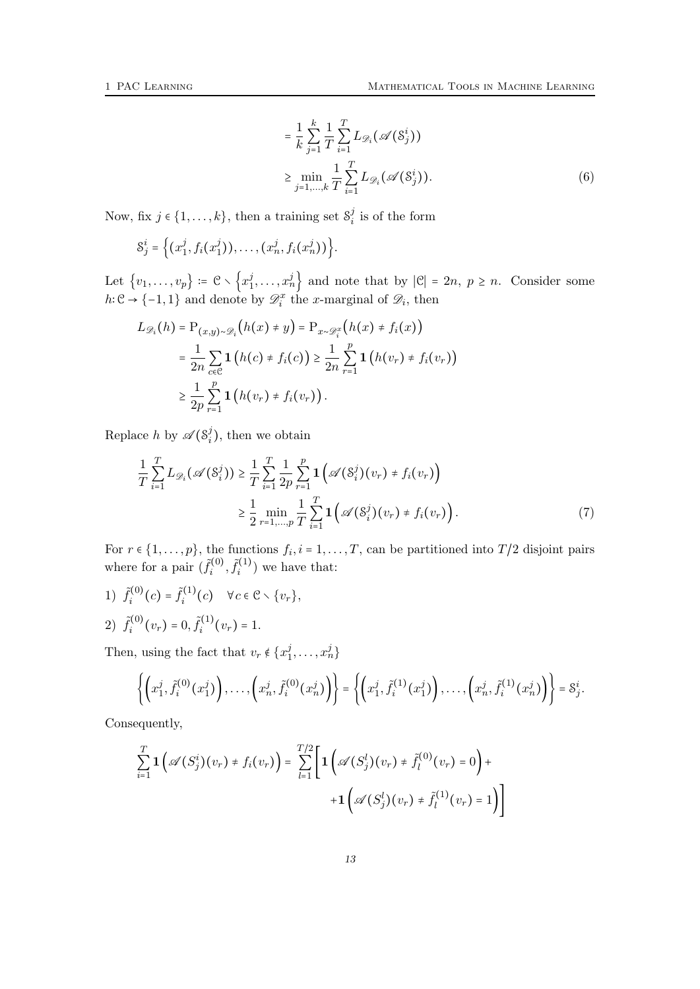<span id="page-12-0"></span>
$$
= \frac{1}{k} \sum_{j=1}^{k} \frac{1}{T} \sum_{i=1}^{T} L_{\mathscr{D}_i}(\mathscr{A}(S_j^i))
$$
  
\n
$$
\geq \min_{j=1,\dots,k} \frac{1}{T} \sum_{i=1}^{T} L_{\mathscr{D}_i}(\mathscr{A}(S_j^i)).
$$
 (6)

Now, fix  $j \in \{1, ..., k\}$ , then a training set  $S_i^j$  $i$  is of the form

$$
S_j^i = \Big\{ (x_1^j, f_i(x_1^j)), \ldots, (x_n^j, f_i(x_n^j)) \Big\}.
$$

Let  $\{v_1,\ldots,v_p\}\coloneqq \mathcal{C}\smallsetminus\left\{x_1^j\right\}$  $\{(\mathbf{x}_1^j, \ldots, \mathbf{x}_n^j)\}$  and note that by  $|\mathcal{C}| = 2n, p \ge n$ . Consider some  $h: \mathcal{C} \to \{-1,1\}$  and denote by  $\mathcal{D}_i^x$  the x-marginal of  $\mathcal{D}_i$ , then

$$
L_{\mathscr{D}_i}(h) = \mathcal{P}_{(x,y)\sim\mathscr{D}_i}\big(h(x) \neq y\big) = \mathcal{P}_{x\sim\mathscr{D}_i^x}\big(h(x) \neq f_i(x)\big)
$$
  
= 
$$
\frac{1}{2n} \sum_{c \in \mathcal{C}} \mathbf{1}\big(h(c) \neq f_i(c)\big) \geq \frac{1}{2n} \sum_{r=1}^p \mathbf{1}\big(h(v_r) \neq f_i(v_r)\big)
$$
  

$$
\geq \frac{1}{2p} \sum_{r=1}^p \mathbf{1}\big(h(v_r) \neq f_i(v_r)\big).
$$

Replace h by  $\mathscr{A}(\mathcal{S}_i^j)$  $i_j$ , then we obtain

<span id="page-12-1"></span>
$$
\frac{1}{T} \sum_{i=1}^{T} L_{\mathscr{D}_i}(\mathscr{A}(S_i^j)) \geq \frac{1}{T} \sum_{i=1}^{T} \frac{1}{2p} \sum_{r=1}^{p} \mathbf{1} (\mathscr{A}(S_i^j)(v_r) \neq f_i(v_r))
$$
\n
$$
\geq \frac{1}{2} \min_{r=1,\dots,p} \frac{1}{T} \sum_{i=1}^{T} \mathbf{1} (\mathscr{A}(S_i^j)(v_r) \neq f_i(v_r)). \tag{7}
$$

For  $r \in \{1, \ldots, p\}$ , the functions  $f_i, i = 1, \ldots, T$ , can be partitioned into  $T/2$  disjoint pairs where for a pair  $(\tilde{f}_i^{(0)})$  $\tilde{f}_i^{(0)}, \tilde{f}_i^{(1)}$  $i^{(1)}$  we have that:

1)  $\tilde{f}_i^{(0)}$  $\tilde{f}_i^{(0)}(c) = \tilde{f}_i^{(1)}$  $\mathcal{E}_i^{(1)}(c) \quad \forall c \in \mathcal{C} \setminus \{v_r\},$ 2)  $\tilde{f}_i^{(0)}$  $\tilde{f}_i^{(0)}(v_r) = 0, \tilde{f}_i^{(1)}$  $i^{(1)}(v_r)=1.$ 

Then, using the fact that  $v_r \notin \{x_1^j\}$  $\{i_1,\ldots,i_n\}$ 

$$
\left\{ \left(x_1^j, \tilde{f}_i^{(0)}(x_1^j)\right), \ldots, \left(x_n^j, \tilde{f}_i^{(0)}(x_n^j)\right) \right\} = \left\{ \left(x_1^j, \tilde{f}_i^{(1)}(x_1^j)\right), \ldots, \left(x_n^j, \tilde{f}_i^{(1)}(x_n^j)\right) \right\} = \mathcal{S}_j^i.
$$

Consequently,

$$
\sum_{i=1}^{T} \mathbf{1} \left( \mathscr{A}(S_j^i)(v_r) \neq f_i(v_r) \right) = \sum_{l=1}^{T/2} \left[ \mathbf{1} \left( \mathscr{A}(S_j^l)(v_r) \neq \tilde{f}_l^{(0)}(v_r) = 0 \right) + \\ + \mathbf{1} \left( \mathscr{A}(S_j^l)(v_r) \neq \tilde{f}_l^{(1)}(v_r) = 1 \right) \right]
$$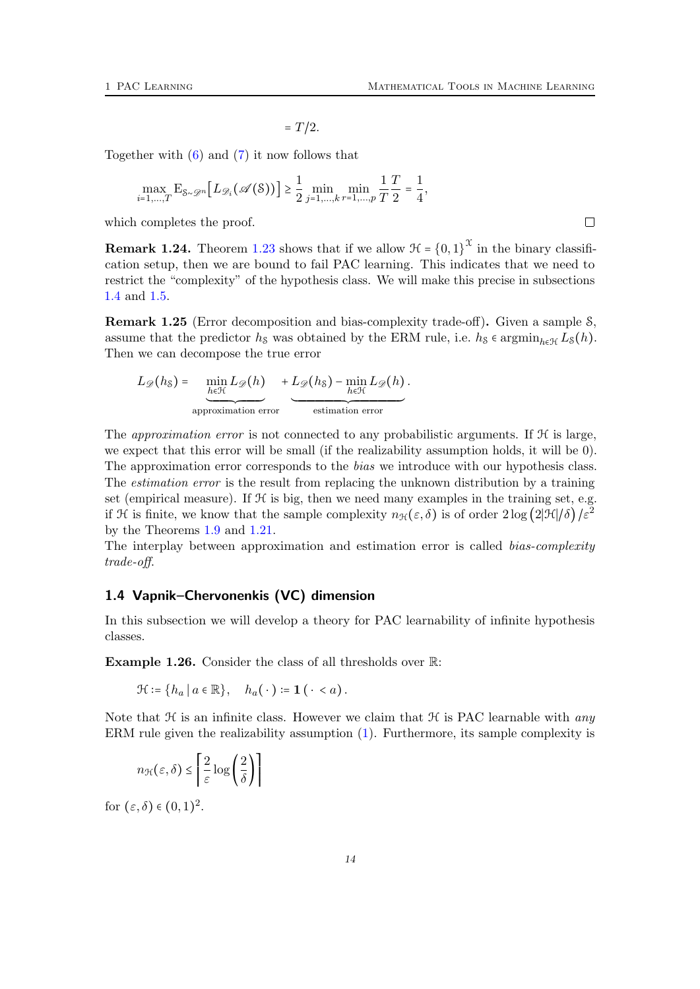$= T/2.$ 

Together with  $(6)$  and  $(7)$  it now follows that

$$
\max_{i=1,\dots,T} \mathrm{E}_{\mathcal{S}\sim\mathcal{D}^n} \big[L_{\mathcal{D}_i}(\mathcal{A}(\mathcal{S}))\big] \ge \frac{1}{2} \min_{j=1,\dots,k} \min_{r=1,\dots,p} \frac{1}{T} \frac{T}{2} = \frac{1}{4},
$$

which completes the proof.

**Remark 1.24.** Theorem [1.23](#page-11-0) shows that if we allow  $\mathcal{H} = \{0,1\}^{\mathcal{X}}$  in the binary classification setup, then we are bound to fail PAC learning. This indicates that we need to restrict the "complexity" of the hypothesis class. We will make this precise in subsections [1.4](#page-13-0) and [1.5.](#page-17-0)

Remark 1.25 (Error decomposition and bias-complexity trade-off). Given a sample S, assume that the predictor  $h_s$  was obtained by the ERM rule, i.e.  $h_s \in \operatorname{argmin}_{h \in \mathcal{H}} L_s(h)$ . Then we can decompose the true error

$$
L_{\mathscr{D}}(h_{\mathcal{S}}) = \underbrace{\min_{h \in \mathcal{H}} L_{\mathscr{D}}(h)}_{\text{approximation error}} + \underbrace{L_{\mathscr{D}}(h_{\mathcal{S}}) - \min_{h \in \mathcal{H}} L_{\mathscr{D}}(h)}_{\text{estimation error}}.
$$

The *approximation error* is not connected to any probabilistic arguments. If  $H$  is large, we expect that this error will be small (if the realizability assumption holds, it will be 0). The approximation error corresponds to the *bias* we introduce with our hypothesis class. The *estimation error* is the result from replacing the unknown distribution by a training set (empirical measure). If  $H$  is big, then we need many examples in the training set, e.g. if H is finite, we know that the sample complexity  $n_{\mathcal{H}}(\varepsilon, \delta)$  is of order  $2\log (2|\mathcal{H}|/\delta)/\varepsilon^2$ by the Theorems [1.9](#page-4-3) and [1.21.](#page-9-1)

The interplay between approximation and estimation error is called *bias-complexity* trade-off.

## <span id="page-13-0"></span>1.4 Vapnik–Chervonenkis (VC) dimension

In this subsection we will develop a theory for PAC learnability of infinite hypothesis classes.

Example 1.26. Consider the class of all thresholds over R:

$$
\mathcal{H} \coloneqq \{ h_a \mid a \in \mathbb{R} \}, \quad h_a(\,\cdot\,) \coloneqq \mathbf{1} \, (\,\cdot\, < a) \, .
$$

Note that  $H$  is an infinite class. However we claim that  $H$  is PAC learnable with any ERM rule given the realizability assumption [\(1\)](#page-3-2). Furthermore, its sample complexity is

$$
n_{\mathcal{H}}\big(\varepsilon,\delta\big)\leq\left\lceil\frac{2}{\varepsilon}\log\left(\frac{2}{\delta}\right)\right\rceil
$$

for  $(\varepsilon, \delta) \in (0, 1)^2$ .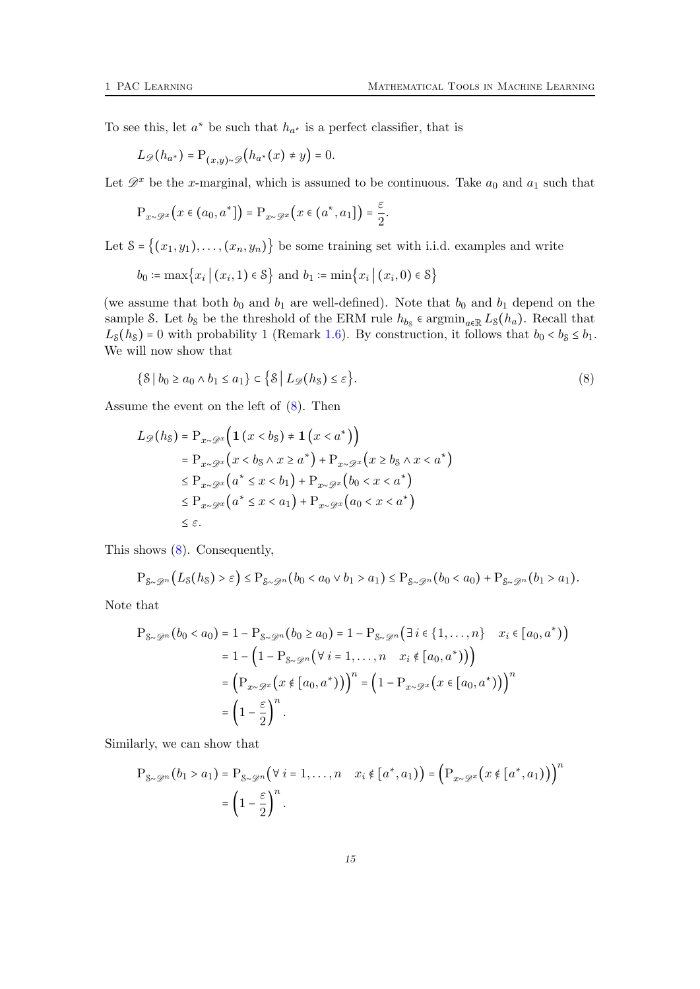To see this, let  $a^*$  be such that  $h_{a^*}$  is a perfect classifier, that is

$$
L_{\mathscr{D}}(h_{a^*}) = \mathrm{P}_{(x,y)\sim\mathscr{D}}(h_{a^*}(x) \neq y) = 0.
$$

Let  $\mathscr{D}^x$  be the x-marginal, which is assumed to be continuous. Take  $a_0$  and  $a_1$  such that

$$
\mathrm{P}_{x\sim\mathscr{D}^x}\big(x\in\big(a_0,a^*\big]\big)=\mathrm{P}_{x\sim\mathscr{D}^x}\big(x\in\big(a^*,a_1\big]\big)=\frac{\varepsilon}{2}.
$$

Let  $S = \{(x_1, y_1), \ldots, (x_n, y_n)\}\)$  be some training set with i.i.d. examples and write

$$
b_0 := \max\{x_i | (x_i, 1) \in \mathcal{S}\}\
$$
and  $b_1 := \min\{x_i | (x_i, 0) \in \mathcal{S}\}\$ 

(we assume that both  $b_0$  and  $b_1$  are well-defined). Note that  $b_0$  and  $b_1$  depend on the sample S. Let  $b_8$  be the threshold of the ERM rule  $h_{b_8}$   $\epsilon$  argmin<sub>a $\epsilon \mathbb{R}$ </sub>  $L_8(h_a)$ . Recall that  $L_{\mathcal{S}}(h_{\mathcal{S}}) = 0$  with probability 1 (Remark [1.6\)](#page-4-4). By construction, it follows that  $b_0 < b_{\mathcal{S}} \le b_1$ . We will now show that

<span id="page-14-0"></span>
$$
\{S \mid b_0 \ge a_0 \land b_1 \le a_1\} \subset \{S \mid L_{\mathscr{D}}(h_S) \le \varepsilon\}.
$$
\n
$$
(8)
$$

Assume the event on the left of [\(8\)](#page-14-0). Then

$$
L_{\mathscr{D}}(h_{\mathcal{S}}) = P_{x \sim \mathscr{D}^{x}}\Big(\mathbf{1}\left(x < b_{\mathcal{S}}\right) \neq \mathbf{1}\left(x < a^{*}\right)\Big) = P_{x \sim \mathscr{D}^{x}}\Big(x < b_{\mathcal{S}} \land x \geq a^{*}\Big) + P_{x \sim \mathscr{D}^{x}}\Big(x \geq b_{\mathcal{S}} \land x < a^{*}\Big) \leq P_{x \sim \mathscr{D}^{x}}\Big(a^{*} \leq x < b_{1}\Big) + P_{x \sim \mathscr{D}^{x}}\Big(b_{0} < x < a^{*}\Big) \leq P_{x \sim \mathscr{D}^{x}}\Big(a^{*} \leq x < a_{1}\Big) + P_{x \sim \mathscr{D}^{x}}\Big(a_{0} < x < a^{*}\Big) \leq \varepsilon.
$$

This shows [\(8\)](#page-14-0). Consequently,

$$
P_{\mathcal{S}\sim\mathcal{D}^n}(L_{\mathcal{S}}(h_{\mathcal{S}})>\varepsilon)\leq P_{\mathcal{S}\sim\mathcal{D}^n}(b_0a_1)\leq P_{\mathcal{S}\sim\mathcal{D}^n}(b_0a_1).
$$

Note that

$$
P_{\mathcal{S}\sim\mathcal{D}^n}(b_0 < a_0) = 1 - P_{\mathcal{S}\sim\mathcal{D}^n}(b_0 \ge a_0) = 1 - P_{\mathcal{S}\sim\mathcal{D}^n}(\exists i \in \{1, \dots, n\} \quad x_i \in [a_0, a^*)\})
$$
\n
$$
= 1 - \left(1 - P_{\mathcal{S}\sim\mathcal{D}^n}(\forall i = 1, \dots, n \quad x_i \notin [a_0, a^*)\right)\right)
$$
\n
$$
= \left(P_{x \sim \mathcal{D}^x}(x \notin [a_0, a^*))\right)^n = \left(1 - P_{x \sim \mathcal{D}^x}(x \in [a_0, a^*))\right)^n
$$
\n
$$
= \left(1 - \frac{\varepsilon}{2}\right)^n.
$$

Similarly, we can show that

$$
P_{\mathcal{S}\sim\mathcal{D}^n}(b_1 > a_1) = P_{\mathcal{S}\sim\mathcal{D}^n}(\forall i = 1,\ldots,n \quad x_i \notin [a^*,a_1) ) = (P_{x\sim\mathcal{D}^x}(x \notin [a^*,a_1)) )^n
$$

$$
= \left(1 - \frac{\varepsilon}{2}\right)^n.
$$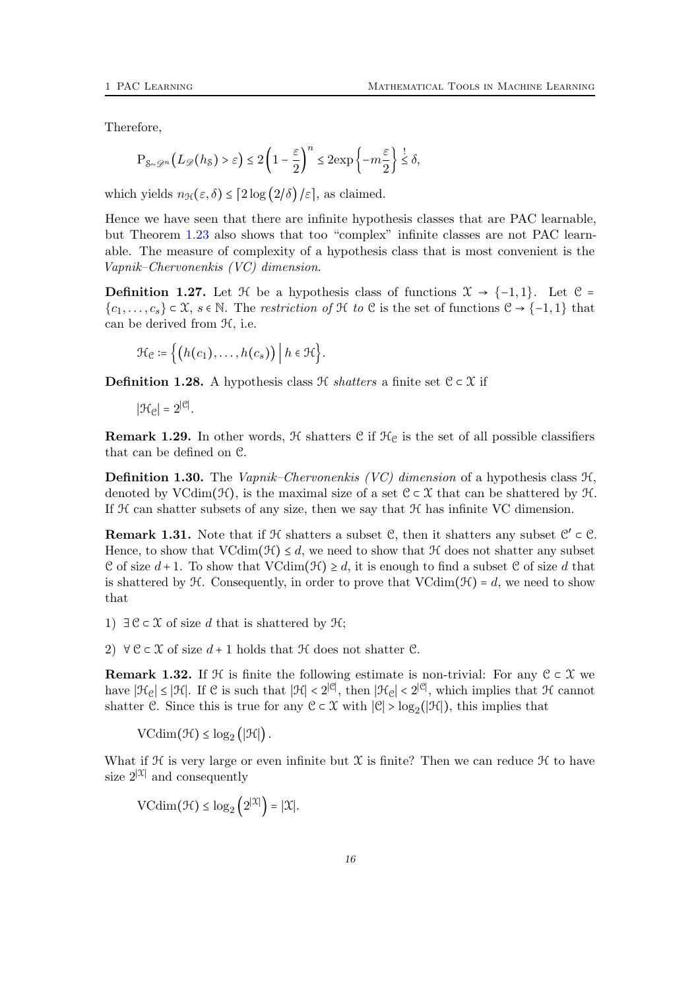Therefore,

$$
\mathrm{P}_{8 \sim \mathcal{D}^n} \Big(L_{\mathscr{D}} \big(h_8\big) > \varepsilon \Big) \leq 2 \left(1 - \frac{\varepsilon}{2}\right)^n \leq 2 \mathrm{exp}\left\{-m \frac{\varepsilon}{2}\right\} \overset{!}{\leq} \delta,
$$

which yields  $n_{\mathcal{H}}(\varepsilon, \delta) \leq [2 \log (2/\delta)/\varepsilon]$ , as claimed.

Hence we have seen that there are infinite hypothesis classes that are PAC learnable, but Theorem [1.23](#page-11-0) also shows that too "complex" infinite classes are not PAC learnable. The measure of complexity of a hypothesis class that is most convenient is the Vapnik–Chervonenkis (VC) dimension.

**Definition 1.27.** Let  $\mathcal{H}$  be a hypothesis class of functions  $\mathcal{X} \rightarrow \{-1,1\}$ . Let  $\mathcal{C} =$  ${c_1, \ldots, c_s} \subset \mathfrak{X}, s \in \mathbb{N}.$  The restriction of  $\mathfrak{H}$  to  $\mathfrak{C}$  is the set of functions  $\mathfrak{C} \to \{-1, 1\}$  that can be derived from H, i.e.

$$
\mathcal{H}_{\mathcal{C}} \coloneqq \big\{ \big( h(c_1), \ldots, h(c_s) \big) \, \big| \, h \in \mathcal{H} \big\}.
$$

**Definition 1.28.** A hypothesis class  $\mathcal{H}$  *shatters* a finite set  $\mathcal{C} \subset \mathcal{X}$  if

 $|\mathcal{H}_{\mathcal{C}}| = 2^{|\mathcal{C}|}.$ 

**Remark 1.29.** In other words,  $H$  shatters  $C$  if  $H_C$  is the set of all possible classifiers that can be defined on C.

**Definition 1.30.** The *Vapnik–Chervonenkis (VC)* dimension of a hypothesis class  $H$ . denoted by VCdim( $\mathcal{H}$ ), is the maximal size of a set  $\mathcal{C} \subset \mathcal{X}$  that can be shattered by  $\mathcal{H}$ . If  $H$  can shatter subsets of any size, then we say that  $H$  has infinite VC dimension.

**Remark 1.31.** Note that if  $H$  shatters a subset  $C$ , then it shatters any subset  $C' \subset C$ . Hence, to show that  $VCdim(\mathcal{H}) \leq d$ , we need to show that  $\mathcal H$  does not shatter any subset C of size  $d+1$ . To show that  $VCdim(\mathcal{H}) \geq d$ , it is enough to find a subset C of size d that is shattered by  $H$ . Consequently, in order to prove that  $VCdim(\mathcal{H}) = d$ , we need to show that

1)  $∃C ⊂ X$  of size d that is shattered by  $H$ ;

2)  $\forall \mathcal{C} \subset \mathcal{X}$  of size  $d+1$  holds that  $\mathcal{H}$  does not shatter  $\mathcal{C}$ .

**Remark 1.32.** If  $\mathcal{H}$  is finite the following estimate is non-trivial: For any  $\mathcal{C} \subset \mathcal{X}$  we have  $|\mathcal{H}_{\mathcal{C}}| \leq |\mathcal{H}|$ . If  $\mathcal{C}$  is such that  $|\mathcal{H}| < 2^{|\mathcal{C}|}$ , then  $|\mathcal{H}_{\mathcal{C}}| < 2^{|\mathcal{C}|}$ , which implies that  $\mathcal{H}$  cannot shatter C. Since this is true for any  $C \subset \mathcal{X}$  with  $|C| > log_2(|\mathcal{H}|)$ , this implies that

 $\text{VCdim}(\mathcal{H}) \leq \log_2(|\mathcal{H}|).$ 

What if  $H$  is very large or even infinite but  $X$  is finite? Then we can reduce  $H$  to have size  $2^{|\mathcal{X}|}$  and consequently

 $\text{VCdim}(\mathcal{H}) \leq \log_2 (2^{|\mathcal{X}|}) = |\mathcal{X}|.$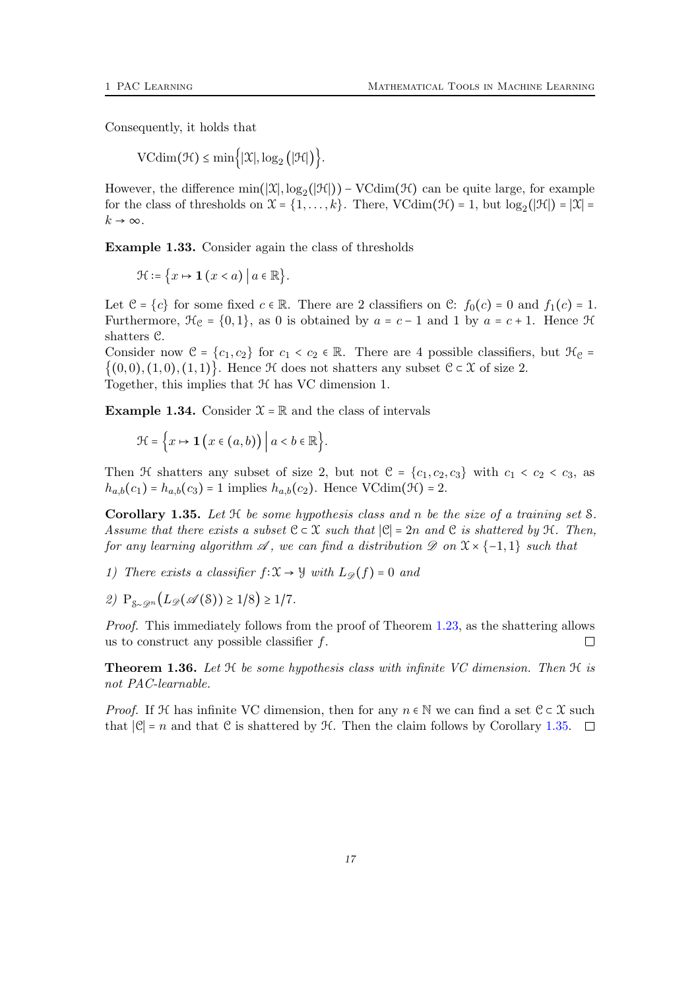Consequently, it holds that

 $\text{VCdim}(\mathcal{H}) \le \min\{|\mathcal{X}|, \log_2(|\mathcal{H}|)\}.$ 

However, the difference  $\min(|\mathfrak{X}|, \log_2(|\mathfrak{H}|)) - \text{VCdim}(\mathfrak{H})$  can be quite large, for example for the class of thresholds on  $\mathfrak{X} = \{1, \ldots, k\}$ . There, VCdim( $\mathfrak{H}$ ) = 1, but  $\log_2(|\mathfrak{H}|) = |\mathfrak{X}|$  =  $k \to \infty$ .

Example 1.33. Consider again the class of thresholds

 $\mathcal{H} \coloneqq \{x \mapsto \mathbf{1} \ (x < a) \ | \ a \in \mathbb{R} \}.$ 

Let  $\mathcal{C} = \{c\}$  for some fixed  $c \in \mathbb{R}$ . There are 2 classifiers on  $\mathcal{C}: f_0(c) = 0$  and  $f_1(c) = 1$ . Furthermore,  $\mathcal{H}_{\mathcal{C}} = \{0,1\}$ , as 0 is obtained by  $a = c - 1$  and 1 by  $a = c + 1$ . Hence  $\mathcal{H}$ shatters C.

Consider now  $\mathcal{C} = \{c_1, c_2\}$  for  $c_1 < c_2 \in \mathbb{R}$ . There are 4 possible classifiers, but  $\mathcal{H}_{\mathcal{C}} =$  $\{(0,0), (1,0), (1,1)\}\.$  Hence H does not shatters any subset  $C \subset \mathcal{X}$  of size 2. Together, this implies that  $H$  has VC dimension 1.

**Example 1.34.** Consider  $\mathcal{X} = \mathbb{R}$  and the class of intervals

$$
\mathcal{H} = \Big\{ x \mapsto \mathbf{1} \, \big( x \in (a, b) \big) \, \Big| \, a < b \in \mathbb{R} \Big\}.
$$

Then H shatters any subset of size 2, but not  $C = \{c_1, c_2, c_3\}$  with  $c_1 < c_2 < c_3$ , as  $h_{a,b}(c_1) = h_{a,b}(c_3) = 1$  implies  $h_{a,b}(c_2)$ . Hence VCdim( $\mathcal{H}$ ) = 2.

<span id="page-16-0"></span>Corollary 1.35. Let  $H$  be some hypothesis class and n be the size of a training set  $S$ . Assume that there exists a subset  $C \subset \mathcal{X}$  such that  $|C| = 2n$  and C is shattered by  $\mathcal{H}$ . Then, for any learning algorithm  $\mathscr A$ , we can find a distribution  $\mathscr D$  on  $\mathfrak X \times \{-1,1\}$  such that

- 1) There exists a classifier  $f: \mathfrak{X} \to \mathfrak{Y}$  with  $L_{\mathscr{D}}(f) = 0$  and
- 2)  $P_{S_{\infty}Q^n}(L_{\mathscr{D}}(\mathscr{A}(S)) \geq 1/8) \geq 1/7.$

Proof. This immediately follows from the proof of Theorem [1.23,](#page-11-0) as the shattering allows us to construct any possible classifier  $f$ .  $\Box$ 

<span id="page-16-1"></span>**Theorem 1.36.** Let  $H$  be some hypothesis class with infinite VC dimension. Then  $H$  is not PAC-learnable.

*Proof.* If H has infinite VC dimension, then for any  $n \in \mathbb{N}$  we can find a set  $\mathcal{C} \subset \mathcal{X}$  such that  $|\mathcal{C}| = n$  and that  $\mathcal C$  is shattered by  $\mathcal H$ . Then the claim follows by Corollary [1.35.](#page-16-0)  $\square$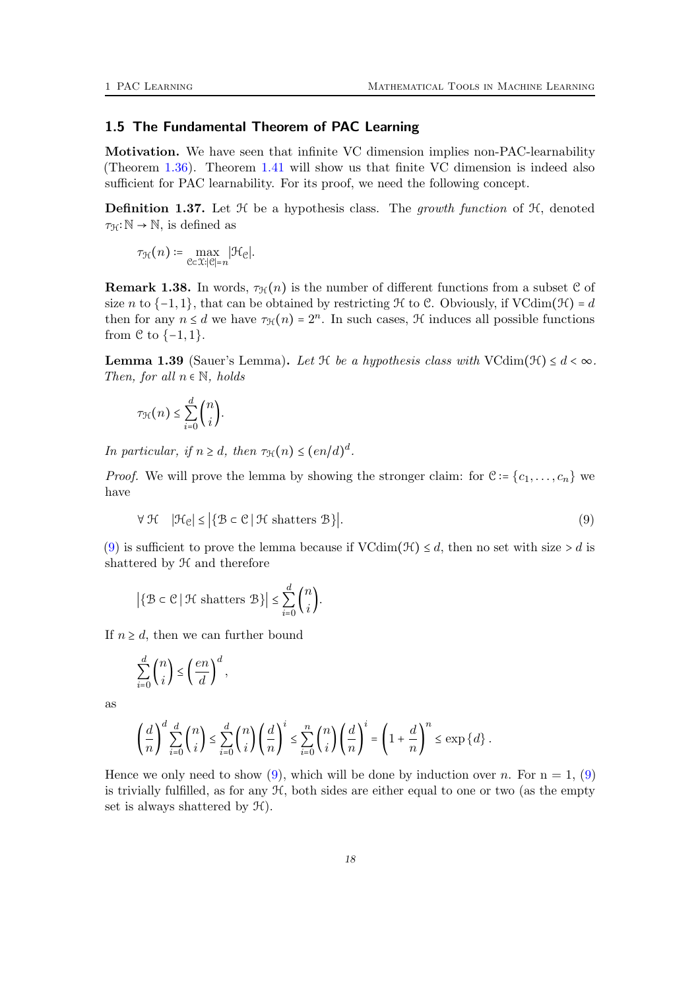## <span id="page-17-0"></span>1.5 The Fundamental Theorem of PAC Learning

Motivation. We have seen that infinite VC dimension implies non-PAC-learnability (Theorem [1.36\)](#page-16-1). Theorem [1.41](#page-18-0) will show us that finite VC dimension is indeed also sufficient for PAC learnability. For its proof, we need the following concept.

**Definition 1.37.** Let  $H$  be a hypothesis class. The *growth function* of  $H$ , denoted  $\tau_{\mathcal{H}}:\mathbb{N} \to \mathbb{N}$ , is defined as

$$
\tau_{\mathcal{H}}(n) \coloneqq \max_{\mathfrak{C} \in \mathfrak{X}: |\mathfrak{C}|=n} |\mathcal{H}_{\mathfrak{C}}|.
$$

**Remark 1.38.** In words,  $\tau_{\mathcal{H}}(n)$  is the number of different functions from a subset C of size n to  $\{-1,1\}$ , that can be obtained by restricting H to C. Obviously, if VCdim(H) = d then for any  $n \le d$  we have  $\tau_{\mathcal{H}}(n) = 2^n$ . In such cases,  $\mathcal{H}$  induces all possible functions from  $\mathcal C$  to  $\{-1,1\}$ .

<span id="page-17-2"></span>**Lemma 1.39** (Sauer's Lemma). Let  $\mathcal H$  be a hypothesis class with VCdim( $\mathcal H$ )  $\leq d < \infty$ . Then, for all  $n \in \mathbb{N}$ , holds

$$
\tau_{\mathcal{H}}(n) \leq \sum_{i=0}^{d} \binom{n}{i}.
$$

In particular, if  $n \geq d$ , then  $\tau_{\mathcal{H}}(n) \leq (en/d)^d$ .

<span id="page-17-1"></span>*Proof.* We will prove the lemma by showing the stronger claim: for  $\mathcal{C} = \{c_1, \ldots, c_n\}$  we have

$$
\forall \mathcal{H} \quad |\mathcal{H}_{\mathcal{C}}| \leq \left| \{ \mathcal{B} \subset \mathcal{C} \, | \, \mathcal{H} \text{ shatters } \mathcal{B} \} \right|.
$$

[\(9\)](#page-17-1) is sufficient to prove the lemma because if  $VCdim(\mathcal{H}) \leq d$ , then no set with size  $> d$  is shattered by H and therefore

$$
\left| \{ \mathcal{B} \subset \mathcal{C} \mid \mathcal{H} \text{ shatters } \mathcal{B} \} \right| \le \sum_{i=0}^{d} \binom{n}{i}.
$$

If  $n \geq d$ , then we can further bound

$$
\sum_{i=0}^d \binom{n}{i} \le \left(\frac{en}{d}\right)^d,
$$

as

$$
\left(\frac{d}{n}\right)^d \sum_{i=0}^d \binom{n}{i} \le \sum_{i=0}^d \binom{n}{i} \left(\frac{d}{n}\right)^i \le \sum_{i=0}^n \binom{n}{i} \left(\frac{d}{n}\right)^i = \left(1 + \frac{d}{n}\right)^n \le \exp\left\{d\right\}.
$$

Hence we only need to show [\(9\)](#page-17-1), which will be done by induction over n. For  $n = 1$ , (9) is trivially fulfilled, as for any  $H$ , both sides are either equal to one or two (as the empty set is always shattered by H).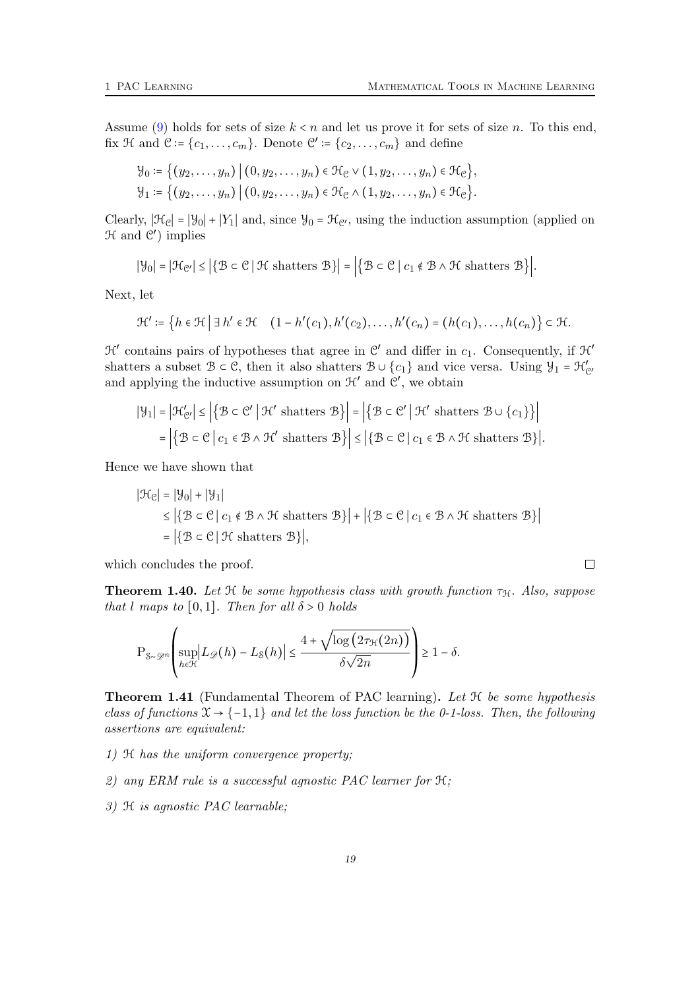$\Box$ 

Assume [\(9\)](#page-17-1) holds for sets of size  $k < n$  and let us prove it for sets of size n. To this end, fix  $\mathcal{H}$  and  $\mathcal{C} \coloneqq \{c_1, \ldots, c_m\}$ . Denote  $\mathcal{C}' \coloneqq \{c_2, \ldots, c_m\}$  and define

$$
\mathcal{Y}_0 := \{ (y_2, \dots, y_n) \mid (0, y_2, \dots, y_n) \in \mathcal{H}_{\mathcal{C}} \vee (1, y_2, \dots, y_n) \in \mathcal{H}_{\mathcal{C}} \},
$$
  

$$
\mathcal{Y}_1 := \{ (y_2, \dots, y_n) \mid (0, y_2, \dots, y_n) \in \mathcal{H}_{\mathcal{C}} \wedge (1, y_2, \dots, y_n) \in \mathcal{H}_{\mathcal{C}} \}.
$$

Clearly,  $|\mathcal{H}_{\mathcal{C}}| = |\mathcal{Y}_0| + |Y_1|$  and, since  $\mathcal{Y}_0 = \mathcal{H}_{\mathcal{C}}$ , using the induction assumption (applied on  $H$  and  $C'$ ) implies

$$
|\mathcal{Y}_0| = |\mathcal{H}_{\mathcal{C}'}| \leq |\{\mathcal{B} \subset \mathcal{C} \mid \mathcal{H} \text{ shatters } \mathcal{B}\}| = |\{\mathcal{B} \subset \mathcal{C} \mid c_1 \notin \mathcal{B} \land \mathcal{H} \text{ shatters } \mathcal{B}\}|.
$$

Next, let

$$
\mathcal{H}' \coloneqq \left\{ h \in \mathcal{H} \mid \exists h' \in \mathcal{H} \quad (1 - h'(c_1), h'(c_2), \dots, h'(c_n) = (h(c_1), \dots, h(c_n)) \right\} \subset \mathcal{H}.
$$

 $\mathcal{H}'$  contains pairs of hypotheses that agree in  $\mathcal{C}'$  and differ in  $c_1$ . Consequently, if  $\mathcal{H}'$ shatters a subset  $\mathcal{B} \subset \mathcal{C}$ , then it also shatters  $\mathcal{B} \cup \{c_1\}$  and vice versa. Using  $\mathcal{Y}_1 = \mathcal{H}'_{\mathcal{C}'}$ and applying the inductive assumption on  $\mathcal{H}'$  and  $\mathcal{C}'$ , we obtain

$$
|\mathcal{Y}_1| = |\mathcal{H}'_{\mathcal{C}'}| \le |\{\mathcal{B} \subset \mathcal{C}' \mid \mathcal{H}' \text{ shatters } \mathcal{B}\}| = |\{\mathcal{B} \subset \mathcal{C}' \mid \mathcal{H}' \text{ shatters } \mathcal{B} \cup \{c_1\}\}|
$$
  
=  $|\{\mathcal{B} \subset \mathcal{C} \mid c_1 \in \mathcal{B} \land \mathcal{H}' \text{ shatters } \mathcal{B}\}| \le |\{\mathcal{B} \subset \mathcal{C} \mid c_1 \in \mathcal{B} \land \mathcal{H} \text{ shatters } \mathcal{B}\}|.$ 

Hence we have shown that

$$
|\mathcal{H}_{\mathcal{C}}| = |\mathcal{Y}_0| + |\mathcal{Y}_1|
$$
  
\n
$$
\leq |\{\mathcal{B} \subset \mathcal{C} \mid c_1 \notin \mathcal{B} \land \mathcal{H} \text{ shatters } \mathcal{B}\}| + |\{\mathcal{B} \subset \mathcal{C} \mid c_1 \in \mathcal{B} \land \mathcal{H} \text{ shatters } \mathcal{B}\}|
$$
  
\n
$$
= |\{\mathcal{B} \subset \mathcal{C} \mid \mathcal{H} \text{ shatters } \mathcal{B}\}|,
$$

which concludes the proof.

<span id="page-18-1"></span>**Theorem 1.40.** Let  $H$  be some hypothesis class with growth function  $\tau_H$ . Also, suppose that l maps to [0,1]. Then for all  $\delta > 0$  holds

$$
\mathbf{P}_{\mathcal{S}\sim\mathcal{D}^n}\left(\sup_{h\in\mathcal{H}}\left|L_{\mathcal{D}}(h)-L_{\mathcal{S}}(h)\right|\leq\frac{4+\sqrt{\log\left(2\tau_{\mathcal{H}}(2n)\right)}}{\delta\sqrt{2n}}\right)\geq 1-\delta.
$$

<span id="page-18-0"></span>**Theorem 1.41** (Fundamental Theorem of PAC learning). Let  $H$  be some hypothesis class of functions  $\mathfrak{X} \rightarrow \{-1,1\}$  and let the loss function be the 0-1-loss. Then, the following assertions are equivalent:

- 1) H has the uniform convergence property;
- 2) any ERM rule is a successful agnostic PAC learner for H;
- 3) H is agnostic PAC learnable;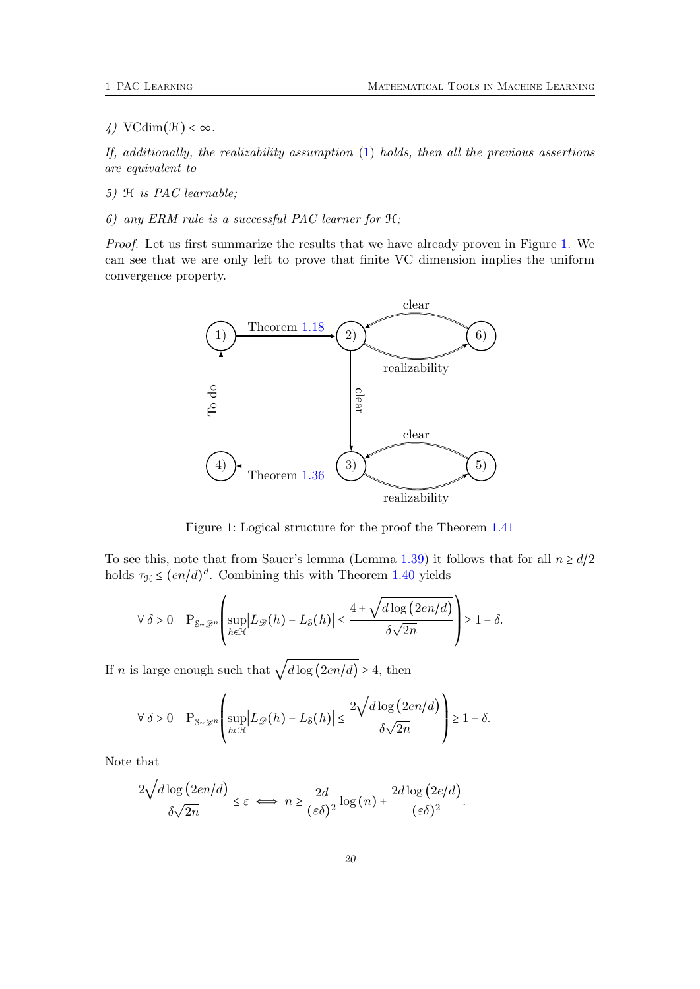$\downarrow$ ) VCdim( $\mathcal{H}$ ) <  $\infty$ .

If, additionally, the realizability assumption [\(1\)](#page-3-2) holds, then all the previous assertions are equivalent to

- 5) H is PAC learnable;
- 6) any ERM rule is a successful PAC learner for H;

<span id="page-19-0"></span>Proof. Let us first summarize the results that we have already proven in Figure [1.](#page-19-0) We can see that we are only left to prove that finite VC dimension implies the uniform convergence property.



Figure 1: Logical structure for the proof the Theorem [1.41](#page-18-0)

To see this, note that from Sauer's lemma (Lemma [1.39\)](#page-17-2) it follows that for all  $n \ge d/2$ holds  $\tau_{\mathcal{H}} \leq (en/d)^d$ . Combining this with Theorem [1.40](#page-18-1) yields

$$
\forall \delta > 0 \quad P_{\mathcal{S} \sim \mathcal{D}^n} \left( \sup_{h \in \mathcal{H}} \left| L_{\mathcal{D}}(h) - L_{\mathcal{S}}(h) \right| \le \frac{4 + \sqrt{d \log (2en/d)}}{\delta \sqrt{2n}} \right) \ge 1 - \delta.
$$

If *n* is large enough such that  $\sqrt{d \log (2en/d)} \geq 4$ , then

$$
\forall \delta > 0 \quad P_{\mathcal{S} \sim \mathcal{D}^n} \left( \sup_{h \in \mathcal{H}} \left| L_{\mathcal{D}}(h) - L_{\mathcal{S}}(h) \right| \le \frac{2\sqrt{d \log (2en/d)}}{\delta \sqrt{2n}} \right) \ge 1 - \delta.
$$

Note that

$$
\frac{2\sqrt{d\log(2en/d)}}{\delta\sqrt{2n}} \leq \varepsilon \iff n \geq \frac{2d}{(\varepsilon\delta)^2}\log(n) + \frac{2d\log(2e/d)}{(\varepsilon\delta)^2}.
$$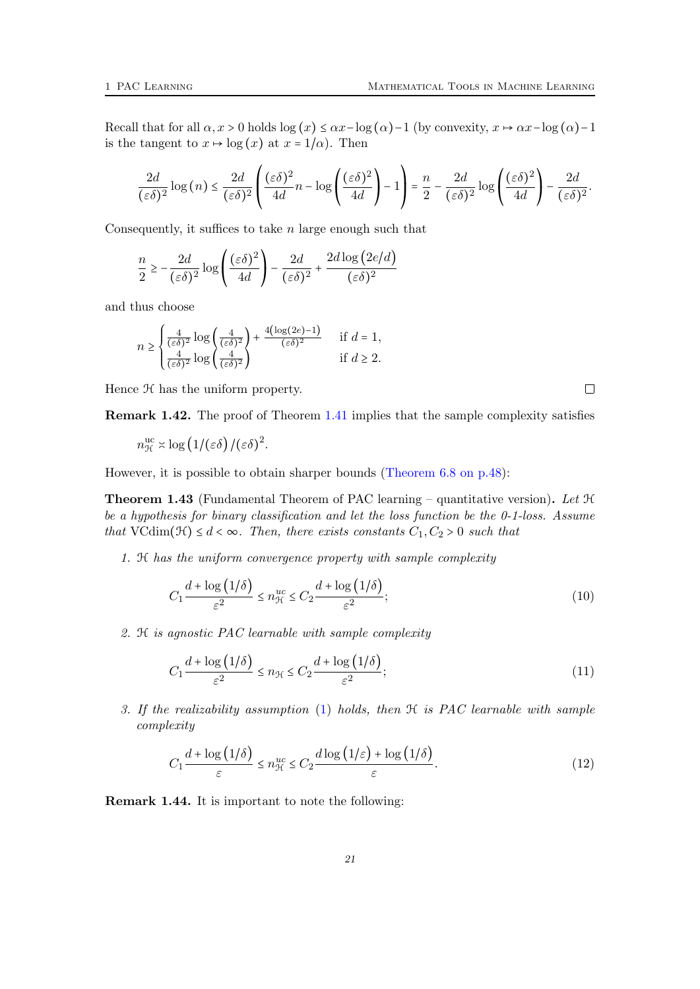Recall that for all  $\alpha$ ,  $x > 0$  holds  $\log(x) \leq \alpha x - \log(\alpha) - 1$  (by convexity,  $x \mapsto \alpha x - \log(\alpha) - 1$ is the tangent to  $x \mapsto \log(x)$  at  $x = 1/\alpha$ . Then

$$
\frac{2d}{(\varepsilon\delta)^2}\log\left(n\right) \leq \frac{2d}{(\varepsilon\delta)^2}\left(\frac{(\varepsilon\delta)^2}{4d}n - \log\left(\frac{(\varepsilon\delta)^2}{4d}\right) - 1\right) = \frac{n}{2} - \frac{2d}{(\varepsilon\delta)^2}\log\left(\frac{(\varepsilon\delta)^2}{4d}\right) - \frac{2d}{(\varepsilon\delta)^2}.
$$

Consequently, it suffices to take  $n$  large enough such that

$$
\frac{n}{2} \ge -\frac{2d}{(\varepsilon\delta)^2} \log\left(\frac{(\varepsilon\delta)^2}{4d}\right) - \frac{2d}{(\varepsilon\delta)^2} + \frac{2d\log\left(2e/d\right)}{(\varepsilon\delta)^2}
$$

and thus choose

$$
n \ge \begin{cases} \frac{4}{(\varepsilon \delta)^2} \log \left( \frac{4}{(\varepsilon \delta)^2} \right) + \frac{4(\log(2e) - 1)}{(\varepsilon \delta)^2} & \text{if } d = 1, \\ \frac{4}{(\varepsilon \delta)^2} \log \left( \frac{4}{(\varepsilon \delta)^2} \right) & \text{if } d \ge 2. \end{cases}
$$

Hence  $H$  has the uniform property.

Remark 1.42. The proof of Theorem [1.41](#page-18-0) implies that the sample complexity satisfies

$$
n_{\mathcal{H}}^{\text{uc}} \asymp \log (1/(\varepsilon \delta) / (\varepsilon \delta)^2).
$$

However, it is possible to obtain sharper bounds [\(Theorem 6.8 on p.48\)](#page-53-0):

<span id="page-20-0"></span>**Theorem 1.43** (Fundamental Theorem of PAC learning – quantitative version). Let  $H$ be a hypothesis for binary classification and let the loss function be the 0-1-loss. Assume that VCdim( $\mathcal{H}$ )  $\leq d < \infty$ . Then, there exists constants  $C_1, C_2 > 0$  such that

1. H has the uniform convergence property with sample complexity

<span id="page-20-3"></span><span id="page-20-2"></span>
$$
C_1 \frac{d + \log(1/\delta)}{\varepsilon^2} \le n_{\mathcal{H}}^{uc} \le C_2 \frac{d + \log(1/\delta)}{\varepsilon^2};\tag{10}
$$

2. H is agnostic PAC learnable with sample complexity

$$
C_1 \frac{d + \log(1/\delta)}{\varepsilon^2} \le n_{\mathcal{H}} \le C_2 \frac{d + \log(1/\delta)}{\varepsilon^2};\tag{11}
$$

3. If the realizability assumption [\(1\)](#page-3-2) holds, then H is PAC learnable with sample complexity

<span id="page-20-1"></span>
$$
C_1 \frac{d + \log(1/\delta)}{\varepsilon} \le n_{\mathcal{H}}^{uc} \le C_2 \frac{d \log(1/\varepsilon) + \log(1/\delta)}{\varepsilon}.
$$
 (12)

Remark 1.44. It is important to note the following: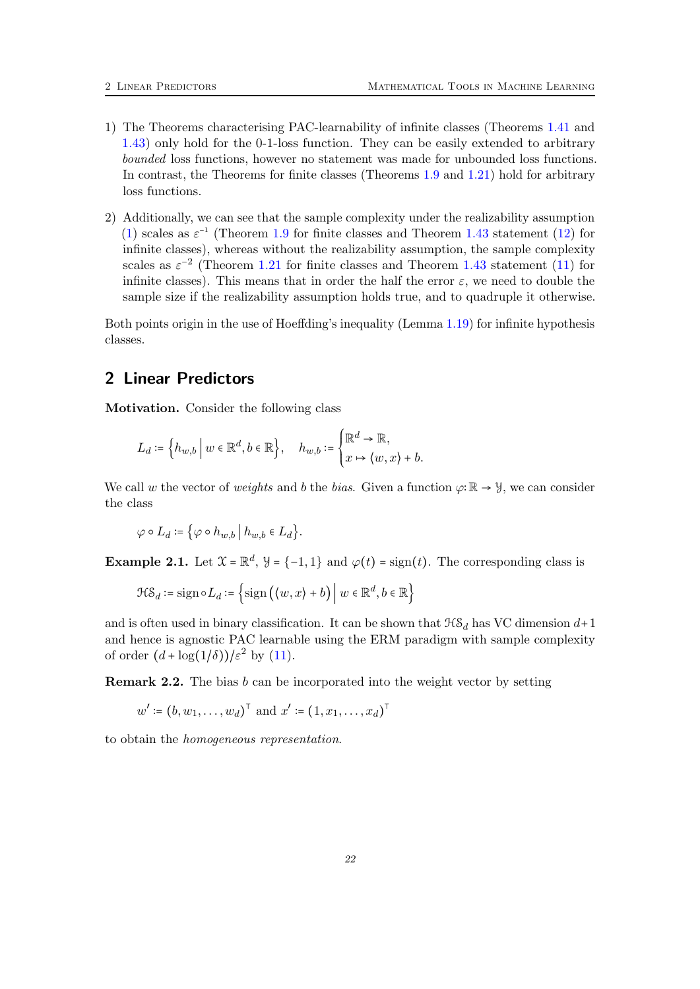- 1) The Theorems characterising PAC-learnability of infinite classes (Theorems [1.41](#page-18-0) and [1.43\)](#page-20-0) only hold for the 0-1-loss function. They can be easily extended to arbitrary bounded loss functions, however no statement was made for unbounded loss functions. In contrast, the Theorems for finite classes (Theorems [1.9](#page-4-3) and [1.21\)](#page-9-1) hold for arbitrary loss functions.
- 2) Additionally, we can see that the sample complexity under the realizability assumption [\(1\)](#page-3-2) scales as  $\varepsilon^{-1}$  (Theorem [1.9](#page-4-3) for finite classes and Theorem [1.43](#page-20-0) statement [\(12\)](#page-20-1) for infinite classes), whereas without the realizability assumption, the sample complexity scales as  $\varepsilon^{-2}$  (Theorem [1.21](#page-9-1) for finite classes and Theorem [1.43](#page-20-0) statement [\(11\)](#page-20-2) for infinite classes). This means that in order the half the error  $\varepsilon$ , we need to double the sample size if the realizability assumption holds true, and to quadruple it otherwise.

Both points origin in the use of Hoeffding's inequality (Lemma [1.19\)](#page-7-0) for infinite hypothesis classes.

# <span id="page-21-0"></span>2 Linear Predictors

Motivation. Consider the following class

$$
L_d \coloneqq \left\{ h_{w,b} \mid w \in \mathbb{R}^d, b \in \mathbb{R} \right\}, \quad h_{w,b} \coloneqq \begin{cases} \mathbb{R}^d \to \mathbb{R}, \\ x \mapsto \langle w, x \rangle + b. \end{cases}
$$

We call w the vector of weights and b the bias. Given a function  $\varphi: \mathbb{R} \to \mathcal{Y}$ , we can consider the class

$$
\varphi \circ L_d \coloneqq \big\{ \varphi \circ h_{w,b} \, \big| \, h_{w,b} \in L_d \big\}.
$$

**Example 2.1.** Let  $\mathcal{X} = \mathbb{R}^d$ ,  $\mathcal{Y} = \{-1, 1\}$  and  $\varphi(t) = \text{sign}(t)$ . The corresponding class is

$$
\mathcal{HS}_d \coloneqq \text{sign} \circ L_d \coloneqq \left\{ \text{sign}\left( \langle w, x \rangle + b \right) \middle| \ w \in \mathbb{R}^d, b \in \mathbb{R} \right\}
$$

and is often used in binary classification. It can be shown that  $\mathcal{H}\mathcal{S}_d$  has VC dimension  $d+1$ and hence is agnostic PAC learnable using the ERM paradigm with sample complexity of order  $(d + \log(1/\delta))/\varepsilon^2$  by [\(11\)](#page-20-2).

**Remark 2.2.** The bias b can be incorporated into the weight vector by setting

$$
w' := (b, w_1, \dots, w_d)^\top
$$
 and  $x' := (1, x_1, \dots, x_d)^\top$ 

to obtain the homogeneous representation.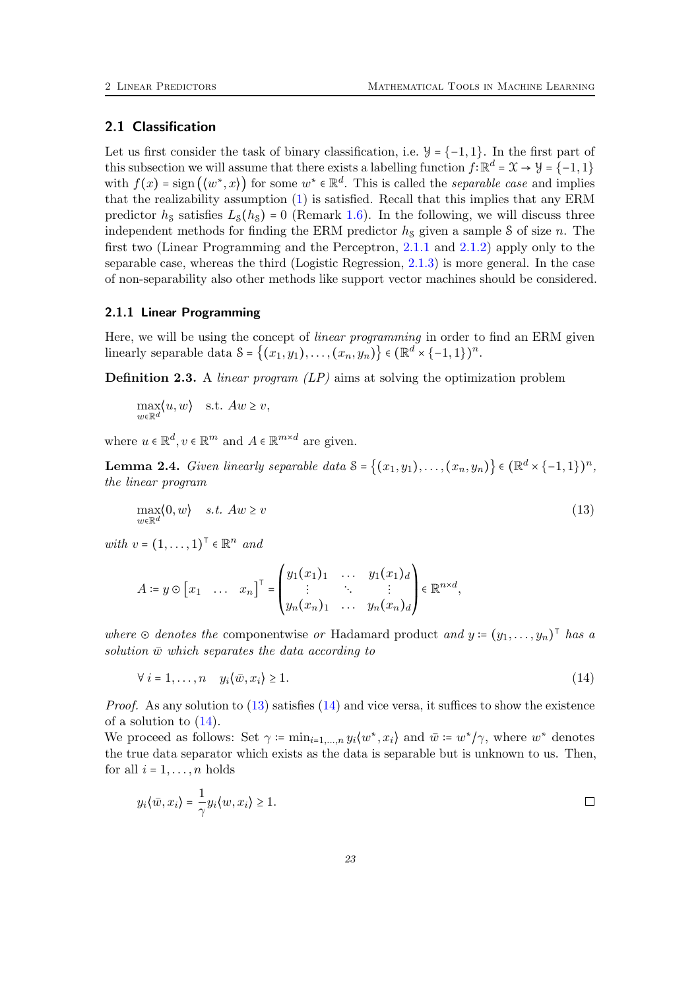## <span id="page-22-0"></span>2.1 Classification

Let us first consider the task of binary classification, i.e.  $\mathcal{Y} = \{-1, 1\}$ . In the first part of this subsection we will assume that there exists a labelling function  $f: \mathbb{R}^d = \mathcal{X} \to \mathcal{Y} = \{-1, 1\}$ with  $f(x) = sign(\langle w^*, x \rangle)$  for some  $w^* \in \mathbb{R}^d$ . This is called the *separable case* and implies that the realizability assumption [\(1\)](#page-3-2) is satisfied. Recall that this implies that any ERM predictor  $h<sub>s</sub>$  satisfies  $L<sub>s</sub>(h<sub>s</sub>) = 0$  (Remark [1.6\)](#page-4-4). In the following, we will discuss three independent methods for finding the ERM predictor  $h<sub>S</sub>$  given a sample S of size n. The first two (Linear Programming and the Perceptron, [2.1.1](#page-22-1) and [2.1.2\)](#page-23-0) apply only to the separable case, whereas the third (Logistic Regression, [2.1.3\)](#page-25-0) is more general. In the case of non-separability also other methods like support vector machines should be considered.

#### <span id="page-22-1"></span>2.1.1 Linear Programming

Here, we will be using the concept of linear programming in order to find an ERM given linearly separable data  $S = \{(x_1, y_1), \ldots, (x_n, y_n)\}\in (\mathbb{R}^d \times \{-1, 1\})^n$ .

**Definition 2.3.** A *linear program*  $(LP)$  aims at solving the optimization problem

 $\max_{w \in \mathbb{R}^d} \langle u, w \rangle$  s.t.  $Aw \geq v$ ,

where  $u \in \mathbb{R}^d, v \in \mathbb{R}^m$  and  $A \in \mathbb{R}^{m \times d}$  are given.

**Lemma 2.4.** Given linearly separable data  $S = \{(x_1, y_1), \ldots, (x_n, y_n)\} \in (\mathbb{R}^d \times \{-1, 1\})^n$ , the linear program

<span id="page-22-2"></span>
$$
\max_{w \in \mathbb{R}^d} \langle 0, w \rangle \quad s.t. \quad Aw \ge v \tag{13}
$$

with  $v = (1, \ldots, 1)^\top \in \mathbb{R}^n$  and

$$
A \coloneqq y \odot [x_1 \quad \dots \quad x_n]^{\top} = \begin{pmatrix} y_1(x_1)_1 & \dots & y_1(x_1)_d \\ \vdots & \ddots & \vdots \\ y_n(x_n)_1 & \dots & y_n(x_n)_d \end{pmatrix} \in \mathbb{R}^{n \times d},
$$

where  $\odot$  denotes the componentwise or Hadamard product and  $y = (y_1, \ldots, y_n)^\top$  has a solution  $\bar{w}$  which separates the data according to

<span id="page-22-3"></span>
$$
\forall i = 1, \dots, n \quad y_i \langle \bar{w}, x_i \rangle \ge 1. \tag{14}
$$

*Proof.* As any solution to  $(13)$  satisfies  $(14)$  and vice versa, it suffices to show the existence of a solution to  $(14)$ .

We proceed as follows: Set  $\gamma \coloneqq \min_{i=1,\dots,n} y_i \langle w^*, x_i \rangle$  and  $\bar{w} \coloneqq w^* / \gamma$ , where  $w^*$  denotes the true data separator which exists as the data is separable but is unknown to us. Then, for all  $i = 1, \ldots, n$  holds

$$
y_i\langle \bar{w}, x_i\rangle = \frac{1}{\gamma}y_i\langle w, x_i\rangle \ge 1.
$$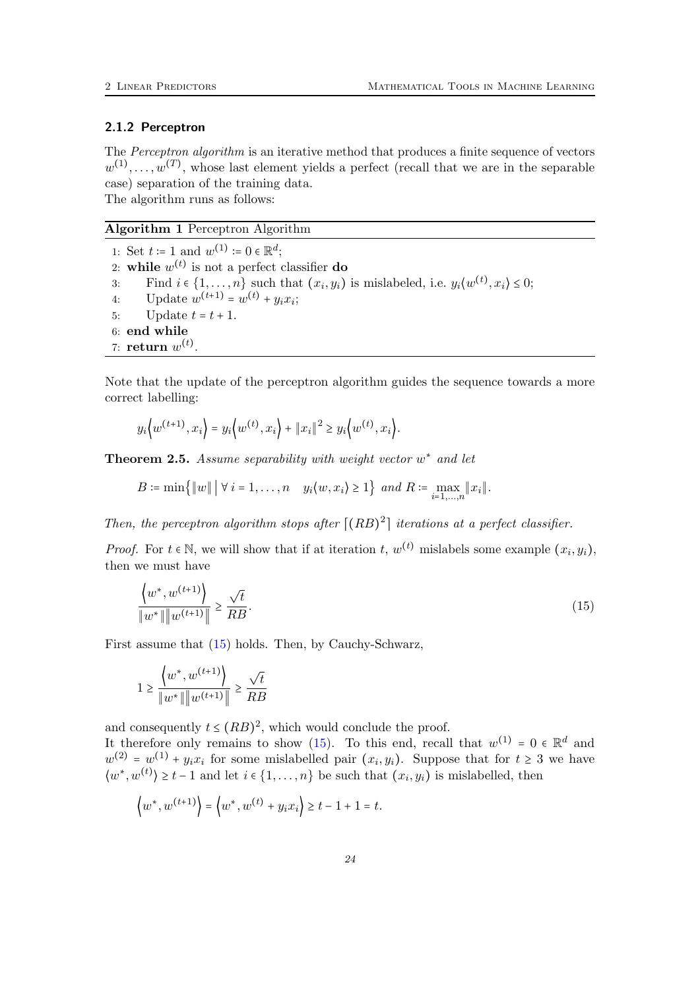#### <span id="page-23-0"></span>2.1.2 Perceptron

The Perceptron algorithm is an iterative method that produces a finite sequence of vectors  $w^{(1)}, \ldots, w^{(T)}$ , whose last element yields a perfect (recall that we are in the separable case) separation of the training data. The algorithm runs as follows:

#### Algorithm 1 Perceptron Algorithm

1: Set  $t := 1$  and  $w^{(1)} := 0 \in \mathbb{R}^d$ ; 2: while  $w^{(t)}$  is not a perfect classifier do 3: Find  $i \in \{1, \ldots, n\}$  such that  $(x_i, y_i)$  is mislabeled, i.e.  $y_i \langle w^{(t)}, x_i \rangle \leq 0$ ; 4: Update  $w^{(t+1)} = w^{(t)} + y_i x_i$ ; 5: Update  $t = t + 1$ . 6: end while 7: return  $w^{(t)}$ .

Note that the update of the perceptron algorithm guides the sequence towards a more correct labelling:

$$
y_i\langle w^{(t+1)}, x_i \rangle = y_i\langle w^{(t)}, x_i \rangle + ||x_i||^2 \ge y_i\langle w^{(t)}, x_i \rangle.
$$

<span id="page-23-2"></span>**Theorem 2.5.** Assume separability with weight vector  $w^*$  and let

 $B \coloneqq \min\{\Vert w \Vert \mid \forall i = 1,\ldots,n \quad y_i\langle w,x_i\rangle \geq 1\} \text{ and } R \coloneqq \max_{i=1,\ldots,n} \|x_i\|.$ 

Then, the perceptron algorithm stops after  $\lfloor (RB)^2 \rfloor$  iterations at a perfect classifier.

*Proof.* For  $t \in \mathbb{N}$ , we will show that if at iteration  $t, w^{(t)}$  mislabels some example  $(x_i, y_i)$ , then we must have

$$
\frac{\langle w^*, w^{(t+1)} \rangle}{\|w^*\| \|w^{(t+1)} \|} \ge \frac{\sqrt{t}}{RB}.
$$
\n(15)

First assume that [\(15\)](#page-23-1) holds. Then, by Cauchy-Schwarz,

$$
1 \ge \frac{\left\{w^*, w^{(t+1)}\right\}}{\|w^*\| \|w^{(t+1)}\|} \ge \frac{\sqrt{t}}{RB}
$$

<span id="page-23-1"></span> $\mathcal{L}$ 

and consequently  $t \leq (RB)^2$ , which would conclude the proof.

It therefore only remains to show [\(15\)](#page-23-1). To this end, recall that  $w^{(1)} = 0 \in \mathbb{R}^d$  and  $w^{(2)} = w^{(1)} + y_i x_i$  for some mislabelled pair  $(x_i, y_i)$ . Suppose that for  $t \geq 3$  we have  $\langle w^*, w^{(t)} \rangle \geq t-1$  and let  $i \in \{1, ..., n\}$  be such that  $(x_i, y_i)$  is mislabelled, then

$$
\langle w^*, w^{(t+1)} \rangle = \langle w^*, w^{(t)} + y_i x_i \rangle \ge t - 1 + 1 = t.
$$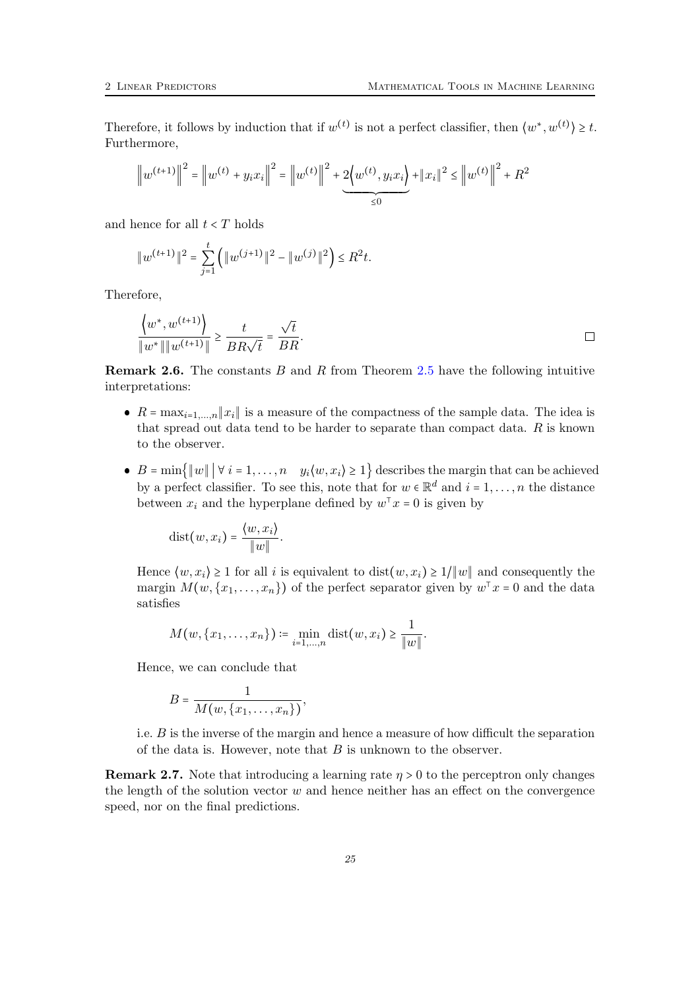Therefore, it follows by induction that if  $w^{(t)}$  is not a perfect classifier, then  $\langle w^*, w^{(t)} \rangle \geq t$ . Furthermore,

$$
\left\|w^{(t+1)}\right\|^2 = \left\|w^{(t)} + y_i x_i\right\|^2 = \left\|w^{(t)}\right\|^2 + 2\underbrace{\left\{w^{(t)}, y_i x_i\right\}}_{\leq 0} + \left\|x_i\right\|^2 \leq \left\|w^{(t)}\right\|^2 + R^2
$$

and hence for all  $t < T$  holds

$$
||w^{(t+1)}||^{2} = \sum_{j=1}^{t} (||w^{(j+1)}||^{2} - ||w^{(j)}||^{2}) \le R^{2}t.
$$

Therefore,

$$
\frac{\langle w^*, w^{(t+1)} \rangle}{\|w^*\| \|w^{(t+1)} \|} \ge \frac{t}{BR\sqrt{t}} = \frac{\sqrt{t}}{BR}.
$$

**Remark 2.6.** The constants B and R from Theorem [2.5](#page-23-2) have the following intuitive interpretations:

- $R = \max_{i=1,\dots,n} ||x_i||$  is a measure of the compactness of the sample data. The idea is that spread out data tend to be harder to separate than compact data.  $R$  is known to the observer.
- $B = \min\{\Vert w \Vert \mid \forall i = 1,\ldots,n \quad y_i\langle w,x_i\rangle \geq 1\}$  describes the margin that can be achieved by a perfect classifier. To see this, note that for  $w \in \mathbb{R}^d$  and  $i = 1, \ldots, n$  the distance between  $x_i$  and the hyperplane defined by  $w^{\top} x = 0$  is given by

$$
dist(w, x_i) = \frac{\langle w, x_i \rangle}{\|w\|}.
$$

Hence  $\langle w, x_i \rangle \ge 1$  for all i is equivalent to dist $(w, x_i) \ge 1/\|w\|$  and consequently the margin  $M(w, \{x_1, \ldots, x_n\})$  of the perfect separator given by  $w^{\top} x = 0$  and the data satisfies

$$
M(w, \{x_1, \ldots, x_n\}) \coloneqq \min_{i=1, \ldots, n} \text{dist}(w, x_i) \geq \frac{1}{\|w\|}.
$$

Hence, we can conclude that

$$
B=\frac{1}{M(w,\{x_1,\ldots,x_n\})},
$$

i.e.  $B$  is the inverse of the margin and hence a measure of how difficult the separation of the data is. However, note that  $B$  is unknown to the observer.

**Remark 2.7.** Note that introducing a learning rate  $\eta > 0$  to the perceptron only changes the length of the solution vector  $w$  and hence neither has an effect on the convergence speed, nor on the final predictions.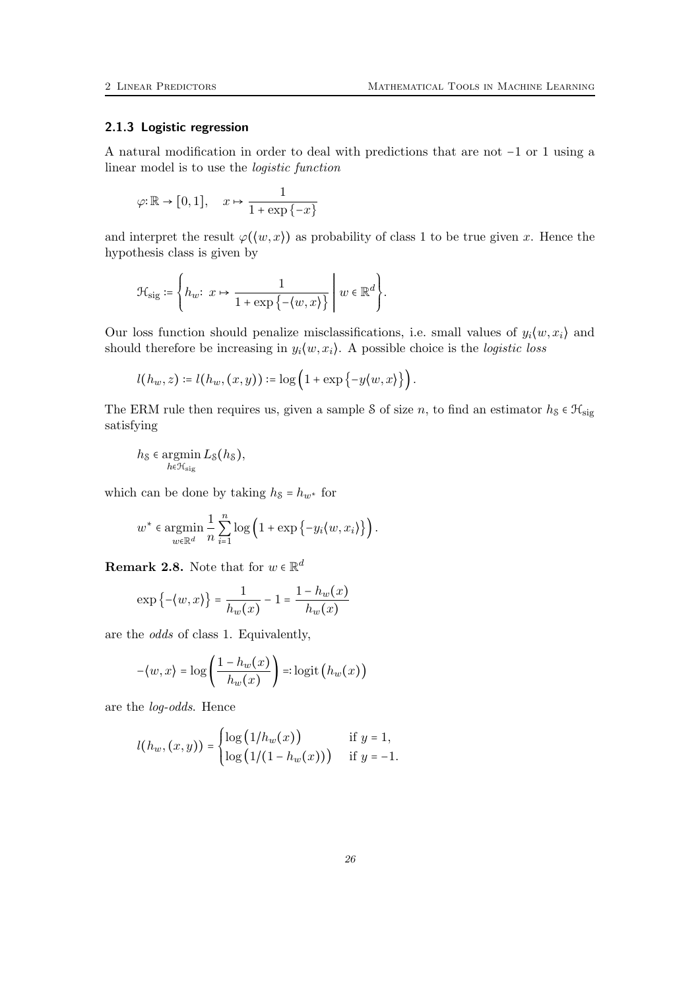## <span id="page-25-0"></span>2.1.3 Logistic regression

A natural modification in order to deal with predictions that are not −1 or 1 using a linear model is to use the logistic function

$$
\varphi\!:\!\mathbb{R}\to\big[0,1\big],\quad x\mapsto\frac{1}{1+\exp\left\{-x\right\}}
$$

and interpret the result  $\varphi(\langle w, x \rangle)$  as probability of class 1 to be true given x. Hence the hypothesis class is given by

$$
\mathcal{H}_{\mathrm{sig}} \coloneqq \left\{ h_w \!\!: \ x \mapsto \frac{1}{1+\exp\left\{ - \langle w, x \rangle \right\}} \;\Bigg|\; w \in \mathbb{R}^d \right\}.
$$

Our loss function should penalize misclassifications, i.e. small values of  $y_i \langle w, x_i \rangle$  and should therefore be increasing in  $y_i(w, x_i)$ . A possible choice is the *logistic loss* 

$$
l(h_w, z) \coloneqq l(h_w, (x, y)) \coloneqq \log\left(1 + \exp\left\{-y(w, x)\right\}\right).
$$

The ERM rule then requires us, given a sample S of size n, to find an estimator  $h_s \in \mathcal{H}_{sig}$ satisfying

$$
h_{\mathcal{S}} \in \operatornamewithlimits{argmin}\limits_{h \in \mathcal{H}_{\text{sig}}} L_{\mathcal{S}}(h_{\mathcal{S}}),
$$

which can be done by taking  $h_s = h_{w^*}$  for

$$
w^* \in \operatorname*{argmin}_{w \in \mathbb{R}^d} \frac{1}{n} \sum_{i=1}^n \log \left( 1 + \exp \left\{ -y_i \langle w, x_i \rangle \right\} \right).
$$

**Remark 2.8.** Note that for  $w \in \mathbb{R}^d$ 

$$
\exp\left\{-\langle w, x \rangle\right\} = \frac{1}{h_w(x)} - 1 = \frac{1 - h_w(x)}{h_w(x)}
$$

are the odds of class 1. Equivalently,

$$
-\langle w, x \rangle = \log\left(\frac{1 - h_w(x)}{h_w(x)}\right) =: \logit\left(h_w(x)\right)
$$

are the log-odds. Hence

$$
l(h_w, (x, y)) = \begin{cases} \log (1/h_w(x)) & \text{if } y = 1, \\ \log (1/(1 - h_w(x))) & \text{if } y = -1. \end{cases}
$$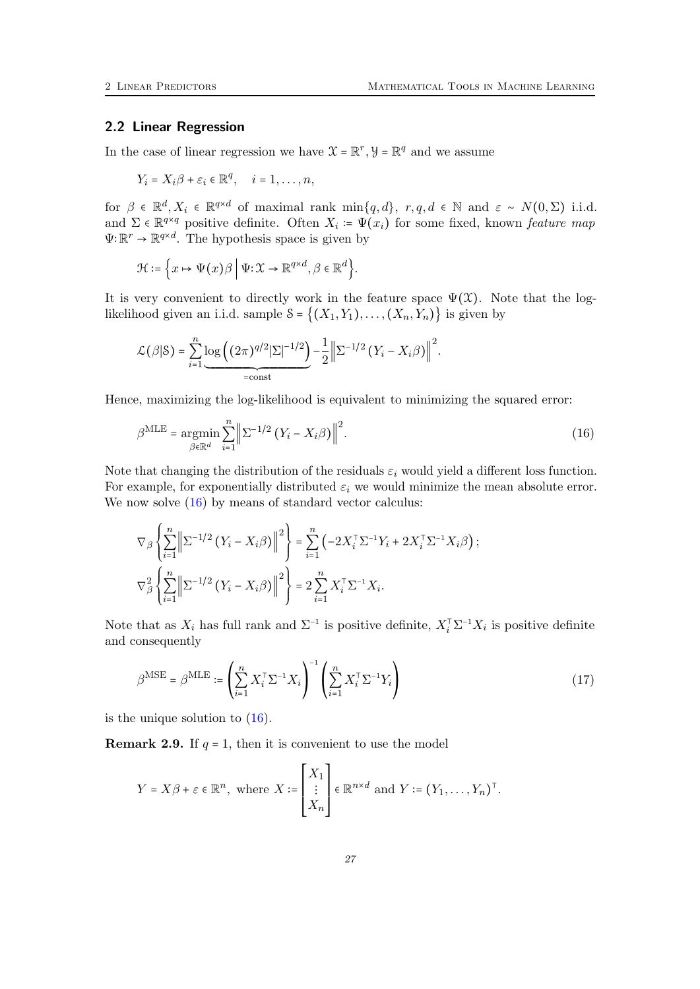### <span id="page-26-0"></span>2.2 Linear Regression

In the case of linear regression we have  $\mathcal{X} = \mathbb{R}^r$ ,  $\mathcal{Y} = \mathbb{R}^q$  and we assume

$$
Y_i = X_i \beta + \varepsilon_i \in \mathbb{R}^q, \quad i = 1, \dots, n,
$$

for  $\beta \in \mathbb{R}^d, X_i \in \mathbb{R}^{q \times d}$  of maximal rank min $\{q, d\}$ ,  $r, q, d \in \mathbb{N}$  and  $\varepsilon \sim N(0, \Sigma)$  i.i.d. and  $\Sigma \in \mathbb{R}^{q \times q}$  positive definite. Often  $X_i := \Psi(x_i)$  for some fixed, known *feature map*  $\Psi: \mathbb{R}^r \to \mathbb{R}^{q \times d}$ . The hypothesis space is given by

$$
\mathcal{H}\coloneqq\Big\{x\mapsto \Psi(x)\beta\ \Big|\ \Psi{:}\mathcal{X}\to\mathbb{R}^{q\times d},\beta\in\mathbb{R}^d\Big\}.
$$

It is very convenient to directly work in the feature space  $\Psi(\mathfrak{X})$ . Note that the loglikelihood given an i.i.d. sample  $S = \{(X_1, Y_1), \ldots, (X_n, Y_n)\}\$ is given by

<span id="page-26-1"></span>
$$
\mathcal{L}(\beta|\mathcal{S}) = \sum_{i=1}^{n} \underbrace{\log ((2\pi)^{q/2} |\Sigma|^{-1/2})}_{= \text{const}} - \frac{1}{2} \left\| \Sigma^{-1/2} (Y_i - X_i \beta) \right\|^2.
$$

Hence, maximizing the log-likelihood is equivalent to minimizing the squared error:

$$
\beta^{\text{MLE}} = \underset{\beta \in \mathbb{R}^d}{\text{argmin}} \sum_{i=1}^n \left\| \Sigma^{-1/2} \left( Y_i - X_i \beta \right) \right\|^2. \tag{16}
$$

Note that changing the distribution of the residuals  $\varepsilon_i$  would yield a different loss function. For example, for exponentially distributed  $\varepsilon_i$  we would minimize the mean absolute error. We now solve  $(16)$  by means of standard vector calculus:

$$
\nabla_{\beta} \left\{ \sum_{i=1}^{n} \left\| \Sigma^{-1/2} \left( Y_i - X_i \beta \right) \right\|^2 \right\} = \sum_{i=1}^{n} \left( -2 X_i^{\top} \Sigma^{-1} Y_i + 2 X_i^{\top} \Sigma^{-1} X_i \beta \right);
$$
  

$$
\nabla_{\beta}^2 \left\{ \sum_{i=1}^{n} \left\| \Sigma^{-1/2} \left( Y_i - X_i \beta \right) \right\|^2 \right\} = 2 \sum_{i=1}^{n} X_i^{\top} \Sigma^{-1} X_i.
$$

Note that as  $X_i$  has full rank and  $\Sigma^{-1}$  is positive definite,  $X_i^{\top} \Sigma^{-1} X_i$  is positive definite and consequently

<span id="page-26-2"></span>
$$
\beta^{\text{MSE}} = \beta^{\text{MLE}} := \left(\sum_{i=1}^{n} X_i^{\top} \Sigma^{-1} X_i\right)^{-1} \left(\sum_{i=1}^{n} X_i^{\top} \Sigma^{-1} Y_i\right)
$$
\n(17)

is the unique solution to [\(16\)](#page-26-1).

**Remark 2.9.** If  $q = 1$ , then it is convenient to use the model

$$
Y = X\beta + \varepsilon \in \mathbb{R}^n
$$
, where  $X := \begin{bmatrix} X_1 \\ \vdots \\ X_n \end{bmatrix} \in \mathbb{R}^{n \times d}$  and  $Y := (Y_1, \dots, Y_n)^\top$ .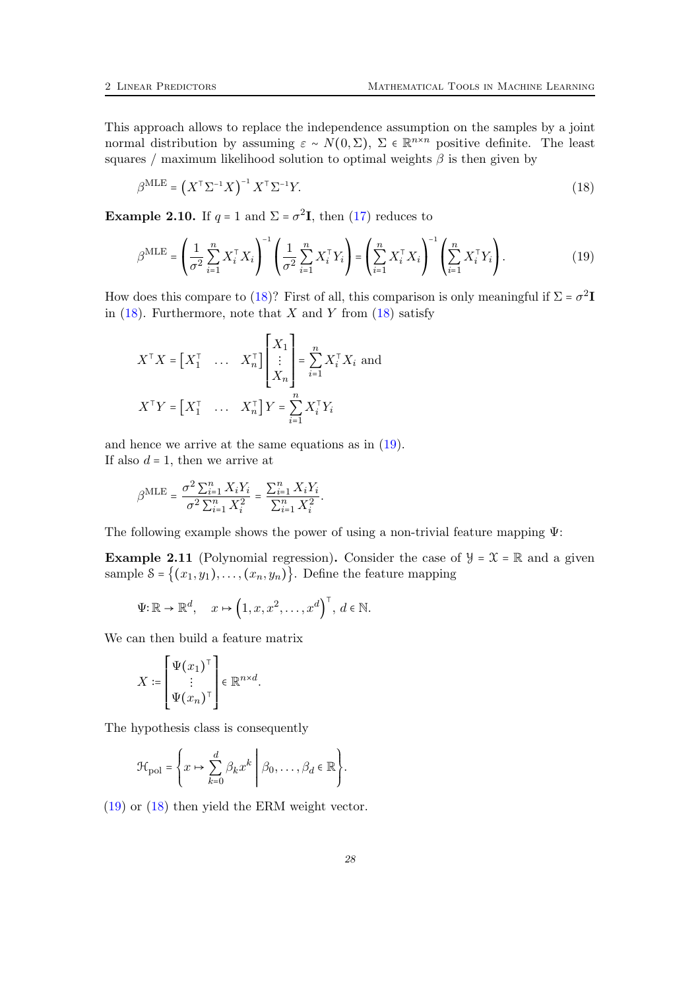This approach allows to replace the independence assumption on the samples by a joint normal distribution by assuming  $\varepsilon \sim N(0, \Sigma)$ ,  $\Sigma \in \mathbb{R}^{n \times n}$  positive definite. The least squares / maximum likelihood solution to optimal weights  $\beta$  is then given by

<span id="page-27-1"></span><span id="page-27-0"></span>
$$
\beta^{\text{MLE}} = \left(X^{\top} \Sigma^{-1} X\right)^{-1} X^{\top} \Sigma^{-1} Y. \tag{18}
$$

**Example 2.10.** If  $q = 1$  and  $\Sigma = \sigma^2 \mathbf{I}$ , then [\(17\)](#page-26-2) reduces to

$$
\beta^{\text{MLE}} = \left(\frac{1}{\sigma^2} \sum_{i=1}^n X_i^\top X_i\right)^{-1} \left(\frac{1}{\sigma^2} \sum_{i=1}^n X_i^\top Y_i\right) = \left(\sum_{i=1}^n X_i^\top X_i\right)^{-1} \left(\sum_{i=1}^n X_i^\top Y_i\right). \tag{19}
$$

How does this compare to [\(18\)](#page-27-0)? First of all, this comparison is only meaningful if  $\Sigma = \sigma^2 \mathbf{I}$ in  $(18)$ . Furthermore, note that X and Y from  $(18)$  satisfy

$$
X^{\top}X = \begin{bmatrix} X_1^{\top} & \dots & X_n^{\top} \end{bmatrix} \begin{bmatrix} X_1 \\ \vdots \\ X_n \end{bmatrix} = \sum_{i=1}^n X_i^{\top} X_i
$$
 and  

$$
X^{\top} Y = \begin{bmatrix} X_1^{\top} & \dots & X_n^{\top} \end{bmatrix} Y = \sum_{i=1}^n X_i^{\top} Y_i
$$

and hence we arrive at the same equations as in [\(19\)](#page-27-1). If also  $d = 1$ , then we arrive at

$$
\beta^{\mathrm{MLE}} = \frac{\sigma^2 \sum_{i=1}^n X_i Y_i}{\sigma^2 \sum_{i=1}^n X_i^2} = \frac{\sum_{i=1}^n X_i Y_i}{\sum_{i=1}^n X_i^2}.
$$

The following example shows the power of using a non-trivial feature mapping Ψ:

**Example 2.11** (Polynomial regression). Consider the case of  $\mathcal{Y} = \mathcal{X} = \mathbb{R}$  and a given sample  $\mathcal{S} = \{(x_1, y_1), \ldots, (x_n, y_n)\}\.$  Define the feature mapping

$$
\Psi: \mathbb{R} \to \mathbb{R}^d, \quad x \mapsto \left(1, x, x^2, \dots, x^d\right)^{\top}, \ d \in \mathbb{N}.
$$

We can then build a feature matrix

$$
X \coloneqq \begin{bmatrix} \Psi(x_1)^\top \\ \vdots \\ \Psi(x_n)^\top \end{bmatrix} \in \mathbb{R}^{n \times d}.
$$

The hypothesis class is consequently

$$
\mathcal{H}_{\text{pol}} = \left\{ x \mapsto \sum_{k=0}^d \beta_k x^k \middle| \beta_0, \dots, \beta_d \in \mathbb{R} \right\}.
$$

[\(19\)](#page-27-1) or [\(18\)](#page-27-0) then yield the ERM weight vector.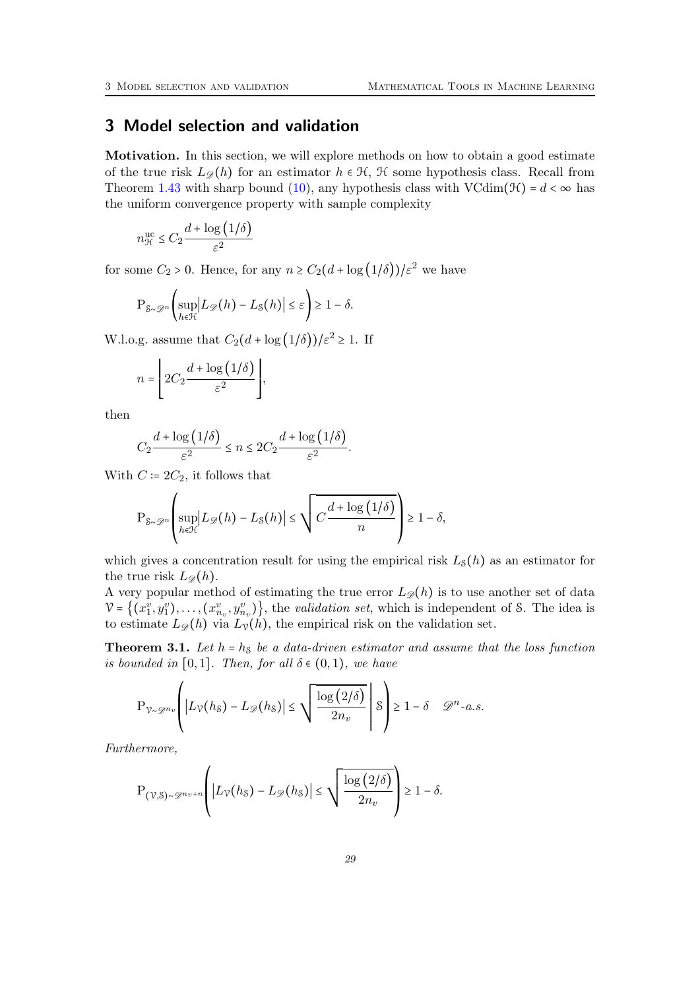# <span id="page-28-0"></span>3 Model selection and validation

Motivation. In this section, we will explore methods on how to obtain a good estimate of the true risk  $L_{\mathscr{D}}(h)$  for an estimator  $h \in \mathcal{H}$ ,  $\mathcal{H}$  some hypothesis class. Recall from Theorem [1.43](#page-20-0) with sharp bound [\(10\)](#page-20-3), any hypothesis class with VCdim( $\mathcal{H}$ ) =  $d < \infty$  has the uniform convergence property with sample complexity

$$
n_{\mathcal{H}}^{\text{uc}} \leq C_2 \frac{d + \log\left(1/\delta\right)}{\varepsilon^2}
$$

for some  $C_2 > 0$ . Hence, for any  $n \ge C_2(d + \log(1/\delta))\ell^2$  we have

$$
\mathrm{P}_{\mathcal{S}\sim\mathscr{D}^n}\bigg(\sup_{h\in\mathcal{H}}\bigl|L_{\mathscr{D}}(h)-L_{\mathcal{S}}(h)\bigr|\leq\varepsilon\bigg)\geq 1-\delta.
$$

W.l.o.g. assume that  $C_2(d + \log(1/\delta))/\varepsilon^2 \geq 1$ . If

$$
n = \left\lfloor 2C_2 \frac{d + \log\left(1/\delta\right)}{\varepsilon^2} \right\rfloor,
$$

then

$$
C_2 \frac{d + \log(1/\delta)}{\varepsilon^2} \le n \le 2C_2 \frac{d + \log(1/\delta)}{\varepsilon^2}.
$$

With  $C \coloneqq 2C_2$ , it follows that

$$
\mathbf{P}_{\mathcal{S}\sim\mathcal{D}^n}\left(\sup_{h\in\mathcal{H}}\left|L_{\mathcal{D}}(h)-L_{\mathcal{S}}(h)\right|\leq\sqrt{C\frac{d+\log\left(1/\delta\right)}{n}}\right)\geq 1-\delta,
$$

which gives a concentration result for using the empirical risk  $L_{\mathcal{S}}(h)$  as an estimator for the true risk  $L_{\mathscr{D}}(h)$ .

A very popular method of estimating the true error  $L_{\mathscr{D}}(h)$  is to use another set of data  $V = \{(x_1^v, y_1^v), \ldots, (x_{n_v}^v, y_{n_v}^v)\}\$ , the validation set, which is independent of S. The idea is to estimate  $L_{\mathscr{D}}(h)$  via  $L_{\mathcal{V}}(h)$ , the empirical risk on the validation set.

<span id="page-28-1"></span>**Theorem 3.1.** Let  $h = h_S$  be a data-driven estimator and assume that the loss function is bounded in [0,1]. Then, for all  $\delta \in (0,1)$ , we have

$$
\mathbf{P}_{\mathcal{V}\sim\mathcal{D}^{n_v}}\left(\left|L_{\mathcal{V}}(h_{\mathcal{S}})-L_{\mathcal{D}}(h_{\mathcal{S}})\right|\leq\sqrt{\frac{\log\left(2/\delta\right)}{2n_v}}\,\,\bigg|\,\,\delta\right)\geq 1-\delta\quad\mathcal{D}^n\text{-}a.s.
$$

Furthermore,

$$
\mathrm{P}_{(\mathcal{V},\mathcal{S})\sim\mathcal{D}^{n_v+n}}\left(|L_{\mathcal{V}}(h_{\mathcal{S}})-L_{\mathcal{D}}(h_{\mathcal{S}})|\leq \sqrt{\frac{\log\left(2/\delta\right)}{2n_v}}\right)\geq 1-\delta.
$$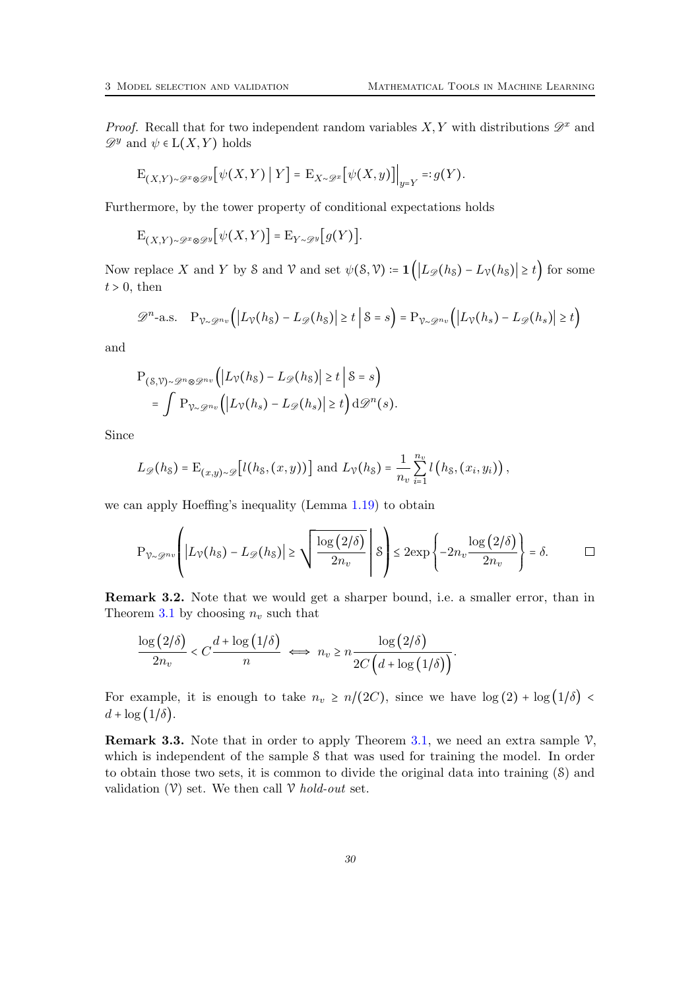*Proof.* Recall that for two independent random variables  $X, Y$  with distributions  $\mathscr{D}^x$  and  $\mathscr{D}^y$  and  $\psi \in L(X,Y)$  holds

$$
\mathbf{E}_{(X,Y)\sim \mathscr{D}^x\otimes \mathscr{D}^y}\big[\psi(X,Y)\:\big|\:Y\big] = \mathbf{E}_{X\sim \mathscr{D}^x}\big[\psi(X,y)\big]\Big|_{y=Y} =: g(Y).
$$

Furthermore, by the tower property of conditional expectations holds

$$
\mathrm{E}_{(X,Y)\sim\mathscr{D}^x\otimes\mathscr{D}^y}[\psi(X,Y)] = \mathrm{E}_{Y\sim\mathscr{D}^y}[g(Y)].
$$

Now replace X and Y by S and V and set  $\psi(\mathcal{S}, \mathcal{V}) = \mathbf{1}(|L_{\mathscr{D}}(h_{\mathcal{S}}) - L_{\mathcal{V}}(h_{\mathcal{S}})| \geq t)$  for some  $t > 0$ , then

$$
\mathscr{D}^{n}\text{-a.s.}\quad P_{\mathcal{V}\sim\mathscr{D}^{n_{v}}}\Big(\big|L_{\mathcal{V}}(h_{\mathcal{S}})-L_{\mathscr{D}}(h_{\mathcal{S}})\big|\geq t\,\big|\,\mathcal{S}=s\Big)=P_{\mathcal{V}\sim\mathscr{D}^{n_{v}}}\Big(\big|L_{\mathcal{V}}(h_{s})-L_{\mathscr{D}}(h_{s})\big|\geq t\Big)
$$

and

$$
P_{(S,\mathcal{V})\sim\mathscr{D}^{n}\otimes\mathscr{D}^{n_{v}}}(|L_{\mathcal{V}}(h_{S})-L_{\mathscr{D}}(h_{S})| \geq t | S = s)
$$
  
= 
$$
\int P_{\mathcal{V}\sim\mathscr{D}^{n_{v}}}(|L_{\mathcal{V}}(h_{s})-L_{\mathscr{D}}(h_{s})| \geq t d\mathscr{D}^{n}(s).
$$

Since

$$
L_{\mathscr{D}}(h_{\mathcal{S}})=\mathrm{E}_{(x,y)\sim\mathscr{D}}\bigl[l(h_{\mathcal{S}},(x,y))\bigr]\text{ and }L_{\mathcal{V}}(h_{\mathcal{S}})=\frac{1}{n_{v}}\sum_{i=1}^{n_{v}}l\left(h_{\mathcal{S}},(x_{i},y_{i})\right),
$$

we can apply Hoeffing's inequality (Lemma [1.19\)](#page-7-0) to obtain

$$
\mathbf{P}_{\gamma_{\sim} \mathscr{D}^{n_v}} \left( |L_{\gamma}(h_{\delta}) - L_{\mathscr{D}}(h_{\delta})| \ge \sqrt{\frac{\log (2/\delta)}{2n_v}} \right) \le 2 \exp \left\{-2n_v \frac{\log (2/\delta)}{2n_v}\right\} = \delta. \qquad \Box
$$

Remark 3.2. Note that we would get a sharper bound, i.e. a smaller error, than in Theorem [3.1](#page-28-1) by choosing  $n_v$  such that

$$
\frac{\log(2/\delta)}{2n_v} < C \frac{d + \log(1/\delta)}{n} \iff n_v \ge n \frac{\log(2/\delta)}{2C\left(d + \log(1/\delta)\right)}.
$$

For example, it is enough to take  $n_v \ge n/(2C)$ , since we have  $\log(2) + \log(1/\delta)$  $d + \log(1/\delta)$ .

**Remark 3.3.** Note that in order to apply Theorem [3.1,](#page-28-1) we need an extra sample  $\mathcal{V}$ , which is independent of the sample S that was used for training the model. In order to obtain those two sets, it is common to divide the original data into training (S) and validation  $(V)$  set. We then call V hold-out set.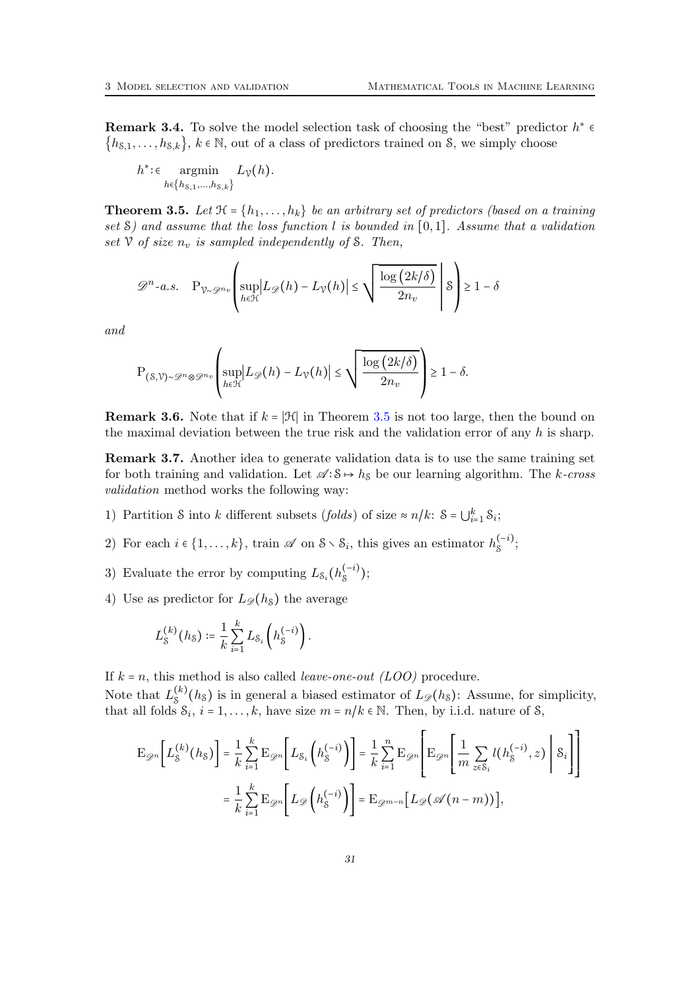**Remark 3.4.** To solve the model selection task of choosing the "best" predictor  $h^* \in$  ${h_{8,1}, \ldots, h_{8,k}}$ ,  $k \in \mathbb{N}$ , out of a class of predictors trained on S, we simply choose

$$
h^*\!\!:\in\operatorname*{argmin}\limits_{h\in\{h_{\mathcal{S},1},\ldots,h_{\mathcal{S},k}\}}L_{\mathcal{V}}(h).
$$

<span id="page-30-0"></span>**Theorem 3.5.** Let  $\mathcal{H} = \{h_1, \ldots, h_k\}$  be an arbitrary set of predictors (based on a training set  $\mathcal{S}$ ) and assume that the loss function l is bounded in [0,1]. Assume that a validation set  $\mathcal V$  of size  $n_v$  is sampled independently of S. Then,

$$
\mathscr{D}^{n}\text{-}a.s.\quad \mathcal{P}_{\mathcal{V}\sim\mathscr{D}^{n}\mathit{v}}\left(\sup_{h\in\mathcal{H}}\left|L_{\mathscr{D}}(h)-L_{\mathcal{V}}(h)\right|\leq\sqrt{\frac{\log\left(2k/\delta\right)}{2n_{\mathit{v}}}}\;\left|\mathcal{S}\right|\geq1-\delta\right)
$$

and

$$
\mathbf{P}_{(\mathcal{S},\mathcal{V})\sim\mathcal{P}^n\otimes\mathcal{P}^{n_v}}\left(\sup_{h\in\mathcal{H}}\left|L_{\mathcal{D}}(h)-L_{\mathcal{V}}(h)\right|\leq\sqrt{\frac{\log\left(2k/\delta\right)}{2n_v}}\right)\geq 1-\delta.
$$

**Remark 3.6.** Note that if  $k = |\mathcal{H}|$  in Theorem [3.5](#page-30-0) is not too large, then the bound on the maximal deviation between the true risk and the validation error of any  $h$  is sharp.

Remark 3.7. Another idea to generate validation data is to use the same training set for both training and validation. Let  $\mathscr{A} : \mathcal{S} \mapsto h_{\mathcal{S}}$  be our learning algorithm. The k-cross validation method works the following way:

- 1) Partition S into k different subsets (folds) of size  $\approx n/k$ :  $S = \bigcup_{i=1}^{k} S_i$ ;
- 2) For each  $i \in \{1, \ldots, k\}$ , train  $\mathscr A$  on  $S \setminus S_i$ , this gives an estimator  $h_S^{(-i)}$  $\frac{(-i)}{8};$
- 3) Evaluate the error by computing  $L_{\mathcal{S}_i}(h_{\mathcal{S}}^{(-i)})$  $\binom{(-i)}{s};$
- 4) Use as predictor for  $L_{\mathscr{D}}(h_s)$  the average

$$
L_S^{(k)}(h_S) := \frac{1}{k} \sum_{i=1}^k L_{S_i} \left( h_S^{(-i)} \right).
$$

If  $k = n$ , this method is also called *leave-one-out (LOO)* procedure.

Note that  $L_s^{(k)}$  $S_{\mathcal{S}}^{(k)}(h_{\mathcal{S}})$  is in general a biased estimator of  $L_{\mathscr{D}}(h_{\mathcal{S}})$ : Assume, for simplicity, that all folds  $S_i$ ,  $i = 1, ..., k$ , have size  $m = n/k \in \mathbb{N}$ . Then, by i.i.d. nature of S,

$$
\mathcal{E}_{\mathcal{D}^n} \bigg[ L_{\mathcal{S}}^{(k)}(h_{\mathcal{S}}) \bigg] = \frac{1}{k} \sum_{i=1}^k \mathcal{E}_{\mathcal{D}^n} \bigg[ L_{\mathcal{S}_i} \left( h_{\mathcal{S}}^{(-i)} \right) \bigg] = \frac{1}{k} \sum_{i=1}^n \mathcal{E}_{\mathcal{D}^n} \bigg[ \mathcal{E}_{\mathcal{D}^n} \bigg[ \mathcal{E}_{\mathcal{D}^n} \bigg[ \frac{1}{m} \sum_{z \in \mathcal{S}_i} l(h_{\mathcal{S}}^{(-i)}, z) \bigg| \mathcal{S}_i \bigg] \bigg]
$$

$$
= \frac{1}{k} \sum_{i=1}^k \mathcal{E}_{\mathcal{D}^n} \bigg[ L_{\mathcal{D}} \left( h_{\mathcal{S}}^{(-i)} \right) \bigg] = \mathcal{E}_{\mathcal{D}^{m-n}} \big[ L_{\mathcal{D}} (\mathcal{A}(n-m)) \big],
$$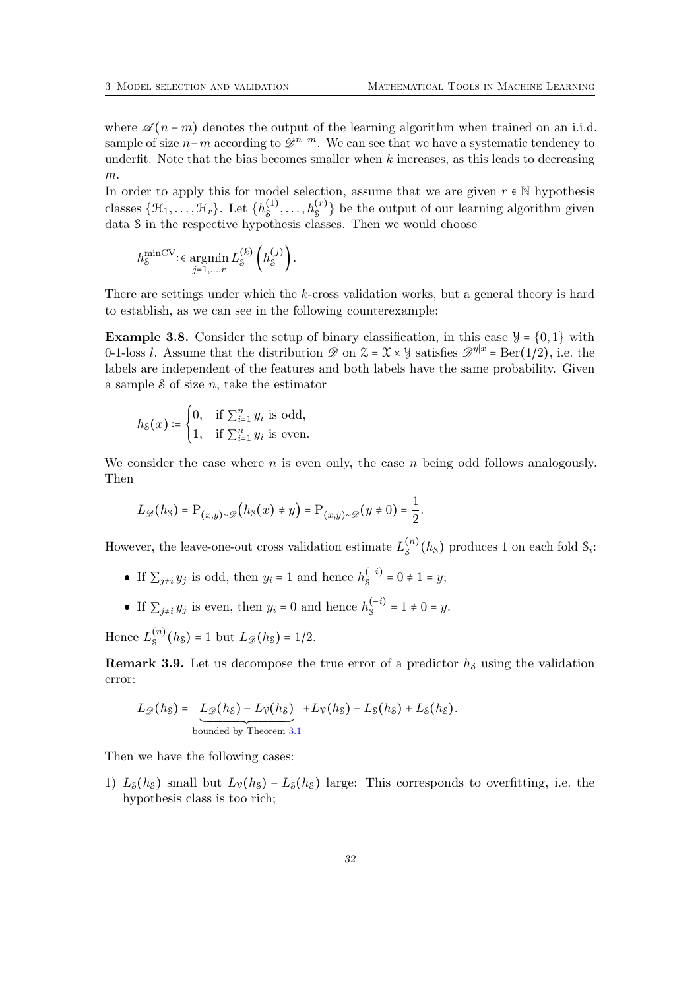where  $\mathscr{A}(n-m)$  denotes the output of the learning algorithm when trained on an i.i.d. sample of size  $n-m$  according to  $\mathscr{D}^{n-m}$ . We can see that we have a systematic tendency to underfit. Note that the bias becomes smaller when  $k$  increases, as this leads to decreasing m.

In order to apply this for model selection, assume that we are given  $r \in \mathbb{N}$  hypothesis classes  $\{\mathcal{H}_1, \ldots, \mathcal{H}_r\}$ . Let  $\{h_s^{(1)}\}$  $S_1^{(1)}, \ldots, S_k^{(r)}$  be the output of our learning algorithm given data S in the respective hypothesis classes. Then we would choose

$$
h_S^{\min CV} : \epsilon \operatorname*{argmin}_{j=1,\dots,r} L_S^{(k)} \left( h_S^{(j)} \right).
$$

There are settings under which the k-cross validation works, but a general theory is hard to establish, as we can see in the following counterexample:

**Example 3.8.** Consider the setup of binary classification, in this case  $\mathcal{Y} = \{0, 1\}$  with 0-1-loss *l.* Assume that the distribution  $\mathscr{D}$  on  $\mathscr{Z} = \mathscr{X} \times \mathscr{Y}$  satisfies  $\mathscr{D}^{y|x} = \text{Ber}(1/2)$ , i.e. the labels are independent of the features and both labels have the same probability. Given a sample  $S$  of size  $n$ , take the estimator

$$
h_{\mathcal{S}}(x) \coloneqq \begin{cases} 0, & \text{if } \sum_{i=1}^{n} y_i \text{ is odd,} \\ 1, & \text{if } \sum_{i=1}^{n} y_i \text{ is even.} \end{cases}
$$

We consider the case where n is even only, the case n being odd follows analogously. Then

$$
L_{\mathscr{D}}(h_{\mathcal{S}}) = \mathrm{P}_{(x,y)\sim\mathscr{D}}(h_{\mathcal{S}}(x) \neq y) = \mathrm{P}_{(x,y)\sim\mathscr{D}}(y \neq 0) = \frac{1}{2}.
$$

However, the leave-one-out cross validation estimate  $L_s^{(n)}$  $S^{(n)}(h_{\mathcal{S}})$  produces 1 on each fold  $S_i$ :

- If  $\sum_{j\neq i} y_j$  is odd, then  $y_i = 1$  and hence  $h_s^{(-i)}$  $S^{(-i)} = 0 \neq 1 = y;$
- If  $\sum_{j\neq i} y_j$  is even, then  $y_i = 0$  and hence  $h_s^{(-i)}$  $S^{(-i)}$  = 1  $\neq$  0 = y.

Hence  $L_{\rm s}^{(n)}$  $S^{(n)}(h_{\mathcal{S}}) = 1$  but  $L_{\mathscr{D}}(h_{\mathcal{S}}) = 1/2$ .

<span id="page-31-0"></span>**Remark 3.9.** Let us decompose the true error of a predictor  $h<sub>S</sub>$  using the validation error:

$$
L_{\mathscr{D}}(h_{\mathcal{S}}) = \underbrace{L_{\mathscr{D}}(h_{\mathcal{S}}) - L_{\mathcal{V}}(h_{\mathcal{S}})}_{\text{bounded by Theorem 3.1}} + L_{\mathcal{V}}(h_{\mathcal{S}}) - L_{\mathcal{S}}(h_{\mathcal{S}}) + L_{\mathcal{S}}(h_{\mathcal{S}}).
$$

Then we have the following cases:

1)  $L_8(h_8)$  small but  $L_8(h_8) - L_8(h_8)$  large: This corresponds to overfitting, i.e. the hypothesis class is too rich;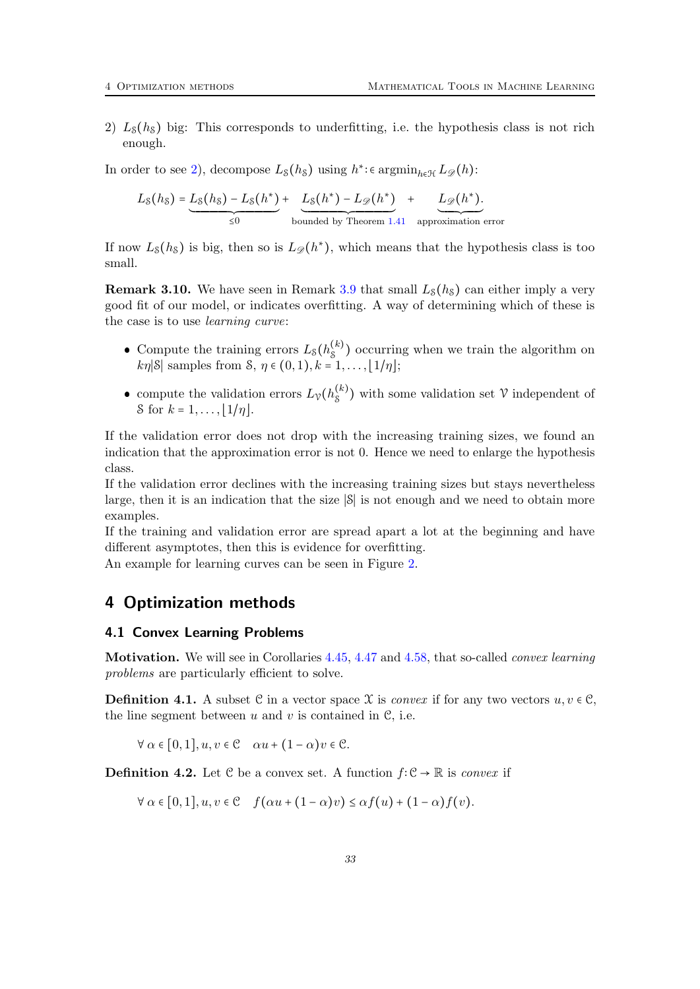<span id="page-32-2"></span>2)  $L_s(h_s)$  big: This corresponds to underfitting, i.e. the hypothesis class is not rich enough.

In order to see [2\)](#page-32-2), decompose  $L_8(h_8)$  using  $h^*$ : $\epsilon$  argmin<sub>h $\epsilon$ </sub>  $L_8(h)$ :

$$
L_{\mathcal{S}}(h_{\mathcal{S}}) = \underbrace{L_{\mathcal{S}}(h_{\mathcal{S}}) - L_{\mathcal{S}}(h^*)}_{\leq 0} + \underbrace{L_{\mathcal{S}}(h^*) - L_{\mathcal{D}}(h^*)}_{\text{bounded by Theorem 1.41 approximation error}}
$$

If now  $L_{\mathcal{S}}(h_{\mathcal{S}})$  is big, then so is  $L_{\mathscr{D}}(h^*)$ , which means that the hypothesis class is too small.

**Remark 3.10.** We have seen in Remark [3.9](#page-31-0) that small  $L_{\mathcal{S}}(h_{\mathcal{S}})$  can either imply a very good fit of our model, or indicates overfitting. A way of determining which of these is the case is to use learning curve:

- Compute the training errors  $L_8(h_8^{(k)})$  $S<sup>(*κ*)</sup>$ ) occurring when we train the algorithm on  $k\eta$ |S| samples from  $S, \eta \in (0,1), k = 1, \ldots, [1/\eta];$
- compute the validation errors  $L_v(h_s^{(k)})$  $S<sup>(*κ*)</sup>$ ) with some validation set  $V$  independent of S for  $k = 1, ..., |1/n|$ .

If the validation error does not drop with the increasing training sizes, we found an indication that the approximation error is not 0. Hence we need to enlarge the hypothesis class.

If the validation error declines with the increasing training sizes but stays nevertheless large, then it is an indication that the size ∣S∣ is not enough and we need to obtain more examples.

If the training and validation error are spread apart a lot at the beginning and have different asymptotes, then this is evidence for overfitting.

An example for learning curves can be seen in Figure [2.](#page-33-0)

# <span id="page-32-0"></span>4 Optimization methods

#### <span id="page-32-1"></span>4.1 Convex Learning Problems

Motivation. We will see in Corollaries [4.45,](#page-45-0) [4.47](#page-47-0) and [4.58,](#page-53-1) that so-called convex learning problems are particularly efficient to solve.

**Definition 4.1.** A subset C in a vector space X is *convex* if for any two vectors  $u, v \in \mathcal{C}$ , the line segment between  $u$  and  $v$  is contained in  $\mathcal{C}$ , i.e.

 $\forall \alpha \in [0, 1], u, v \in \mathcal{C} \quad \alpha u + (1 - \alpha)v \in \mathcal{C}.$ 

**Definition 4.2.** Let  $\mathcal{C}$  be a convex set. A function  $f: \mathcal{C} \to \mathbb{R}$  is *convex* if

$$
\forall \alpha \in [0,1], u, v \in \mathcal{C} \quad f(\alpha u + (1-\alpha)v) \leq \alpha f(u) + (1-\alpha)f(v).
$$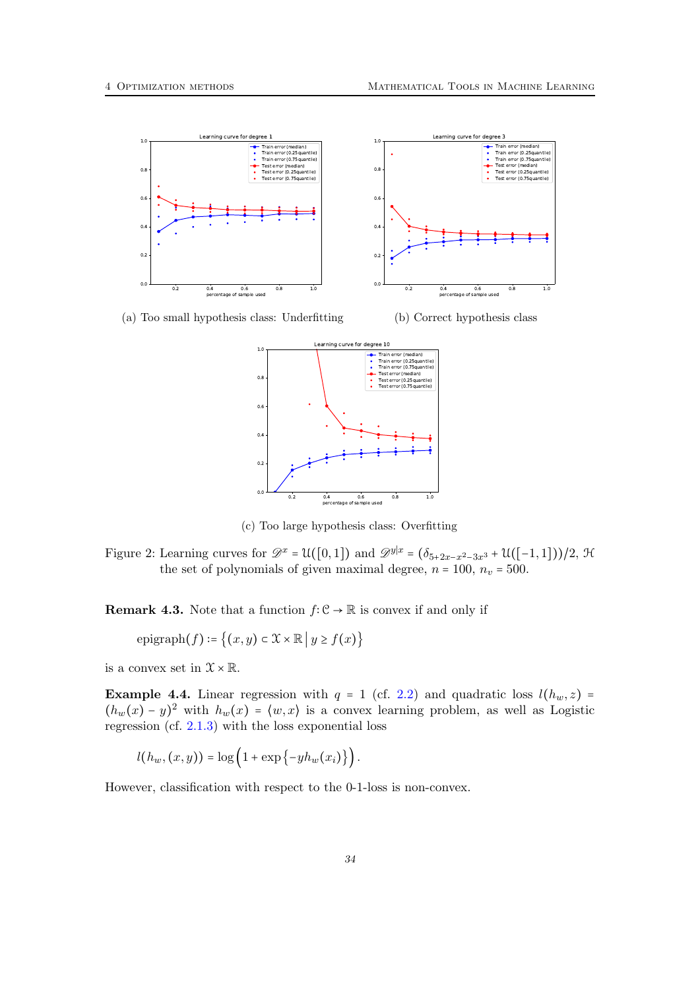<span id="page-33-0"></span>

(a) Too small hypothesis class: Underfitting





(c) Too large hypothesis class: Overfitting

Figure 2: Learning curves for  $\mathscr{D}^x = \mathcal{U}([0,1])$  and  $\mathscr{D}^{y|x} = (\delta_{5+2x-x^2-3x^3} + \mathcal{U}([-1,1]))/2$ , H the set of polynomials of given maximal degree,  $n = 100$ ,  $n_v = 500$ .

**Remark 4.3.** Note that a function  $f: \mathcal{C} \to \mathbb{R}$  is convex if and only if

$$
epigraph(f) \coloneqq \{(x, y) \in \mathfrak{X} \times \mathbb{R} \mid y \ge f(x)\}\
$$

is a convex set in  $\mathcal{X}\times\mathbb{R}.$ 

**Example 4.4.** Linear regression with  $q = 1$  (cf. [2.2\)](#page-26-0) and quadratic loss  $l(h_w, z)$  =  $(h_w(x) - y)^2$  with  $h_w(x) = \langle w, x \rangle$  is a convex learning problem, as well as Logistic regression (cf. [2.1.3\)](#page-25-0) with the loss exponential loss

$$
l(h_w,(x,y)) = \log\left(1+\exp\left\{-yh_w(x_i)\right\}\right).
$$

However, classification with respect to the 0-1-loss is non-convex.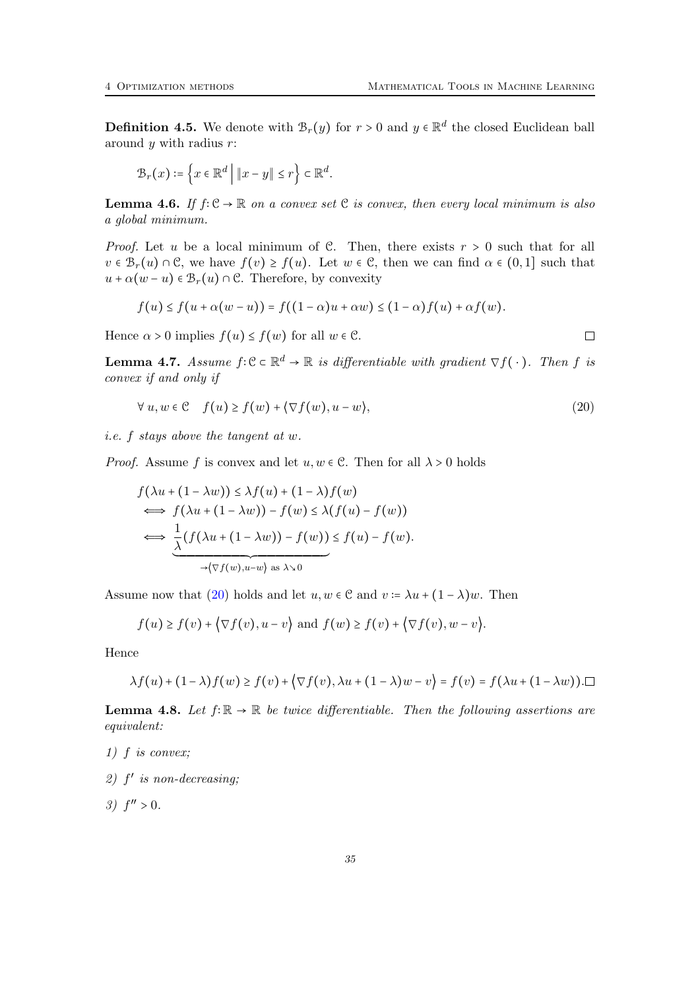**Definition 4.5.** We denote with  $\mathcal{B}_r(y)$  for  $r > 0$  and  $y \in \mathbb{R}^d$  the closed Euclidean ball around  $y$  with radius  $r$ :

$$
\mathcal{B}_r(x) \coloneqq \left\{ x \in \mathbb{R}^d \mid \|x - y\| \le r \right\} \subset \mathbb{R}^d.
$$

**Lemma 4.6.** If  $f: \mathcal{C} \to \mathbb{R}$  on a convex set  $\mathcal{C}$  is convex, then every local minimum is also a global minimum.

*Proof.* Let u be a local minimum of C. Then, there exists  $r > 0$  such that for all  $v \in \mathcal{B}_r(u) \cap \mathcal{C}$ , we have  $f(v) \geq f(u)$ . Let  $w \in \mathcal{C}$ , then we can find  $\alpha \in (0,1]$  such that  $u + \alpha(w - u) \in \mathcal{B}_r(u) \cap \mathcal{C}$ . Therefore, by convexity

$$
f(u) \le f(u + \alpha(w - u)) = f((1 - \alpha)u + \alpha w) \le (1 - \alpha)f(u) + \alpha f(w).
$$

Hence  $\alpha > 0$  implies  $f(u) \leq f(w)$  for all  $w \in \mathcal{C}$ .

<span id="page-34-2"></span>**Lemma 4.7.** Assume  $f: \mathbb{C} \subset \mathbb{R}^d \to \mathbb{R}$  is differentiable with gradient  $\nabla f(\cdot)$ . Then f is convex if and only if

<span id="page-34-0"></span>
$$
\forall u, w \in \mathcal{C} \quad f(u) \ge f(w) + \langle \nabla f(w), u - w \rangle,
$$
\n(20)

i.e. f stays above the tangent at w.

*Proof.* Assume f is convex and let  $u, w \in \mathbb{C}$ . Then for all  $\lambda > 0$  holds

$$
f(\lambda u + (1 - \lambda w)) \leq \lambda f(u) + (1 - \lambda)f(w)
$$
  
\n
$$
\iff f(\lambda u + (1 - \lambda w)) - f(w) \leq \lambda (f(u) - f(w))
$$
  
\n
$$
\iff \underbrace{\frac{1}{\lambda} (f(\lambda u + (1 - \lambda w)) - f(w))}_{\rightarrow (\nabla f(w), u - w) \text{ as } \lambda \searrow 0} \leq f(u) - f(w).
$$

Assume now that [\(20\)](#page-34-0) holds and let  $u, w \in \mathcal{C}$  and  $v := \lambda u + (1 - \lambda)w$ . Then

$$
f(u) \ge f(v) + \langle \nabla f(v), u - v \rangle
$$
 and  $f(w) \ge f(v) + \langle \nabla f(v), w - v \rangle$ .

Hence

$$
\lambda f(u) + (1 - \lambda)f(w) \ge f(v) + \langle \nabla f(v), \lambda u + (1 - \lambda)w - v \rangle = f(v) = f(\lambda u + (1 - \lambda w)).\square
$$

<span id="page-34-1"></span>**Lemma 4.8.** Let  $f: \mathbb{R} \to \mathbb{R}$  be twice differentiable. Then the following assertions are equivalent:

- 1) f is convex;
- 2)  $f'$  is non-decreasing;
- 3)  $f'' > 0$ .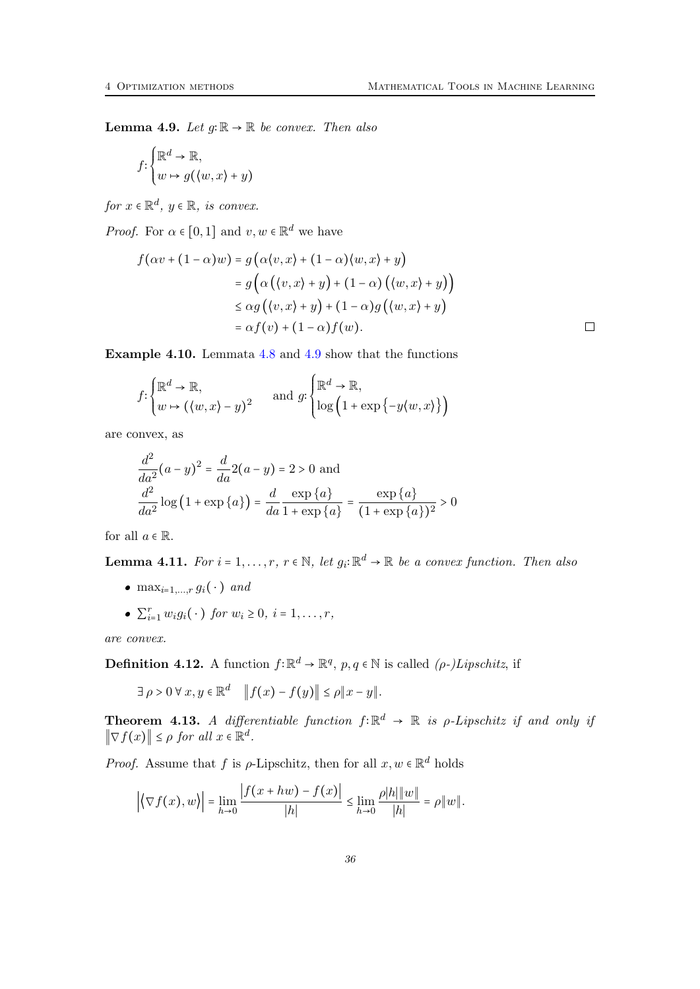<span id="page-35-0"></span>**Lemma 4.9.** Let  $q: \mathbb{R} \to \mathbb{R}$  be convex. Then also

$$
f: \begin{cases} \mathbb{R}^d \to \mathbb{R}, \\ w \mapsto g(\langle w, x \rangle + y) \end{cases}
$$

for  $x \in \mathbb{R}^d$ ,  $y \in \mathbb{R}$ , is convex.

*Proof.* For  $\alpha \in [0,1]$  and  $v, w \in \mathbb{R}^d$  we have

$$
f(\alpha v + (1 - \alpha)w) = g(\alpha \langle v, x \rangle + (1 - \alpha) \langle w, x \rangle + y)
$$
  
=  $g(\alpha (\langle v, x \rangle + y) + (1 - \alpha) (\langle w, x \rangle + y))$   
 $\leq \alpha g(\langle v, x \rangle + y) + (1 - \alpha)g(\langle w, x \rangle + y)$   
=  $\alpha f(v) + (1 - \alpha)f(w).$ 

Example 4.10. Lemmata [4.8](#page-34-1) and [4.9](#page-35-0) show that the functions

$$
f \colon \begin{cases} \mathbb{R}^d \to \mathbb{R}, \\ w \mapsto (\langle w, x \rangle - y)^2 \end{cases} \quad \text{and } g \colon \begin{cases} \mathbb{R}^d \to \mathbb{R}, \\ \log \left( 1 + \exp \left\{ -y \langle w, x \rangle \right\} \right) \end{cases}
$$

are convex, as

$$
\frac{d^2}{da^2}(a-y)^2 = \frac{d}{da}2(a-y) = 2 > 0 \text{ and}
$$

$$
\frac{d^2}{da^2}\log(1 + \exp\{a\}) = \frac{d}{da}\frac{\exp\{a\}}{1 + \exp\{a\}} = \frac{\exp\{a\}}{(1 + \exp\{a\})^2} > 0
$$

for all  $a \in \mathbb{R}$ .

<span id="page-35-1"></span>**Lemma 4.11.** For  $i = 1, ..., r$ ,  $r \in \mathbb{N}$ , let  $g_i: \mathbb{R}^d \to \mathbb{R}$  be a convex function. Then also

- max<sub>i=1,...,r</sub>  $g_i(\cdot)$  and
- $\sum_{i=1}^r w_i g_i(\cdot)$  for  $w_i \geq 0$ ,  $i = 1, ..., r$ ,

are convex.

**Definition 4.12.** A function  $f: \mathbb{R}^d \to \mathbb{R}^q$ ,  $p, q \in \mathbb{N}$  is called  $(\rho-)Lipschitz$ , if

$$
\exists \rho > 0 \,\forall x, y \in \mathbb{R}^d \quad ||f(x) - f(y)|| \le \rho ||x - y||.
$$

<span id="page-35-2"></span>**Theorem 4.13.** A differentiable function  $f: \mathbb{R}^d \to \mathbb{R}$  is  $\rho$ -Lipschitz if and only if  $\|\nabla f(x)\| \leq \rho$  for all  $x \in \mathbb{R}^d$ .

*Proof.* Assume that f is  $\rho$ -Lipschitz, then for all  $x, w \in \mathbb{R}^d$  holds

$$
\left| \left\langle \nabla f(x), w \right\rangle \right| = \lim_{h \to 0} \frac{|f(x + hw) - f(x)|}{|h|} \le \lim_{h \to 0} \frac{\rho |h| \|w\|}{|h|} = \rho \|w\|.
$$

 $\hfill \square$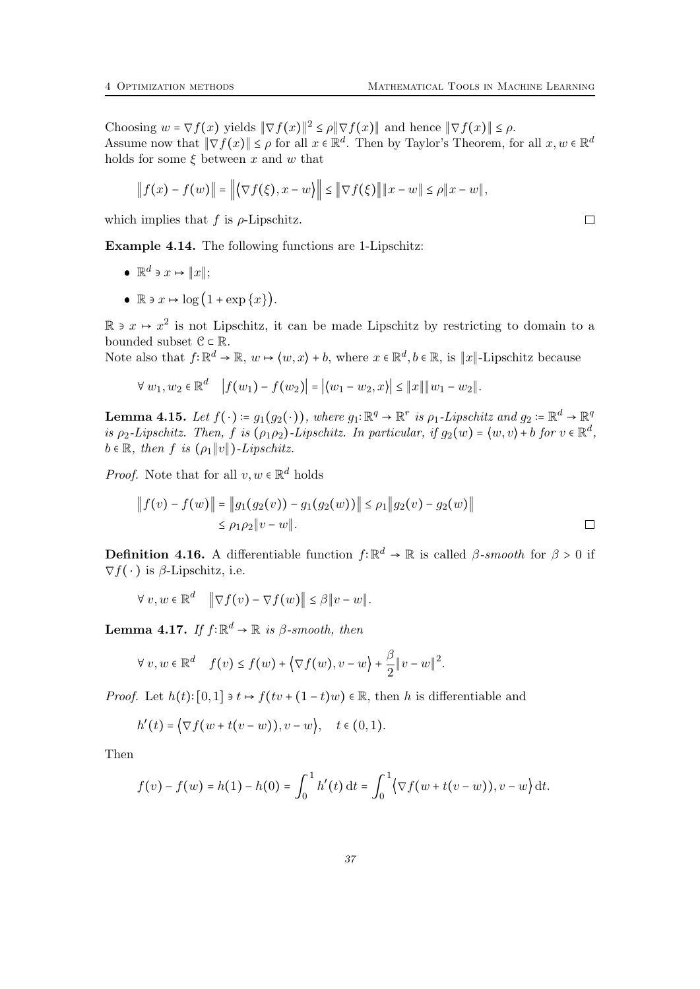Choosing  $w = \nabla f(x)$  yields  $\|\nabla f(x)\|^2 \le \rho \|\nabla f(x)\|$  and hence  $\|\nabla f(x)\| \le \rho$ . Assume now that  $\|\nabla f(x)\| \leq \rho$  for all  $x \in \mathbb{R}^d$ . Then by Taylor's Theorem, for all  $x, w \in \mathbb{R}^d$ holds for some  $\xi$  between x and w that

$$
|| f(x) - f(w)|| = ||\langle \nabla f(\xi), x - w \rangle|| \le ||\nabla f(\xi)|| ||x - w|| \le \rho ||x - w||,
$$

which implies that f is  $\rho$ -Lipschitz.

Example 4.14. The following functions are 1-Lipschitz:

- $\mathbb{R}^d$  ∍  $x \mapsto ||x||;$
- $\bullet \ \mathbb{R} \ni x \mapsto \log(1 + \exp\{x\}).$

R ∍  $x \mapsto x^2$  is not Lipschitz, it can be made Lipschitz by restricting to domain to a bounded subset  $\mathcal{C} \subset \mathbb{R}$ .

Note also that  $f: \mathbb{R}^d \to \mathbb{R}$ ,  $w \mapsto \langle w, x \rangle + b$ , where  $x \in \mathbb{R}^d$ ,  $b \in \mathbb{R}$ , is  $||x||$ -Lipschitz because

$$
\forall w_1, w_2 \in \mathbb{R}^d \quad |f(w_1) - f(w_2)| = |\langle w_1 - w_2, x \rangle| \le ||x|| ||w_1 - w_2||.
$$

<span id="page-36-1"></span>**Lemma 4.15.** Let  $f(\cdot) \coloneqq g_1(g_2(\cdot))$ , where  $g_1: \mathbb{R}^q \to \mathbb{R}^r$  is  $\rho_1$ -Lipschitz and  $g_2 \coloneqq \mathbb{R}^d \to \mathbb{R}^q$ is  $\rho_2$ -Lipschitz. Then, f is  $(\rho_1 \rho_2)$ -Lipschitz. In particular, if  $g_2(w) = \langle w, v \rangle + b$  for  $v \in \mathbb{R}^d$ ,  $b \in \mathbb{R}$ , then f is  $(\rho_1 || v ||)$ -Lipschitz.

*Proof.* Note that for all  $v, w \in \mathbb{R}^d$  holds

$$
|| f(v) - f(w)|| = ||g_1(g_2(v)) - g_1(g_2(w))|| \le \rho_1 ||g_2(v) - g_2(w)||
$$
  
 
$$
\le \rho_1 \rho_2 ||v - w||. \qquad \Box
$$

**Definition 4.16.** A differentiable function  $f: \mathbb{R}^d \to \mathbb{R}$  is called  $\beta$ -smooth for  $\beta > 0$  if  $\nabla f(\cdot)$  is  $\beta$ -Lipschitz, i.e.

$$
\forall v, w \in \mathbb{R}^d \quad \|\nabla f(v) - \nabla f(w)\| \leq \beta \|v - w\|.
$$

<span id="page-36-0"></span>**Lemma 4.17.** If  $f: \mathbb{R}^d \to \mathbb{R}$  is  $\beta$ -smooth, then

$$
\forall v, w \in \mathbb{R}^d \quad f(v) \le f(w) + \left\langle \nabla f(w), v - w \right\rangle + \frac{\beta}{2} \|v - w\|^2.
$$

*Proof.* Let  $h(t): [0,1] \ni t \mapsto f(tv + (1-t)w) \in \mathbb{R}$ , then h is differentiable and

$$
h'(t) = \big\langle \nabla f(w + t(v - w)), v - w \big\rangle, \quad t \in (0, 1).
$$

Then

$$
f(v) - f(w) = h(1) - h(0) = \int_0^1 h'(t) dt = \int_0^1 \left( \nabla f(w + t(v - w)), v - w \right) dt.
$$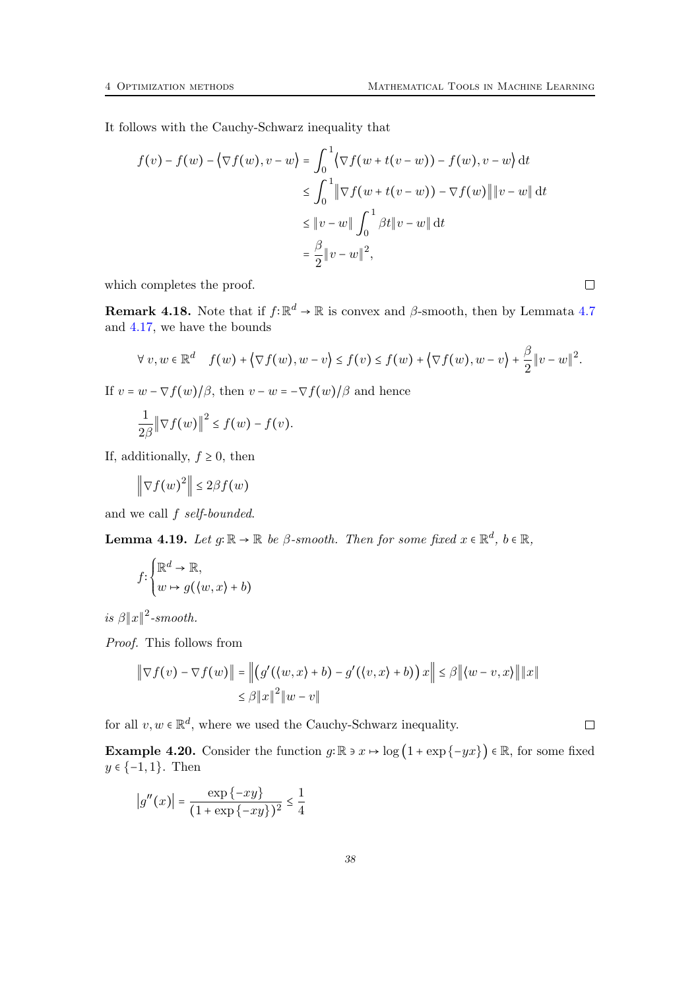It follows with the Cauchy-Schwarz inequality that

$$
f(v) - f(w) - \langle \nabla f(w), v - w \rangle = \int_0^1 \langle \nabla f(w + t(v - w)) - f(w), v - w \rangle dt
$$
  
\n
$$
\leq \int_0^1 \|\nabla f(w + t(v - w)) - \nabla f(w)\| \|v - w\| dt
$$
  
\n
$$
\leq \|v - w\| \int_0^1 \beta t \|v - w\| dt
$$
  
\n
$$
= \frac{\beta}{2} \|v - w\|^2,
$$

which completes the proof.

**Remark 4.18.** Note that if  $f: \mathbb{R}^d \to \mathbb{R}$  is convex and  $\beta$ -smooth, then by Lemmata [4.7](#page-34-2) and [4.17,](#page-36-0) we have the bounds

$$
\forall v, w \in \mathbb{R}^d \quad f(w) + \left\langle \nabla f(w), w - v \right\rangle \leq f(v) \leq f(w) + \left\langle \nabla f(w), w - v \right\rangle + \frac{\beta}{2} \|v - w\|^2.
$$

If  $v = w - \nabla f(w)/\beta$ , then  $v - w = -\nabla f(w)/\beta$  and hence

$$
\frac{1}{2\beta} \left\| \nabla f(w) \right\|^2 \le f(w) - f(v).
$$

If, additionally,  $f \geq 0$ , then

$$
\left\|\nabla f(w)^2\right\| \leq 2\beta f(w)
$$

and we call f self-bounded.

<span id="page-37-0"></span>**Lemma 4.19.** Let  $g: \mathbb{R} \to \mathbb{R}$  be  $\beta$ -smooth. Then for some fixed  $x \in \mathbb{R}^d$ ,  $b \in \mathbb{R}$ ,

$$
f: \begin{cases} \mathbb{R}^d \to \mathbb{R}, \\ w \mapsto g(\langle w, x \rangle + b) \end{cases}
$$

is  $\beta ||x||^2$ -smooth.

Proof. This follows from

$$
\|\nabla f(v) - \nabla f(w)\| = \left\| \left( g'(\langle w, x \rangle + b) - g'(\langle v, x \rangle + b) \right) x \right\| \le \beta \|\langle w - v, x \rangle\| \|x\|
$$
  

$$
\le \beta \|x\|^2 \|w - v\|
$$

for all  $v, w \in \mathbb{R}^d$ , where we used the Cauchy-Schwarz inequality.

**Example 4.20.** Consider the function  $g: \mathbb{R} \ni x \mapsto \log(1 + \exp\{-yx\}) \in \mathbb{R}$ , for some fixed  $y \in \{-1, 1\}$ . Then

$$
|g''(x)| = \frac{\exp\{-xy\}}{(1 + \exp\{-xy\})^2} \le \frac{1}{4}
$$

 $\Box$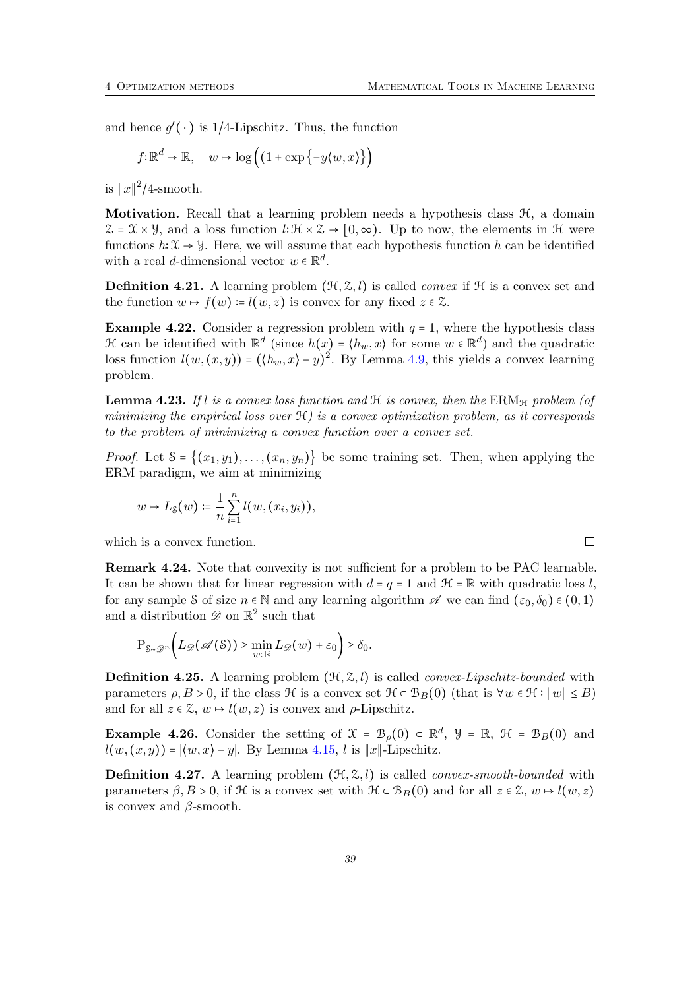and hence  $g'(\cdot)$  is 1/4-Lipschitz. Thus, the function

$$
f: \mathbb{R}^d \to \mathbb{R}, \quad w \mapsto \log((1 + \exp\{-y\langle w, x\rangle\}))
$$

is  $||x||^2/4$ -smooth.

**Motivation.** Recall that a learning problem needs a hypothesis class  $H$ , a domain  $\mathcal{Z} = \mathcal{X} \times \mathcal{Y}$ , and a loss function  $\ell: \mathcal{H} \times \mathcal{Z} \to [0, \infty)$ . Up to now, the elements in  $\mathcal{H}$  were functions  $h: \mathfrak{X} \to \mathcal{Y}$ . Here, we will assume that each hypothesis function h can be identified with a real *d*-dimensional vector  $w \in \mathbb{R}^d$ .

**Definition 4.21.** A learning problem  $(\mathcal{H}, \mathcal{Z}, l)$  is called *convex* if  $\mathcal{H}$  is a convex set and the function  $w \mapsto f(w) = l(w, z)$  is convex for any fixed  $z \in \mathcal{Z}$ .

**Example 4.22.** Consider a regression problem with  $q = 1$ , where the hypothesis class H can be identified with  $\mathbb{R}^d$  (since  $h(x) = \langle h_w, x \rangle$  for some  $w \in \mathbb{R}^d$ ) and the quadratic loss function  $l(w,(x,y)) = (\langle h_w, x \rangle - y)^2$ . By Lemma [4.9,](#page-35-0) this yields a convex learning problem.

**Lemma 4.23.** If l is a convex loss function and  $H$  is convex, then the ERM<sub>H</sub> problem (of minimizing the empirical loss over  $\mathcal{H}$ ) is a convex optimization problem, as it corresponds to the problem of minimizing a convex function over a convex set.

*Proof.* Let  $S = \{(x_1, y_1), \ldots, (x_n, y_n)\}\)$  be some training set. Then, when applying the ERM paradigm, we aim at minimizing

$$
w \mapsto L_{\mathcal{S}}(w) \coloneqq \frac{1}{n} \sum_{i=1}^{n} l(w, (x_i, y_i)),
$$

which is a convex function.

Remark 4.24. Note that convexity is not sufficient for a problem to be PAC learnable. It can be shown that for linear regression with  $d = q = 1$  and  $\mathcal{H} = \mathbb{R}$  with quadratic loss l, for any sample S of size  $n \in \mathbb{N}$  and any learning algorithm  $\mathscr A$  we can find  $(\varepsilon_0, \delta_0) \in (0, 1)$ and a distribution  $\mathscr{D}$  on  $\mathbb{R}^2$  such that

$$
\mathrm{P}_{\mathcal{S}\sim\mathscr{D}^n}\bigg(L_{\mathscr{D}}(\mathscr{A}(\mathcal{S}))\geq \min_{w\in\mathbb{R}}L_{\mathscr{D}}(w)+\varepsilon_0\bigg)\geq \delta_0.
$$

**Definition 4.25.** A learning problem  $(\mathcal{H}, \mathcal{Z}, l)$  is called *convex-Lipschitz-bounded* with parameters  $\rho, B > 0$ , if the class  $\mathcal H$  is a convex set  $\mathcal H \subset \mathcal B_B(0)$  (that is  $\forall w \in \mathcal H : \|w\| \leq B$ ) and for all  $z \in \mathcal{Z}$ ,  $w \mapsto l(w, z)$  is convex and  $\rho$ -Lipschitz.

**Example 4.26.** Consider the setting of  $\mathcal{X} = \mathcal{B}_{\rho}(0) \subset \mathbb{R}^d$ ,  $\mathcal{Y} = \mathbb{R}$ ,  $\mathcal{H} = \mathcal{B}_B(0)$  and  $l(w, (x, y)) = |\langle w, x \rangle - y|$ . By Lemma [4.15,](#page-36-1) l is  $||x||$ -Lipschitz.

**Definition 4.27.** A learning problem  $(\mathcal{H}, \mathcal{Z}, l)$  is called *convex-smooth-bounded* with parameters  $\beta, B > 0$ , if H is a convex set with  $\mathcal{H} \subset \mathcal{B}_B(0)$  and for all  $z \in \mathcal{Z}$ ,  $w \mapsto l(w, z)$ is convex and  $\beta$ -smooth.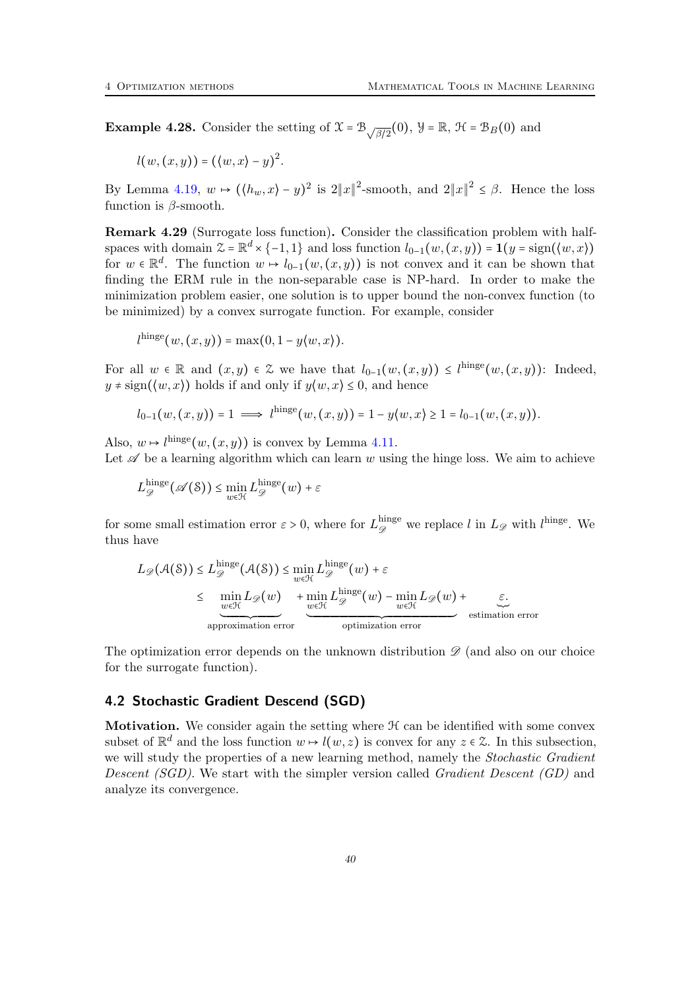**Example 4.28.** Consider the setting of  $\mathcal{X} = \mathcal{B}_{\sqrt{\beta/2}}(0)$ ,  $\mathcal{Y} = \mathbb{R}$ ,  $\mathcal{H} = \mathcal{B}_B(0)$  and

$$
l(w,(x,y)) = (\langle w,x \rangle - y)^2.
$$

By Lemma [4.19,](#page-37-0)  $w \mapsto (\langle h_w, x \rangle - y)^2$  is  $2||x||^2$ -smooth, and  $2||x||^2 \le \beta$ . Hence the loss function is  $\beta$ -smooth.

Remark 4.29 (Surrogate loss function). Consider the classification problem with halfspaces with domain  $\mathcal{Z} = \mathbb{R}^d \times \{-1, 1\}$  and loss function  $l_{0-1}(w, (x, y)) = \mathbf{1}(y = \text{sign}(\langle w, x \rangle))$ for  $w \in \mathbb{R}^d$ . The function  $w \mapsto l_{0-1}(w,(x,y))$  is not convex and it can be shown that finding the ERM rule in the non-separable case is NP-hard. In order to make the minimization problem easier, one solution is to upper bound the non-convex function (to be minimized) by a convex surrogate function. For example, consider

$$
l^{\text{hinge}}(w,(x,y)) = \max(0,1-y\langle w,x\rangle).
$$

For all  $w \in \mathbb{R}$  and  $(x, y) \in \mathbb{Z}$  we have that  $l_{0-1}(w,(x, y)) \leq l^{\text{hinge}}(w,(x, y))$ : Indeed,  $y \neq \text{sign}(\langle w, x \rangle)$  holds if and only if  $y \langle w, x \rangle \leq 0$ , and hence

$$
l_{0-1}(w,(x,y)) = 1 \implies l^{\text{hinge}}(w,(x,y)) = 1 - y(w,x) \ge 1 = l_{0-1}(w,(x,y)).
$$

Also,  $w \mapsto l^{\text{hinge}}(w,(x,y))$  is convex by Lemma [4.11.](#page-35-1)

Let  $\mathscr A$  be a learning algorithm which can learn w using the hinge loss. We aim to achieve

$$
L_{\mathscr{D}}^{\text{hinge}}(\mathscr{A}(\mathcal{S})) \le \min_{w \in \mathcal{H}} L_{\mathscr{D}}^{\text{hinge}}(w) + \varepsilon
$$

for some small estimation error  $\varepsilon > 0$ , where for  $L_{\mathscr{D}}^{\text{hinge}}$  we replace l in  $L_{\mathscr{D}}$  with l<sup>hinge</sup>. We thus have

$$
L_{\mathscr{D}}(\mathcal{A}(\mathcal{S})) \leq L_{\mathscr{D}}^{\text{hinge}}(\mathcal{A}(\mathcal{S})) \leq \min_{w \in \mathcal{H}} L_{\mathscr{D}}^{\text{hinge}}(w) + \varepsilon
$$
  
\n
$$
\leq \min_{w \in \mathcal{H}} L_{\mathscr{D}}(w) + \min_{w \in \mathcal{H}} L_{\mathscr{D}}^{\text{hinge}}(w) - \min_{w \in \mathcal{H}} L_{\mathscr{D}}(w) + \varepsilon
$$
  
\napprox<sub>approximation error</sub> optimization error

The optimization error depends on the unknown distribution  $\mathscr{D}$  (and also on our choice for the surrogate function).

#### <span id="page-39-0"></span>4.2 Stochastic Gradient Descend (SGD)

**Motivation.** We consider again the setting where  $H$  can be identified with some convex subset of  $\mathbb{R}^d$  and the loss function  $w \mapsto l(w, z)$  is convex for any  $z \in \mathcal{Z}$ . In this subsection, we will study the properties of a new learning method, namely the *Stochastic Gradient* Descent (SGD). We start with the simpler version called Gradient Descent (GD) and analyze its convergence.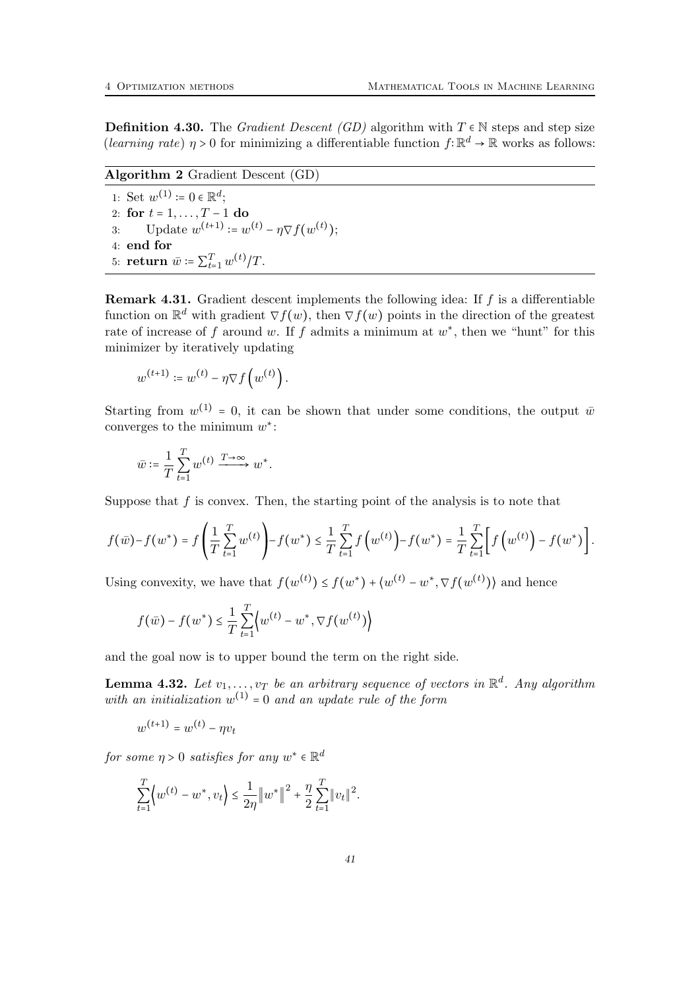**Definition 4.30.** The *Gradient Descent (GD)* algorithm with  $T \in \mathbb{N}$  steps and step size (learning rate)  $\eta > 0$  for minimizing a differentiable function  $f: \mathbb{R}^d \to \mathbb{R}$  works as follows:

Algorithm 2 Gradient Descent (GD) 1: Set  $w^{(1)} \coloneqq 0 \in \mathbb{R}^d$ ; 2: for  $t = 1, ..., T - 1$  do 3: Update  $w^{(t+1)} \coloneqq w^{(t)} - \eta \nabla f(w^{(t)});$ 4: end for 5: **return**  $\bar{w}$  :=  $\sum_{t=1}^{T} w^{(t)} / T$ .

**Remark 4.31.** Gradient descent implements the following idea: If  $f$  is a differentiable function on  $\mathbb{R}^d$  with gradient  $\nabla f(w)$ , then  $\nabla f(w)$  points in the direction of the greatest rate of increase of f around w. If f admits a minimum at  $w^*$ , then we "hunt" for this minimizer by iteratively updating

$$
w^{(t+1)} \coloneqq w^{(t)} - \eta \nabla f\left(w^{(t)}\right).
$$

Starting from  $w^{(1)} = 0$ , it can be shown that under some conditions, the output  $\bar{w}$ converges to the minimum  $w^*$ :

$$
\bar{w}\coloneqq \frac{1}{T}\sum_{t=1}^T w^{(t)} \xrightarrow{T\to\infty} w^*.
$$

Suppose that  $f$  is convex. Then, the starting point of the analysis is to note that

$$
f(\bar{w}) - f(w^*) = f\left(\frac{1}{T}\sum_{t=1}^T w^{(t)}\right) - f(w^*) \leq \frac{1}{T}\sum_{t=1}^T f\left(w^{(t)}\right) - f(w^*) = \frac{1}{T}\sum_{t=1}^T \left[ f\left(w^{(t)}\right) - f(w^*) \right].
$$

Using convexity, we have that  $f(w^{(t)}) \le f(w^*) + \langle w^{(t)} - w^*, \nabla f(w^{(t)}) \rangle$  and hence

$$
f(\bar{w}) - f(w^*) \le \frac{1}{T} \sum_{t=1}^T \left\{ w^{(t)} - w^*, \nabla f(w^{(t)}) \right\}
$$

and the goal now is to upper bound the term on the right side.

<span id="page-40-0"></span>**Lemma 4.32.** Let  $v_1, \ldots, v_T$  be an arbitrary sequence of vectors in  $\mathbb{R}^d$ . Any algorithm with an initialization  $w^{(1)} = 0$  and an update rule of the form

$$
w^{(t+1)} = w^{(t)} - \eta v_t
$$

for some  $\eta > 0$  satisfies for any  $w^* \in \mathbb{R}^d$ 

$$
\sum_{t=1}^{T} \left\{ w^{(t)} - w^*, v_t \right\} \le \frac{1}{2\eta} \|w^*\|^2 + \frac{\eta}{2} \sum_{t=1}^{T} \|v_t\|^2.
$$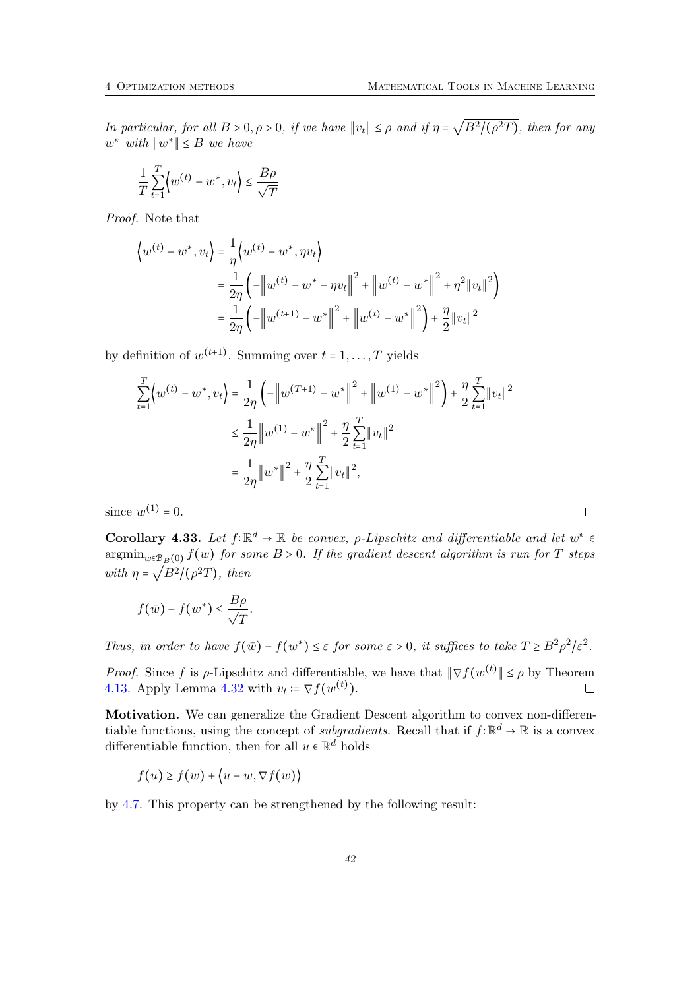In particular, for all  $B > 0, \rho > 0$ , if we have  $||v_t|| \le \rho$  and if  $\eta =$  $\sqrt{B^2/(\rho^2T)}$ , then for any  $w^*$  with  $\|w^*\| \leq B$  we have

$$
\frac{1}{T}\sum_{t=1}^{T} \left\langle w^{(t)} - w^*, v_t \right\rangle \le \frac{B\rho}{\sqrt{T}}
$$

Proof. Note that

$$
\left\{ w^{(t)} - w^*, v_t \right\} = \frac{1}{\eta} \left\{ w^{(t)} - w^*, \eta v_t \right\}
$$
  
= 
$$
\frac{1}{2\eta} \left( -\left\| w^{(t)} - w^* - \eta v_t \right\|^2 + \left\| w^{(t)} - w^* \right\|^2 + \eta^2 \| v_t \|^2 \right)
$$
  
= 
$$
\frac{1}{2\eta} \left( -\left\| w^{(t+1)} - w^* \right\|^2 + \left\| w^{(t)} - w^* \right\|^2 \right) + \frac{\eta}{2} \| v_t \|^2
$$

by definition of  $w^{(t+1)}$ . Summing over  $t = 1, ..., T$  yields

$$
\sum_{t=1}^{T} \langle w^{(t)} - w^*, v_t \rangle = \frac{1}{2\eta} \left( -\left\| w^{(T+1)} - w^* \right\|^2 + \left\| w^{(1)} - w^* \right\|^2 \right) + \frac{\eta}{2} \sum_{t=1}^{T} \left\| v_t \right\|^2
$$
  

$$
\leq \frac{1}{2\eta} \left\| w^{(1)} - w^* \right\|^2 + \frac{\eta}{2} \sum_{t=1}^{T} \left\| v_t \right\|^2
$$
  

$$
= \frac{1}{2\eta} \left\| w^* \right\|^2 + \frac{\eta}{2} \sum_{t=1}^{T} \left\| v_t \right\|^2,
$$

since  $w^{(1)} = 0$ .

Corollary 4.33. Let  $f: \mathbb{R}^d \to \mathbb{R}$  be convex,  $\rho$ -Lipschitz and differentiable and let  $w^* \in$  $\operatorname*{argmin}_{w \in \mathcal{B}_B(0)} f(w)$  for some  $B > 0$ . If the gradient descent algorithm is run for T steps with  $\eta = \sqrt{B^2/(\rho^2 T)}$ , then

$$
f(\bar{w}) - f(w^*) \leq \frac{B\rho}{\sqrt{T}}.
$$

Thus, in order to have  $f(\bar{w}) - f(w^*) \leq \varepsilon$  for some  $\varepsilon > 0$ , it suffices to take  $T \geq B^2 \rho^2/\varepsilon^2$ .

*Proof.* Since f is  $\rho$ -Lipschitz and differentiable, we have that  $\|\nabla f(w^{(t)}\| \leq \rho)$  by Theorem [4.13.](#page-35-2) Apply Lemma [4.32](#page-40-0) with  $v_t = \nabla f(w^{(t)})$ .  $\Box$ 

Motivation. We can generalize the Gradient Descent algorithm to convex non-differentiable functions, using the concept of *subgradients*. Recall that if  $f: \mathbb{R}^d \to \mathbb{R}$  is a convex differentiable function, then for all  $u \in \mathbb{R}^d$  holds

$$
f(u) \ge f(w) + \langle u - w, \nabla f(w) \rangle
$$

by [4.7.](#page-34-2) This property can be strengthened by the following result: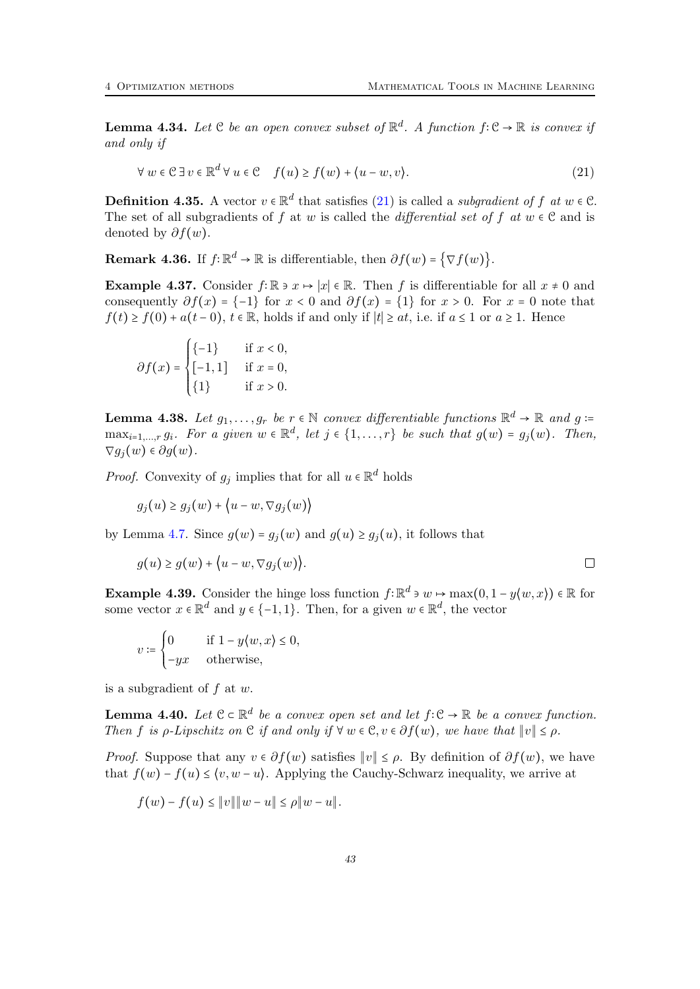**Lemma 4.34.** Let  $C$  be an open convex subset of  $\mathbb{R}^d$ . A function  $f: C \to \mathbb{R}$  is convex if and only if

<span id="page-42-0"></span>
$$
\forall w \in \mathcal{C} \exists v \in \mathbb{R}^d \forall u \in \mathcal{C} \quad f(u) \ge f(w) + \langle u - w, v \rangle. \tag{21}
$$

**Definition 4.35.** A vector  $v \in \mathbb{R}^d$  that satisfies [\(21\)](#page-42-0) is called a *subgradient of f at*  $w \in \mathcal{C}$ . The set of all subgradients of f at w is called the *differential set of* f at  $w \in \mathcal{C}$  and is denoted by  $\partial f(w)$ .

**Remark 4.36.** If  $f: \mathbb{R}^d \to \mathbb{R}$  is differentiable, then  $\partial f(w) = \{\nabla f(w)\}.$ 

Example 4.37. Consider  $f: \mathbb{R} \ni x \mapsto |x| \in \mathbb{R}$ . Then f is differentiable for all  $x \neq 0$  and consequently  $\partial f(x) = \{-1\}$  for  $x < 0$  and  $\partial f(x) = \{1\}$  for  $x > 0$ . For  $x = 0$  note that  $f(t) \ge f(0) + a(t-0)$ ,  $t \in \mathbb{R}$ , holds if and only if  $|t| \ge at$ , i.e. if  $a \le 1$  or  $a \ge 1$ . Hence

$$
\partial f(x) = \begin{cases} \{-1\} & \text{if } x < 0, \\ [-1, 1] & \text{if } x = 0, \\ \{1\} & \text{if } x > 0. \end{cases}
$$

**Lemma 4.38.** Let  $g_1, \ldots, g_r$  be  $r \in \mathbb{N}$  convex differentiable functions  $\mathbb{R}^d \to \mathbb{R}$  and  $g \coloneqq$  $\max_{i=1,\dots,r} g_i$ . For a given  $w \in \mathbb{R}^d$ , let  $j \in \{1,\dots,r\}$  be such that  $g(w) = g_j(w)$ . Then,  $\nabla g_i(w) \in \partial g(w)$ .

*Proof.* Convexity of  $g_j$  implies that for all  $u \in \mathbb{R}^d$  holds

 $g_i(u) \geq g_i(w) + \langle u - w, \nabla g_i(w) \rangle$ 

by Lemma [4.7.](#page-34-2) Since  $g(w) = g_i(w)$  and  $g(u) \ge g_i(u)$ , it follows that

$$
g(u) \ge g(w) + \big\langle u - w, \nabla g_j(w) \big\rangle.
$$

**Example 4.39.** Consider the hinge loss function  $f: \mathbb{R}^d \ni w \mapsto \max(0, 1 - y \langle w, x \rangle) \in \mathbb{R}$  for some vector  $x \in \mathbb{R}^d$  and  $y \in \{-1, 1\}$ . Then, for a given  $w \in \mathbb{R}^d$ , the vector

$$
v \coloneqq \begin{cases} 0 & \text{if } 1 - y \langle w, x \rangle \leq 0, \\ -yx & \text{otherwise,} \end{cases}
$$

is a subgradient of  $f$  at  $w$ .

**Lemma 4.40.** Let  $\mathcal{C} \subset \mathbb{R}^d$  be a convex open set and let  $f: \mathcal{C} \to \mathbb{R}$  be a convex function. Then f is  $\rho$ -Lipschitz on  $\mathfrak C$  if and only if  $\forall w \in \mathfrak C, v \in \partial f(w)$ , we have that  $||v|| \leq \rho$ .

*Proof.* Suppose that any  $v \in \partial f(w)$  satisfies  $||v|| \le \rho$ . By definition of  $\partial f(w)$ , we have that  $f(w) - f(u) \leq \langle v, w - u \rangle$ . Applying the Cauchy-Schwarz inequality, we arrive at

$$
f(w) - f(u) \leq ||v|| ||w - u|| \leq \rho ||w - u||.
$$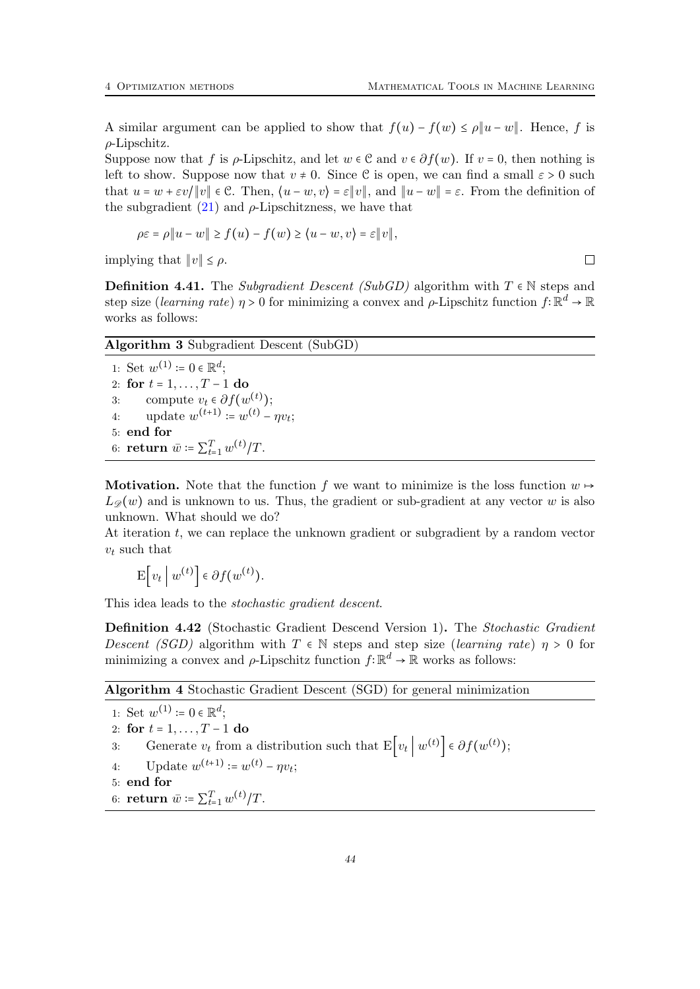$\Box$ 

A similar argument can be applied to show that  $f(u) - f(w) \le \rho \|u - w\|$ . Hence, f is  $\rho$ -Lipschitz.

Suppose now that f is  $\rho$ -Lipschitz, and let  $w \in \mathcal{C}$  and  $v \in \partial f(w)$ . If  $v = 0$ , then nothing is left to show. Suppose now that  $v \neq 0$ . Since C is open, we can find a small  $\varepsilon > 0$  such that  $u = w + \varepsilon v / \|v\| \in \mathcal{C}$ . Then,  $\langle u - w, v \rangle = \varepsilon \|v\|$ , and  $\|u - w\| = \varepsilon$ . From the definition of the subgradient  $(21)$  and  $\rho$ -Lipschitzness, we have that

$$
\rho \varepsilon = \rho \| u - w \| \ge f(u) - f(w) \ge \langle u - w, v \rangle = \varepsilon \| v \|,
$$

implying that  $||v|| \leq \rho$ .

**Definition 4.41.** The Subgradient Descent (SubGD) algorithm with  $T \in \mathbb{N}$  steps and step size (learning rate)  $\eta > 0$  for minimizing a convex and  $\rho$ -Lipschitz function  $f: \mathbb{R}^d \to \mathbb{R}$ works as follows:

| <b>Algorithm 3</b> Subgradient Descent (SubGD)          |  |  |  |
|---------------------------------------------------------|--|--|--|
| 1: Set $w^{(1)} \coloneqq 0 \in \mathbb{R}^d$ ;         |  |  |  |
| 2: for $t = 1, , T - 1$ do                              |  |  |  |
| 3: compute $v_t \in \partial f(w^{(t)})$ ;              |  |  |  |
| update $w^{(t+1)} = w^{(t)} - \eta v_t$ :<br>4:         |  |  |  |
| $5:$ end for                                            |  |  |  |
| 6: <b>return</b> $\bar{w} = \sum_{t=1}^{T} w^{(t)}/T$ . |  |  |  |

**Motivation.** Note that the function f we want to minimize is the loss function  $w \rightarrow$  $L_{\mathscr{D}}(w)$  and is unknown to us. Thus, the gradient or sub-gradient at any vector w is also unknown. What should we do?

At iteration t, we can replace the unknown gradient or subgradient by a random vector  $v_t$  such that

$$
\mathbf{E}\big[v_t\,\big|\,w^{(t)}\big]\in\partial f(w^{(t)}).
$$

This idea leads to the stochastic gradient descent.

<span id="page-43-0"></span>Definition 4.42 (Stochastic Gradient Descend Version 1). The Stochastic Gradient Descent (SGD) algorithm with  $T \in \mathbb{N}$  steps and step size (learning rate)  $\eta > 0$  for minimizing a convex and  $\rho$ -Lipschitz function  $f: \mathbb{R}^d \to \mathbb{R}$  works as follows:

Algorithm 4 Stochastic Gradient Descent (SGD) for general minimization

1: Set  $w^{(1)} \coloneqq 0 \in \mathbb{R}^d$ ; 2: for  $t = 1, ..., T - 1$  do 3: Generate  $v_t$  from a distribution such that  $E|v_t| |w^{(t)}| \in \partial f(w^{(t)})$ ; 4: Update  $w^{(t+1)} \coloneqq w^{(t)} - \eta v_t;$ 5: end for

6: **return**  $\bar{w} \coloneqq \sum_{t=1}^{T} w^{(t)} / T$ .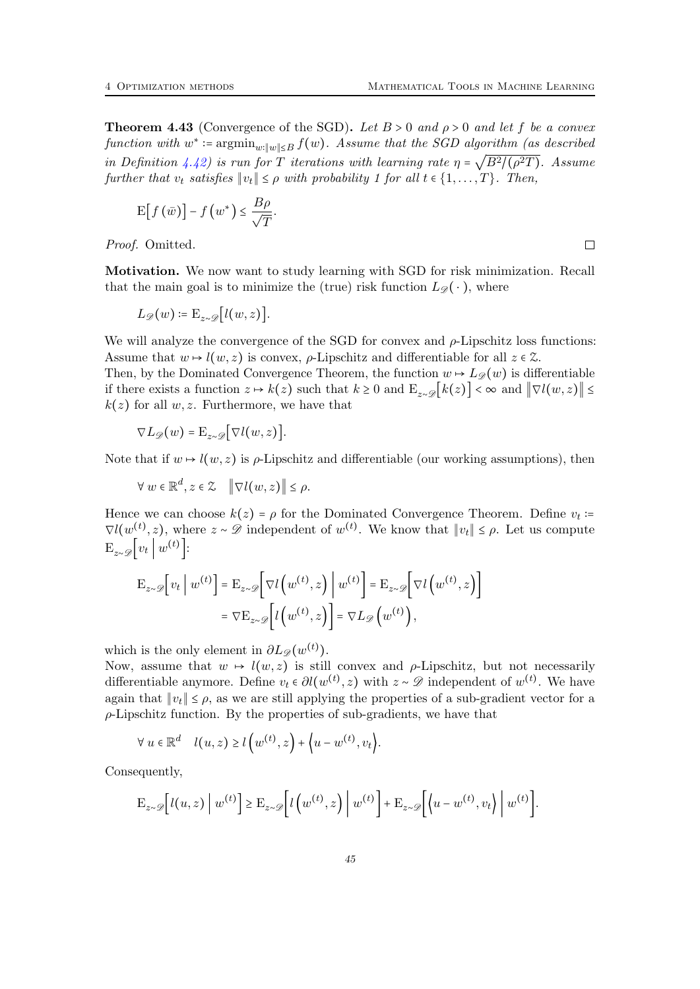<span id="page-44-0"></span>**Theorem 4.43** (Convergence of the SGD). Let  $B > 0$  and  $\rho > 0$  and let f be a convex function with  $w^* \coloneqq \operatorname{argmin}_{w: \|w\| \leq B} f(w)$ . Assume that the SGD algorithm (as described in Definition [4.42\)](#page-43-0) is run for T iterations with learning rate  $\eta$  =  $\sqrt{B^2/(\rho^2T)}$ . Assume further that  $v_t$  satisfies  $||v_t|| \leq \rho$  with probability 1 for all  $t \in \{1, \ldots, T\}$ . Then,

$$
\mathrm{E}\big[f\left(\bar{w}\right)\big]-f\left(w^*\right)\leq\frac{B\rho}{\sqrt{T}}.
$$

Proof. Omitted.

Motivation. We now want to study learning with SGD for risk minimization. Recall that the main goal is to minimize the (true) risk function  $L_{\mathscr{D}}(\cdot)$ , where

$$
L_{\mathscr{D}}(w) \coloneqq \mathrm{E}_{z \sim \mathscr{D}}[l(w,z)].
$$

We will analyze the convergence of the SGD for convex and  $\rho$ -Lipschitz loss functions: Assume that  $w \mapsto l(w, z)$  is convex,  $\rho$ -Lipschitz and differentiable for all  $z \in \mathcal{Z}$ .

Then, by the Dominated Convergence Theorem, the function  $w \mapsto L_{\mathscr{D}}(w)$  is differentiable if there exists a function  $z \mapsto k(z)$  such that  $k \geq 0$  and  $\mathbb{E}_{z \sim \mathscr{D}}[k(z)] < \infty$  and  $\|\nabla l(w, z)\| \leq$  $k(z)$  for all w, z. Furthermore, we have that

$$
\nabla L_{\mathscr{D}}(w) = \mathrm{E}_{z \sim \mathscr{D}}\big[\nabla l(w,z)\big].
$$

Note that if  $w \mapsto l(w, z)$  is  $\rho$ -Lipschitz and differentiable (our working assumptions), then

 $\forall w \in \mathbb{R}^d, z \in \mathcal{Z} \quad \|\nabla l(w,z)\| \leq \rho.$ 

Hence we can choose  $k(z) = \rho$  for the Dominated Convergence Theorem. Define  $v_t$ :=  $\nabla l(w^{(t)}, z)$ , where  $z \sim \mathscr{D}$  independent of  $w^{(t)}$ . We know that  $||v_t|| \leq \rho$ . Let us compute  $\mathbb{E}_{z \sim \mathscr{D}}[v_t | w^{(t)}].$ 

$$
\mathbf{E}_{z \sim \mathscr{D}}[v_t | w^{(t)}] = \mathbf{E}_{z \sim \mathscr{D}}[\nabla l(w^{(t)}, z) | w^{(t)}] = \mathbf{E}_{z \sim \mathscr{D}}[\nabla l(w^{(t)}, z)]
$$

$$
= \nabla \mathbf{E}_{z \sim \mathscr{D}}[l(w^{(t)}, z)] = \nabla L_{\mathscr{D}}(w^{(t)}),
$$

which is the only element in  $\partial L_{\mathscr{D}}(w^{(t)})$ .

Now, assume that  $w \mapsto l(w, z)$  is still convex and  $\rho$ -Lipschitz, but not necessarily differentiable anymore. Define  $v_t \in \partial l(w^{(t)}, z)$  with  $z \sim \mathscr{D}$  independent of  $w^{(t)}$ . We have again that  $||v_t|| \leq \rho$ , as we are still applying the properties of a sub-gradient vector for a  $\rho$ -Lipschitz function. By the properties of sub-gradients, we have that

$$
\forall u \in \mathbb{R}^d \quad l(u, z) \ge l\left(w^{(t)}, z\right) + \left\langle u - w^{(t)}, v_t\right\rangle.
$$

Consequently,

$$
\mathcal{E}_{z \sim \mathscr{D}}\Big[l(u, z)\Big| w^{(t)}\Big] \geq \mathcal{E}_{z \sim \mathscr{D}}\Big[l\Big(w^{(t)}, z\Big)\Big| w^{(t)}\Big] + \mathcal{E}_{z \sim \mathscr{D}}\Big[\Big(u - w^{(t)}, v_t\Big)\Big| w^{(t)}\Big].
$$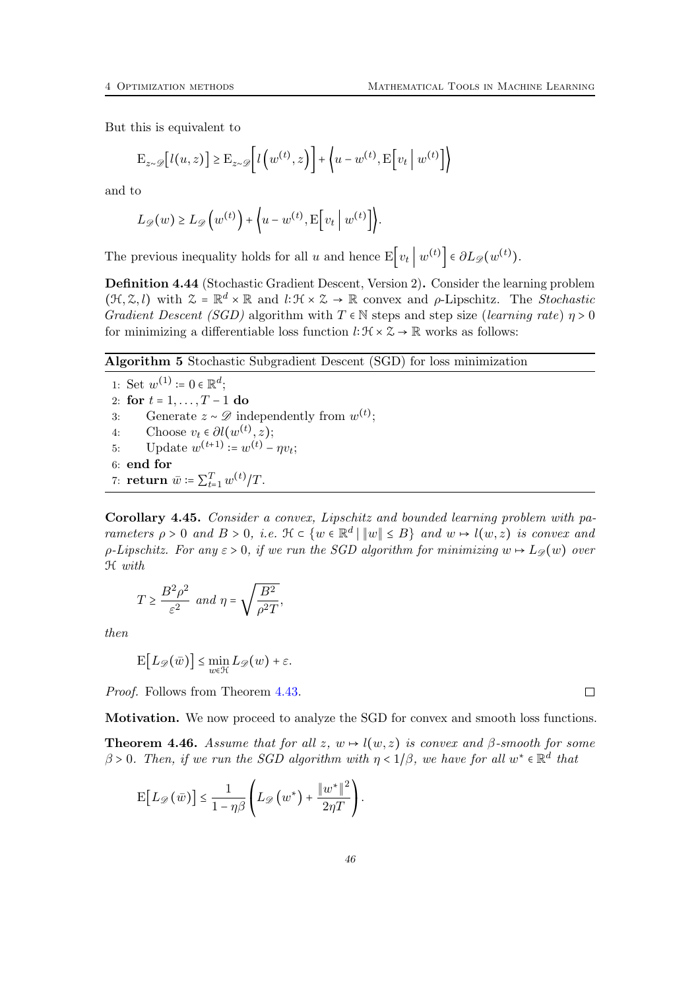But this is equivalent to

$$
\mathbf{E}_{z \sim \mathscr{D}}[l(u, z)] \ge \mathbf{E}_{z \sim \mathscr{D}}[l(w^{(t)}, z)] + \left\langle u - w^{(t)}, \mathbf{E}[v_t | w^{(t)}] \right\rangle
$$

and to

$$
L_{\mathscr{D}}(w) \ge L_{\mathscr{D}}\left(w^{(t)}\right) + \left\langle u - w^{(t)}, \mathbb{E}\left[v_t \mid w^{(t)}\right]\right\rangle.
$$

The previous inequality holds for all u and hence  $E|v_t|w^{(t)}| \in \partial L_{\mathscr{D}}(w^{(t)})$ .

Definition 4.44 (Stochastic Gradient Descent, Version 2). Consider the learning problem  $(\mathcal{H}, \mathcal{Z}, l)$  with  $\mathcal{Z} = \mathbb{R}^d \times \mathbb{R}$  and  $l: \mathcal{H} \times \mathcal{Z} \to \mathbb{R}$  convex and  $\rho$ -Lipschitz. The *Stochastic* Gradient Descent (SGD) algorithm with  $T \in \mathbb{N}$  steps and step size (learning rate)  $\eta > 0$ for minimizing a differentiable loss function  $\ell: \mathcal{H} \times \mathcal{Z} \to \mathbb{R}$  works as follows:

Algorithm 5 Stochastic Subgradient Descent (SGD) for loss minimization

1: Set  $w^{(1)} \coloneqq 0 \in \mathbb{R}^d$ ; 2: for  $t = 1, ..., T - 1$  do 3: Generate  $z \sim \mathscr{D}$  independently from  $w^{(t)}$ ; 4: Choose  $v_t \in \partial l(w^{(t)}, z);$ 5: Update  $w^{(t+1)} \coloneqq w^{(t)} - \eta v_t;$ 6: end for 7: return  $\bar{w} \coloneqq \sum_{t=1}^{T} w^{(t)} / T$ .

<span id="page-45-0"></span>Corollary 4.45. Consider a convex, Lipschitz and bounded learning problem with parameters  $\rho > 0$  and  $B > 0$ , i.e.  $\mathcal{H} \subset \{w \in \mathbb{R}^d \mid ||w|| \leq B\}$  and  $w \mapsto l(w, z)$  is convex and  $\rho$ -Lipschitz. For any  $\varepsilon > 0$ , if we run the SGD algorithm for minimizing  $w \mapsto L_{\mathscr{D}}(w)$  over H with

$$
T \ge \frac{B^2 \rho^2}{\varepsilon^2} \text{ and } \eta = \sqrt{\frac{B^2}{\rho^2 T}},
$$

then

$$
\mathbb{E}\big[L_{\mathscr{D}}(\bar{w})\big] \leq \min_{w \in \mathcal{H}} L_{\mathscr{D}}(w) + \varepsilon.
$$

Proof. Follows from Theorem [4.43.](#page-44-0)

Motivation. We now proceed to analyze the SGD for convex and smooth loss functions.

<span id="page-45-1"></span>**Theorem 4.46.** Assume that for all z,  $w \mapsto l(w, z)$  is convex and  $\beta$ -smooth for some  $\beta > 0$ . Then, if we run the SGD algorithm with  $\eta < 1/\beta$ , we have for all  $w^* \in \mathbb{R}^d$  that

$$
\mathrm{E}\big[L_{\mathscr{D}}\left(\bar{w}\right)\big]\leq\frac{1}{1-\eta\beta}\left(L_{\mathscr{D}}\left(w^*\right)+\frac{\left\Vert w^*\right\Vert^2}{2\eta T}\right).
$$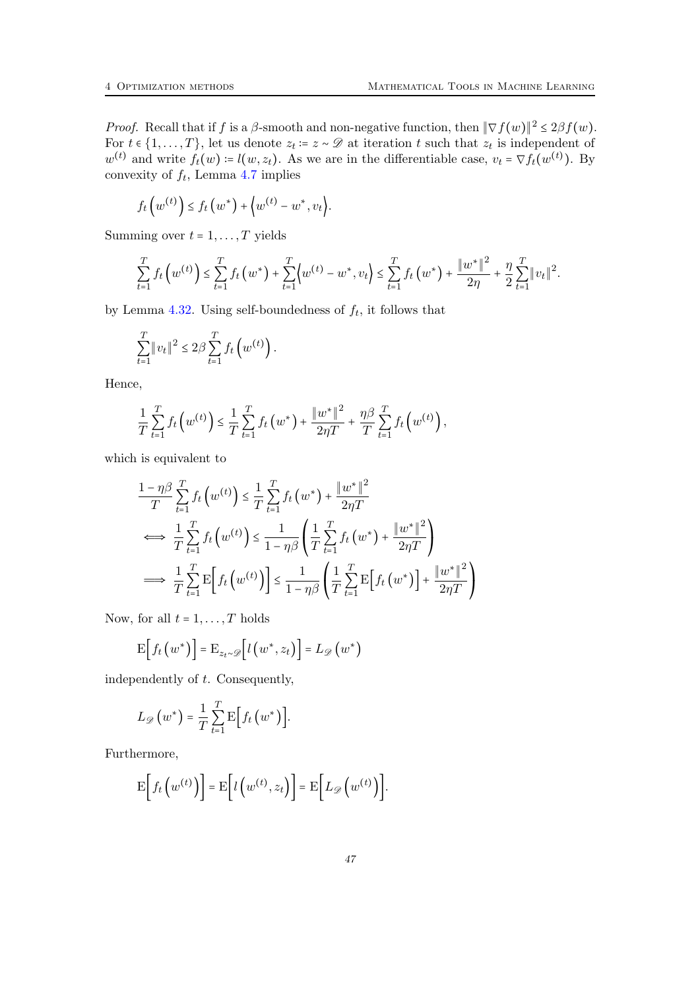*Proof.* Recall that if f is a  $\beta$ -smooth and non-negative function, then  $\|\nabla f(w)\|^2 \leq 2\beta f(w)$ . For  $t \in \{1, \ldots, T\}$ , let us denote  $z_t \coloneqq z \sim \mathscr{D}$  at iteration  $t$  such that  $z_t$  is independent of  $w^{(t)}$  and write  $f_t(w) = l(w, z_t)$ . As we are in the differentiable case,  $v_t = \nabla f_t(w^{(t)})$ . By convexity of  $f_t$ , Lemma [4.7](#page-34-2) implies

$$
f_t\left(w^{(t)}\right) \leq f_t\left(w^*\right) + \left\langle w^{(t)} - w^*, v_t\right\rangle.
$$

Summing over  $t = 1, \ldots, T$  yields

$$
\sum_{t=1}^T f_t\left(w^{(t)}\right) \leq \sum_{t=1}^T f_t\left(w^*\right) + \sum_{t=1}^T \left\{w^{(t)} - w^*, v_t\right\} \leq \sum_{t=1}^T f_t\left(w^*\right) + \frac{\|w^*\|^2}{2\eta} + \frac{\eta}{2} \sum_{t=1}^T \left\|v_t\right\|^2.
$$

by Lemma [4.32.](#page-40-0) Using self-boundedness of  $f_t$ , it follows that

$$
\sum_{t=1}^T \|v_t\|^2 \le 2\beta \sum_{t=1}^T f_t(w^{(t)}).
$$

Hence,

$$
\frac{1}{T}\sum_{t=1}^T f_t\left(w^{(t)}\right) \leq \frac{1}{T}\sum_{t=1}^T f_t\left(w^*\right) + \frac{\|w^*\|^2}{2\eta T} + \frac{\eta\beta}{T}\sum_{t=1}^T f_t\left(w^{(t)}\right),
$$

which is equivalent to

$$
\frac{1 - \eta \beta}{T} \sum_{t=1}^{T} f_t \left( w^{(t)} \right) \leq \frac{1}{T} \sum_{t=1}^{T} f_t \left( w^* \right) + \frac{\| w^* \|^2}{2\eta T}
$$
\n
$$
\iff \frac{1}{T} \sum_{t=1}^{T} f_t \left( w^{(t)} \right) \leq \frac{1}{1 - \eta \beta} \left( \frac{1}{T} \sum_{t=1}^{T} f_t \left( w^* \right) + \frac{\| w^* \|^2}{2\eta T} \right)
$$
\n
$$
\implies \frac{1}{T} \sum_{t=1}^{T} \mathbb{E} \left[ f_t \left( w^{(t)} \right) \right] \leq \frac{1}{1 - \eta \beta} \left( \frac{1}{T} \sum_{t=1}^{T} \mathbb{E} \left[ f_t \left( w^* \right) \right] + \frac{\| w^* \|^2}{2\eta T} \right)
$$

Now, for all  $t = 1, \ldots, T$  holds

$$
\mathrm{E}\Big[f_t\left(w^*\right)\Big]=\mathrm{E}_{z_t\sim\mathscr{D}}\Big[l\left(w^*,z_t\right)\Big]=L_{\mathscr{D}}\left(w^*\right)
$$

independently of t. Consequently,

$$
L_{\mathscr{D}}(w^*) = \frac{1}{T} \sum_{t=1}^T \mathrm{E}\Big[f_t(w^*)\Big].
$$

Furthermore,

$$
\mathbf{E}\bigg[f_t\left(w^{(t)}\right)\bigg] = \mathbf{E}\bigg[l\left(w^{(t)}, z_t\right)\bigg] = \mathbf{E}\bigg[L_{\mathscr{D}}\left(w^{(t)}\right)\bigg].
$$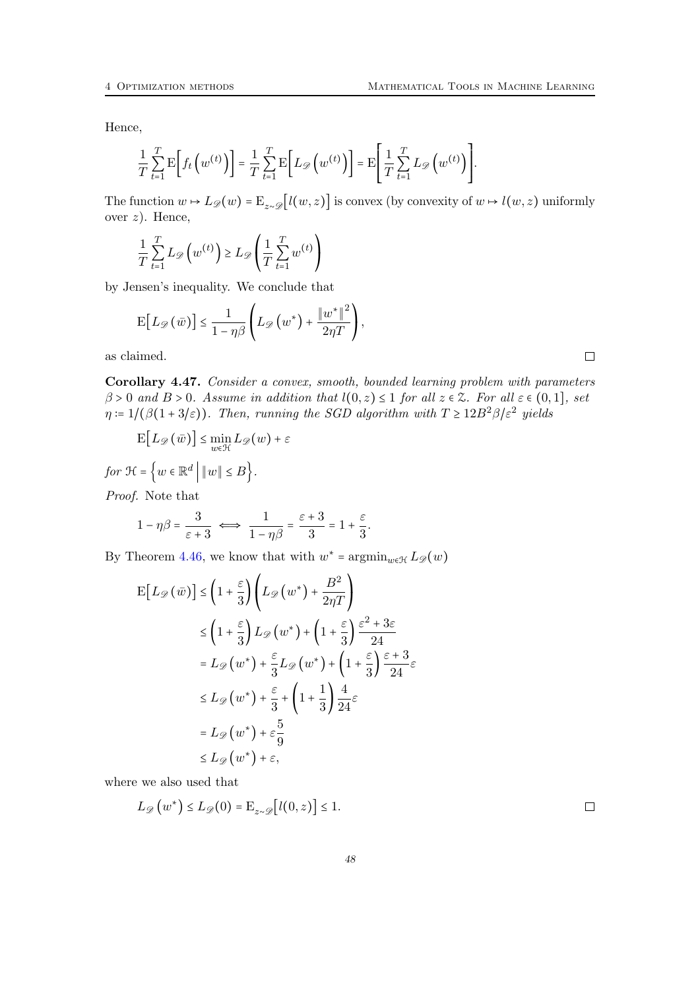Hence,

$$
\frac{1}{T}\sum_{t=1}^T \mathrm{E}\bigg[f_t\left(w^{(t)}\right)\bigg] = \frac{1}{T}\sum_{t=1}^T \mathrm{E}\bigg[L_{\mathscr{D}}\left(w^{(t)}\right)\bigg] = \mathrm{E}\Bigg[\frac{1}{T}\sum_{t=1}^T L_{\mathscr{D}}\left(w^{(t)}\right)\Bigg].
$$

The function  $w \mapsto L_{\mathscr{D}}(w) = \mathbb{E}_{z \sim \mathscr{D}}[l(w, z)]$  is convex (by convexity of  $w \mapsto l(w, z)$  uniformly over  $z$ ). Hence,

$$
\frac{1}{T} \sum_{t=1}^{T} L_{\mathscr{D}}\left(w^{(t)}\right) \ge L_{\mathscr{D}}\left(\frac{1}{T} \sum_{t=1}^{T} w^{(t)}\right)
$$

by Jensen's inequality. We conclude that

$$
\mathrm{E}\big[L_{\mathscr{D}}\left(\bar{w}\right)\big]\leq\frac{1}{1-\eta\beta}\Bigg(L_{\mathscr{D}}\left(w^{*}\right)+\frac{\left\Vert w^{*}\right\Vert ^{2}}{2\eta T}\Bigg),
$$

as claimed.

<span id="page-47-0"></span>Corollary 4.47. Consider a convex, smooth, bounded learning problem with parameters  $\beta > 0$  and  $B > 0$ . Assume in addition that  $l(0, z) \leq 1$  for all  $z \in \mathcal{Z}$ . For all  $\varepsilon \in (0, 1]$ , set  $\eta \coloneqq 1/(\beta(1+3/\varepsilon))$ . Then, running the SGD algorithm with  $T \geq 12B^2\beta/\varepsilon^2$  yields

 $\frac{6}{3}$ .

$$
\mathrm{E}\big[L_{\mathscr{D}}\left(\bar{w}\right)\big]\leq \min_{w\in\mathcal{H}}L_{\mathscr{D}}(w)+\varepsilon
$$

for 
$$
\mathcal{H} = \{w \in \mathbb{R}^d \mid ||w|| \le B\}.
$$
  
*Proof.* Note that

 $1 - \eta \beta = \frac{3}{\sqrt{3}}$  $\frac{1}{\varepsilon+3} \iff$ 1  $\frac{1}{1-\eta\beta}=\frac{\varepsilon+3}{3}$  $\frac{+3}{3}$  = 1 +  $\frac{\varepsilon}{3}$ 

By Theorem [4.46,](#page-45-1) we know that with  $w^* = \operatorname{argmin}_{w \in \mathcal{H}} L_{\mathscr{D}}(w)$ 

$$
E[L_{\mathscr{D}}(\bar{w})] \leq \left(1 + \frac{\varepsilon}{3}\right) \left(L_{\mathscr{D}}(w^*) + \frac{B^2}{2\eta T}\right)
$$
  
\n
$$
\leq \left(1 + \frac{\varepsilon}{3}\right) L_{\mathscr{D}}(w^*) + \left(1 + \frac{\varepsilon}{3}\right) \frac{\varepsilon^2 + 3\varepsilon}{24}
$$
  
\n
$$
= L_{\mathscr{D}}(w^*) + \frac{\varepsilon}{3} L_{\mathscr{D}}(w^*) + \left(1 + \frac{\varepsilon}{3}\right) \frac{\varepsilon + 3}{24}\varepsilon
$$
  
\n
$$
\leq L_{\mathscr{D}}(w^*) + \frac{\varepsilon}{3} + \left(1 + \frac{1}{3}\right) \frac{4}{24}\varepsilon
$$
  
\n
$$
= L_{\mathscr{D}}(w^*) + \varepsilon \frac{5}{9}
$$
  
\n
$$
\leq L_{\mathscr{D}}(w^*) + \varepsilon,
$$

where we also used that

$$
L_{\mathscr{D}}(w^*) \leq L_{\mathscr{D}}(0) = \mathbb{E}_{z \sim \mathscr{D}}[l(0, z)] \leq 1.
$$

 $\Box$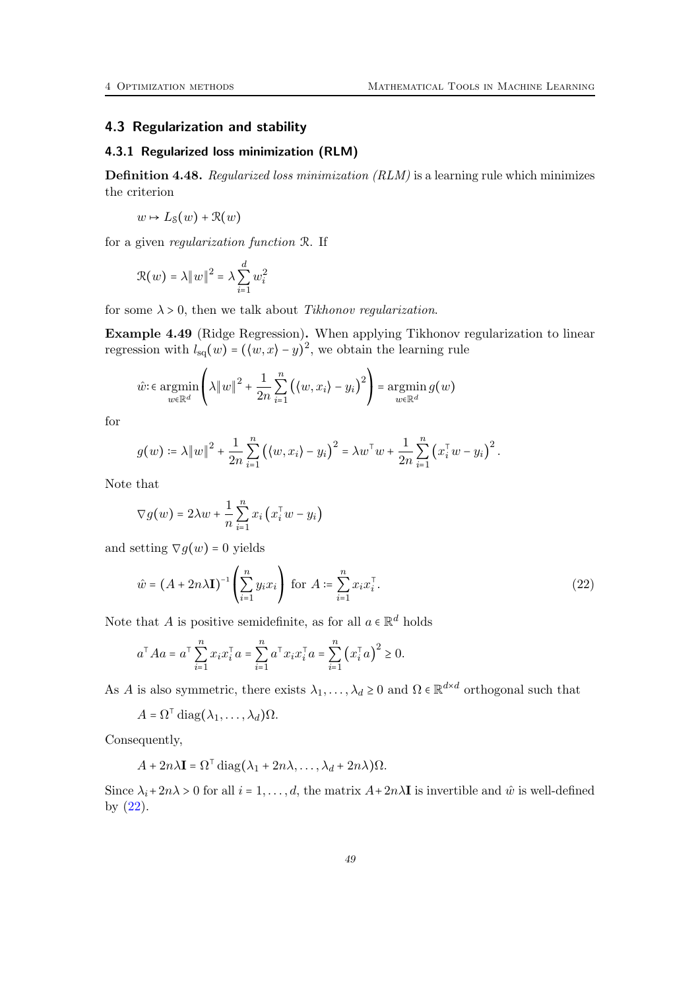## <span id="page-48-0"></span>4.3 Regularization and stability

### <span id="page-48-1"></span>4.3.1 Regularized loss minimization (RLM)

Definition 4.48. Regularized loss minimization (RLM) is a learning rule which minimizes the criterion

$$
w \mapsto L_{\mathcal{S}}(w) + \mathcal{R}(w)
$$

for a given regularization function R. If

$$
\mathcal{R}(w) = \lambda \|w\|^2 = \lambda \sum_{i=1}^d w_i^2
$$

for some  $\lambda > 0$ , then we talk about *Tikhonov regularization*.

Example 4.49 (Ridge Regression). When applying Tikhonov regularization to linear regression with  $l_{sq}(w) = (\langle w, x \rangle - y)^2$ , we obtain the learning rule

$$
\hat{w} \in \operatorname*{argmin}_{w \in \mathbb{R}^d} \left( \lambda \|w\|^2 + \frac{1}{2n} \sum_{i=1}^n \left( \langle w, x_i \rangle - y_i \right)^2 \right) = \operatorname*{argmin}_{w \in \mathbb{R}^d} g(w)
$$

for

$$
g(w) \coloneqq \lambda \|w\|^2 + \frac{1}{2n} \sum_{i=1}^n ((w, x_i) - y_i)^2 = \lambda w^{\mathsf{T}} w + \frac{1}{2n} \sum_{i=1}^n (x_i^{\mathsf{T}} w - y_i)^2.
$$

Note that

<span id="page-48-2"></span>
$$
\nabla g(w) = 2\lambda w + \frac{1}{n} \sum_{i=1}^{n} x_i (x_i^{\mathsf{T}} w - y_i)
$$

and setting  $\nabla g(w) = 0$  yields

$$
\hat{w} = (A + 2n\lambda \mathbf{I})^{-1} \left(\sum_{i=1}^{n} y_i x_i\right) \text{ for } A := \sum_{i=1}^{n} x_i x_i^{\top}.
$$
\n
$$
(22)
$$

Note that A is positive semidefinite, as for all  $a \in \mathbb{R}^d$  holds

$$
a^{\top} A a = a^{\top} \sum_{i=1}^{n} x_i x_i^{\top} a = \sum_{i=1}^{n} a^{\top} x_i x_i^{\top} a = \sum_{i=1}^{n} (x_i^{\top} a)^2 \ge 0.
$$

As A is also symmetric, there exists  $\lambda_1, \ldots, \lambda_d \geq 0$  and  $\Omega \in \mathbb{R}^{d \times d}$  orthogonal such that

$$
A = \Omega^{\top} \operatorname{diag}(\lambda_1, \ldots, \lambda_d) \Omega.
$$

Consequently,

$$
A + 2n\lambda \mathbf{I} = \Omega^{\mathsf{T}} \operatorname{diag}(\lambda_1 + 2n\lambda, \dots, \lambda_d + 2n\lambda)\Omega.
$$

Since  $\lambda_i + 2n\lambda > 0$  for all  $i = 1, \ldots, d$ , the matrix  $A + 2n\lambda \mathbf{I}$  is invertible and  $\hat{w}$  is well-defined by  $(22)$ .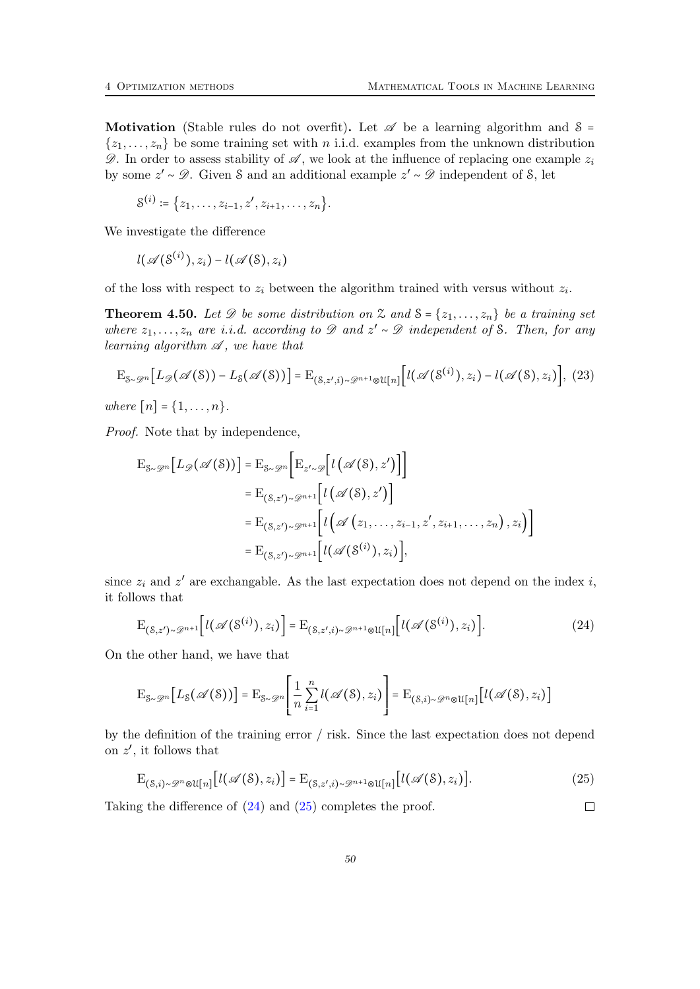Motivation (Stable rules do not overfit). Let  $\mathscr A$  be a learning algorithm and  $\mathscr S$  =  $\{z_1, \ldots, z_n\}$  be some training set with n i.i.d. examples from the unknown distribution  $\mathscr{D}$ . In order to assess stability of  $\mathscr{A}$ , we look at the influence of replacing one example  $z_i$ by some  $z' \sim \mathcal{D}$ . Given S and an additional example  $z' \sim \mathcal{D}$  independent of S, let

$$
S^{(i)} \coloneqq \{z_1, \ldots, z_{i-1}, z', z_{i+1}, \ldots, z_n\}.
$$

We investigate the difference

<span id="page-49-2"></span>
$$
l(\mathscr{A}(\mathcal{S}^{(i)}),z_i)-l(\mathscr{A}(\mathcal{S}),z_i)
$$

of the loss with respect to  $z_i$  between the algorithm trained with versus without  $z_i$ .

<span id="page-49-3"></span>**Theorem 4.50.** Let  $\mathscr D$  be some distribution on  $\mathscr Z$  and  $\mathscr S = \{z_1, \ldots, z_n\}$  be a training set where  $z_1, \ldots, z_n$  are i.i.d. according to  $\mathscr D$  and  $z' \sim \mathscr D$  independent of S. Then, for any learning algorithm  $\mathscr A$ , we have that

$$
\mathcal{E}_{\mathcal{S}\sim\mathcal{D}^n}[L_{\mathscr{D}}(\mathscr{A}(\mathcal{S})) - L_{\mathcal{S}}(\mathscr{A}(\mathcal{S}))] = \mathcal{E}_{(\mathcal{S},z',i)\sim\mathcal{D}^{n+1}\otimes\mathcal{U}[n]}[l(\mathscr{A}(\mathcal{S}^{(i)}),z_i) - l(\mathscr{A}(\mathcal{S}),z_i)], (23)
$$

where  $[n] = \{1, ..., n\}.$ 

Proof. Note that by independence,

$$
E_{S \sim \mathscr{D}^n}[L_{\mathscr{D}}(\mathscr{A}(S))] = E_{S \sim \mathscr{D}^n} \Big[ E_{z' \sim \mathscr{D}} \Big[ l(\mathscr{A}(S), z') \Big] \Big]
$$
  
\n
$$
= E_{(S, z') \sim \mathscr{D}^{n+1}} \Big[ l(\mathscr{A}(S), z') \Big]
$$
  
\n
$$
= E_{(S, z') \sim \mathscr{D}^{n+1}} \Big[ l(\mathscr{A}(z_1, \dots, z_{i-1}, z', z_{i+1}, \dots, z_n), z_i) \Big]
$$
  
\n
$$
= E_{(S, z') \sim \mathscr{D}^{n+1}} \Big[ l(\mathscr{A}(S^{(i)}), z_i) \Big],
$$

since  $z_i$  and  $z'$  are exchangable. As the last expectation does not depend on the index i, it follows that

<span id="page-49-0"></span>
$$
\mathcal{E}_{(\mathcal{S},z')\sim\mathcal{D}^{n+1}}\Big[l(\mathscr{A}(\mathcal{S}^{(i)}),z_i)\Big] = \mathcal{E}_{(\mathcal{S},z',i)\sim\mathcal{D}^{n+1}\otimes\mathcal{U}[n]}\Big[l(\mathscr{A}(\mathcal{S}^{(i)}),z_i)\Big].\tag{24}
$$

On the other hand, we have that

$$
\mathrm{E}_{\mathcal{S}\sim\mathscr{D}^n}\big[L_{\mathcal{S}}(\mathscr{A}(\mathcal{S}))\big]=\mathrm{E}_{\mathcal{S}\sim\mathscr{D}^n}\Bigg[\frac{1}{n}\sum_{i=1}^nl(\mathscr{A}(\mathcal{S}),z_i)\Bigg]=\mathrm{E}_{(\mathcal{S},i)\sim\mathscr{D}^n\otimes\mathcal{U}[n]}\big[l(\mathscr{A}(\mathcal{S}),z_i)\big]
$$

by the definition of the training error / risk. Since the last expectation does not depend on  $z'$ , it follows that

<span id="page-49-1"></span>
$$
\mathcal{E}_{(\mathcal{S},i)\sim\mathcal{P}^n\otimes\mathcal{U}[n]}[l(\mathscr{A}(\mathcal{S}),z_i)] = \mathcal{E}_{(\mathcal{S},z',i)\sim\mathcal{P}^{n+1}\otimes\mathcal{U}[n]}[l(\mathscr{A}(\mathcal{S}),z_i)].
$$
\n(25)

 $\Box$ 

Taking the difference of [\(24\)](#page-49-0) and [\(25\)](#page-49-1) completes the proof.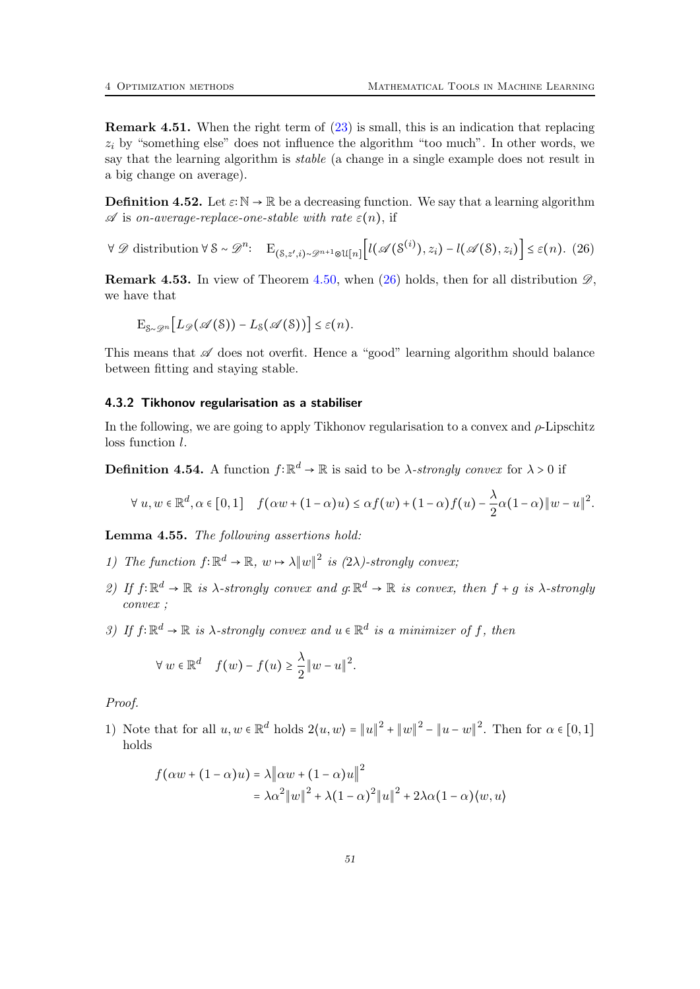Remark 4.51. When the right term of [\(23\)](#page-49-2) is small, this is an indication that replacing  $z_i$  by "something else" does not influence the algorithm "too much". In other words, we say that the learning algorithm is stable (a change in a single example does not result in a big change on average).

**Definition 4.52.** Let  $\varepsilon: \mathbb{N} \to \mathbb{R}$  be a decreasing function. We say that a learning algorithm  $\mathscr A$  is on-average-replace-one-stable with rate  $\varepsilon(n)$ , if

 $\forall \mathscr{D}$  distribution  $\forall \mathscr{S} \sim \mathscr{D}^n$ :  $E_{(\mathscr{S}, z', i) \sim \mathscr{D}^{n+1} \otimes \mathfrak{U}[n]}[l(\mathscr{A}(\mathscr{S}^{(i)}), z_i) - l(\mathscr{A}(\mathscr{S}), z_i)] \leq \varepsilon(n)$ . (26)

**Remark 4.53.** In view of Theorem [4.50,](#page-49-3) when [\(26\)](#page-50-1) holds, then for all distribution  $\mathscr{D}$ , we have that

<span id="page-50-1"></span>
$$
\mathrm{E}_{\mathcal{S}\sim\mathscr{D}^n}\big[L_{\mathscr{D}}(\mathscr{A}(\mathcal{S})) - L_{\mathcal{S}}(\mathscr{A}(\mathcal{S}))\big] \leq \varepsilon(n).
$$

This means that  $\mathscr A$  does not overfit. Hence a "good" learning algorithm should balance between fitting and staying stable.

#### <span id="page-50-0"></span>4.3.2 Tikhonov regularisation as a stabiliser

In the following, we are going to apply Tikhonov regularisation to a convex and  $\rho$ -Lipschitz loss function l.

**Definition 4.54.** A function  $f: \mathbb{R}^d \to \mathbb{R}$  is said to be  $\lambda$ -strongly convex for  $\lambda > 0$  if

$$
\forall u, w \in \mathbb{R}^d, \alpha \in [0,1] \quad f(\alpha w + (1-\alpha)u) \leq \alpha f(w) + (1-\alpha)f(u) - \frac{\lambda}{2}\alpha(1-\alpha)\|w-u\|^2.
$$

<span id="page-50-2"></span>Lemma 4.55. The following assertions hold:

- 1) The function  $f: \mathbb{R}^d \to \mathbb{R}$ ,  $w \mapsto \lambda ||w||^2$  is  $(2\lambda)$ -strongly convex;
- 2) If  $f: \mathbb{R}^d \to \mathbb{R}$  is  $\lambda$ -strongly convex and  $g: \mathbb{R}^d \to \mathbb{R}$  is convex, then  $f + g$  is  $\lambda$ -strongly convex ;
- 3) If  $f: \mathbb{R}^d \to \mathbb{R}$  is  $\lambda$ -strongly convex and  $u \in \mathbb{R}^d$  is a minimizer of f, then

$$
\forall w \in \mathbb{R}^d \quad f(w) - f(u) \geq \frac{\lambda}{2} ||w - u||^2.
$$

Proof.

1) Note that for all  $u, w \in \mathbb{R}^d$  holds  $2\langle u, w \rangle = ||u||^2 + ||w||^2 - ||u - w||^2$ . Then for  $\alpha \in [0, 1]$ holds

$$
f(\alpha w + (1 - \alpha)u) = \lambda \|\alpha w + (1 - \alpha)u\|^2
$$
  
=  $\lambda \alpha^2 \|w\|^2 + \lambda (1 - \alpha)^2 \|u\|^2 + 2\lambda \alpha (1 - \alpha) \langle w, u \rangle$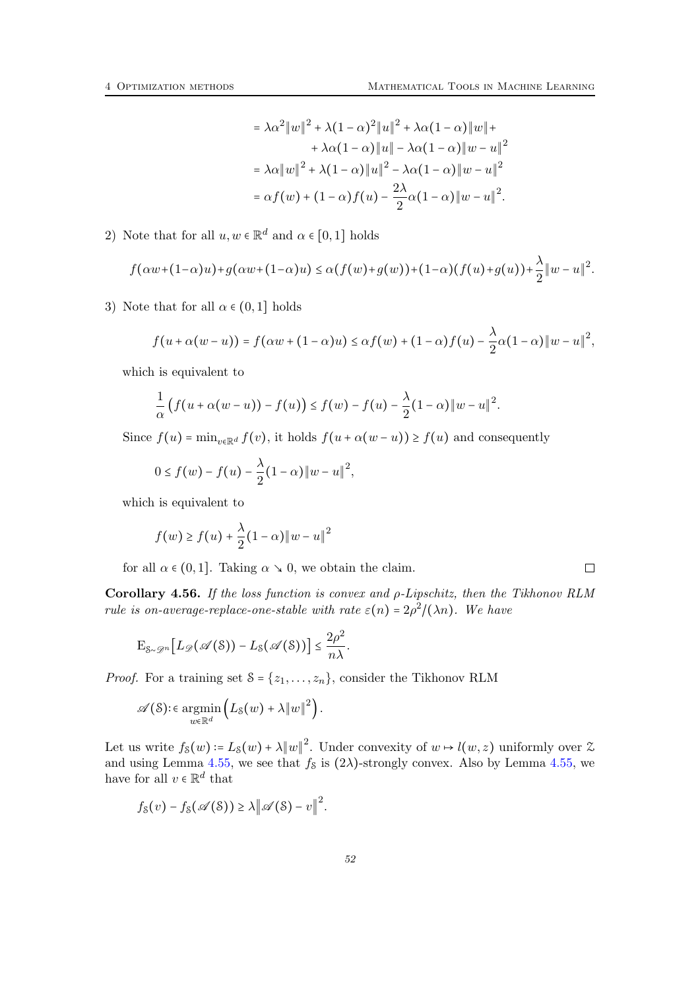$\Box$ 

$$
= \lambda \alpha^2 \|w\|^2 + \lambda (1 - \alpha)^2 \|u\|^2 + \lambda \alpha (1 - \alpha) \|w\| +
$$
  
+  $\lambda \alpha (1 - \alpha) \|u\| - \lambda \alpha (1 - \alpha) \|w - u\|^2$   
=  $\lambda \alpha \|w\|^2 + \lambda (1 - \alpha) \|u\|^2 - \lambda \alpha (1 - \alpha) \|w - u\|^2$   
=  $\alpha f(w) + (1 - \alpha) f(u) - \frac{2\lambda}{2} \alpha (1 - \alpha) \|w - u\|^2$ .

2) Note that for all  $u, w \in \mathbb{R}^d$  and  $\alpha \in [0, 1]$  holds

$$
f(\alpha w+(1-\alpha)u)+g(\alpha w+(1-\alpha)u)\leq \alpha(f(w)+g(w))+(1-\alpha)(f(u)+g(u))+\frac{\lambda}{2}\|w-u\|^2.
$$

3) Note that for all  $\alpha \in (0,1]$  holds

$$
f(u+\alpha(w-u))=f(\alpha w+(1-\alpha)u)\leq \alpha f(w)+(1-\alpha)f(u)-\frac{\lambda}{2}\alpha(1-\alpha)\|w-u\|^2,
$$

which is equivalent to

$$
\frac{1}{\alpha}\big(f(u+\alpha(w-u))-f(u)\big)\leq f(w)-f(u)-\frac{\lambda}{2}(1-\alpha)\|w-u\|^2.
$$

Since  $f(u) = \min_{v \in \mathbb{R}^d} f(v)$ , it holds  $f(u + \alpha(w - u)) \ge f(u)$  and consequently

$$
0 \le f(w) - f(u) - \frac{\lambda}{2}(1 - \alpha) \|w - u\|^2,
$$

which is equivalent to

$$
f(w) \ge f(u) + \frac{\lambda}{2} (1 - \alpha) \|w - u\|^2
$$

for all  $\alpha \in (0,1]$ . Taking  $\alpha \searrow 0$ , we obtain the claim.

<span id="page-51-0"></span>Corollary 4.56. If the loss function is convex and ρ-Lipschitz, then the Tikhonov RLM rule is on-average-replace-one-stable with rate  $\varepsilon(n) = 2\rho^2/(\lambda n)$ . We have

$$
\mathrm{E}_{\mathcal{S}\sim\mathscr{D}^n}\big[L_{\mathscr{D}}(\mathscr{A}(\mathcal{S})) - L_{\mathcal{S}}(\mathscr{A}(\mathcal{S}))\big] \leq \frac{2\rho^2}{n\lambda}.
$$

*Proof.* For a training set  $S = \{z_1, \ldots, z_n\}$ , consider the Tikhonov RLM

$$
\mathscr{A}(\mathcal{S})\!:\in\operatorname*{argmin}_{w\in\mathbb{R}^d}\left(L_{\mathcal{S}}(w)+\lambda\|w\|^2\right).
$$

Let us write  $f_8(w) = L_8(w) + \lambda ||w||^2$ . Under convexity of  $w \mapsto l(w, z)$  uniformly over  $\mathcal{Z}$ and using Lemma [4.55,](#page-50-2) we see that  $f_s$  is  $(2\lambda)$ -strongly convex. Also by Lemma 4.55, we have for all  $v \in \mathbb{R}^d$  that

$$
f_{\mathcal{S}}(v) - f_{\mathcal{S}}(\mathscr{A}(\mathcal{S})) \ge \lambda \|\mathscr{A}(\mathcal{S}) - v\|^2.
$$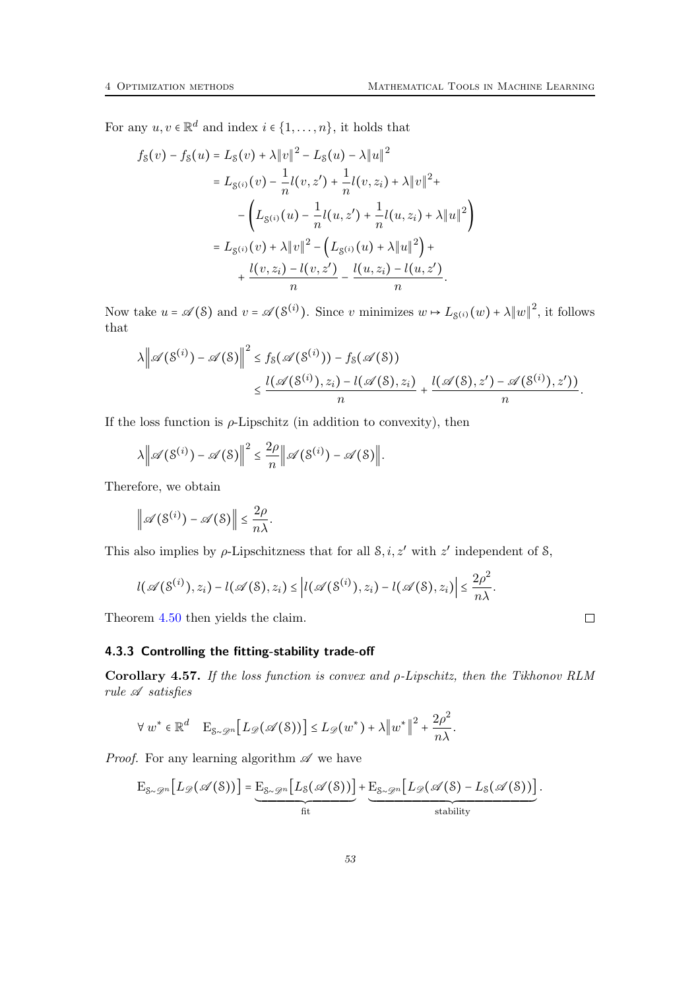For any  $u, v \in \mathbb{R}^d$  and index  $i \in \{1, ..., n\}$ , it holds that

$$
f_S(v) - f_S(u) = L_S(v) + \lambda \|v\|^2 - L_S(u) - \lambda \|u\|^2
$$
  
=  $L_{S(i)}(v) - \frac{1}{n}l(v, z') + \frac{1}{n}l(v, z_i) + \lambda \|v\|^2 +$   
 $- \left(L_{S(i)}(u) - \frac{1}{n}l(u, z') + \frac{1}{n}l(u, z_i) + \lambda \|u\|^2\right)$   
=  $L_{S(i)}(v) + \lambda \|v\|^2 - \left(L_{S(i)}(u) + \lambda \|u\|^2\right) +$   
 $+ \frac{l(v, z_i) - l(v, z')}{n} - \frac{l(u, z_i) - l(u, z')}{n}.$ 

Now take  $u = \mathscr{A}(\mathcal{S})$  and  $v = \mathscr{A}(\mathcal{S}^{(i)})$ . Since v minimizes  $w \mapsto L_{\mathcal{S}^{(i)}}(w) + \lambda ||w||^2$ , it follows that

$$
\lambda \left\| \mathscr{A}(\mathcal{S}^{(i)}) - \mathscr{A}(\mathcal{S}) \right\|^2 \le f_{\mathcal{S}}(\mathscr{A}(\mathcal{S}^{(i)})) - f_{\mathcal{S}}(\mathscr{A}(\mathcal{S}))
$$
  

$$
\le \frac{l(\mathscr{A}(\mathcal{S}^{(i)}), z_i) - l(\mathscr{A}(\mathcal{S}), z_i)}{n} + \frac{l(\mathscr{A}(\mathcal{S}), z') - \mathscr{A}(\mathcal{S}^{(i)}), z')}{n}.
$$

If the loss function is  $\rho$ -Lipschitz (in addition to convexity), then

$$
\lambda \left\| \mathscr{A}(\mathcal{S}^{(i)}) - \mathscr{A}(\mathcal{S}) \right\|^2 \leq \frac{2\rho}{n} \left\| \mathscr{A}(\mathcal{S}^{(i)}) - \mathscr{A}(\mathcal{S}) \right\|.
$$

Therefore, we obtain

$$
\left\|\mathscr{A}(\mathcal{S}^{(i)}) - \mathscr{A}(\mathcal{S})\right\| \leq \frac{2\rho}{n\lambda}.
$$

This also implies by  $\rho$ -Lipschitzness that for all  $\mathcal{S}, i, z'$  with  $z'$  independent of  $\mathcal{S},$ 

$$
l(\mathscr{A}(S^{(i)}), z_i) - l(\mathscr{A}(S), z_i) \leq |l(\mathscr{A}(S^{(i)}), z_i) - l(\mathscr{A}(S), z_i)| \leq \frac{2\rho^2}{n\lambda}.
$$

Theorem [4.50](#page-49-3) then yields the claim.

### <span id="page-52-0"></span>4.3.3 Controlling the fitting-stability trade-off

<span id="page-52-1"></span>Corollary 4.57. If the loss function is convex and ρ-Lipschitz, then the Tikhonov RLM  $rule \mathscr{A} satisfies$ 

$$
\forall w^* \in \mathbb{R}^d \quad E_{S \sim \mathscr{D}^n} \big[ L_{\mathscr{D}}(\mathscr{A}(S)) \big] \leq L_{\mathscr{D}}(w^*) + \lambda \big\| w^* \big\|^2 + \frac{2\rho^2}{n\lambda}.
$$

*Proof.* For any learning algorithm  $\mathscr A$  we have

$$
E_{\mathcal{S}\sim\mathscr{D}^n}[L_{\mathscr{D}}(\mathscr{A}(\mathcal{S}))]=\underbrace{E_{\mathcal{S}\sim\mathscr{D}^n}[L_{\mathcal{S}}(\mathscr{A}(\mathcal{S}))]}_{\text{fit}}+\underbrace{E_{\mathcal{S}\sim\mathscr{D}^n}[L_{\mathscr{D}}(\mathscr{A}(\mathcal{S})-L_{\mathcal{S}}(\mathscr{A}(\mathcal{S}))]}_{\text{stability}}.
$$

 $\hfill \square$